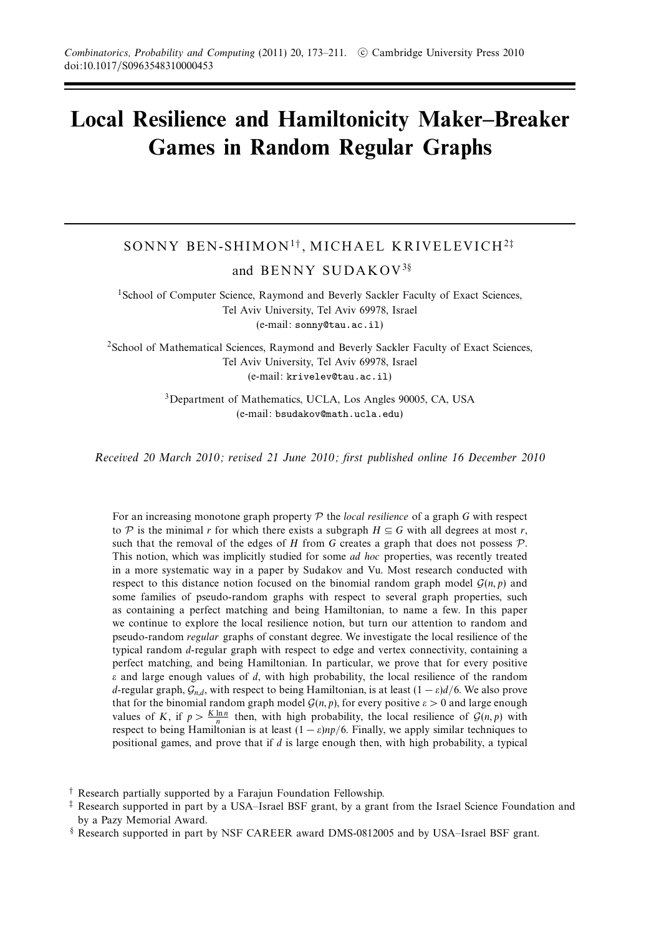# **Local Resilience and Hamiltonicity Maker–Breaker Games in Random Regular Graphs**

# SONNY BEN-SHIMON<sup>1</sup>† , MICHAEL KRIVELEVICH<sup>2</sup>‡ and BENNY SUDAKOV<sup>3</sup>§

<sup>1</sup>School of Computer Science, Raymond and Beverly Sackler Faculty of Exact Sciences, Tel Aviv University, Tel Aviv 69978, Israel (e-mail: sonny@tau.ac.il)

<sup>2</sup>School of Mathematical Sciences, Raymond and Beverly Sackler Faculty of Exact Sciences, Tel Aviv University, Tel Aviv 69978, Israel (e-mail: krivelev@tau.ac.il)

> 3Department of Mathematics, UCLA, Los Angles 90005, CA, USA (e-mail: bsudakov@math.ucla.edu)

Received 20 March 2010; revised 21 June 2010; first published online 16 December 2010

For an increasing monotone graph property P the local resilience of a graph *G* with respect to P is the minimal r for which there exists a subgraph  $H \subseteq G$  with all degrees at most r, such that the removal of the edges of  $H$  from  $G$  creates a graph that does not possess  $P$ . This notion, which was implicitly studied for some *ad hoc* properties, was recently treated in a more systematic way in a paper by Sudakov and Vu. Most research conducted with respect to this distance notion focused on the binomial random graph model  $G(n, p)$  and some families of pseudo-random graphs with respect to several graph properties, such as containing a perfect matching and being Hamiltonian, to name a few. In this paper we continue to explore the local resilience notion, but turn our attention to random and pseudo-random regular graphs of constant degree. We investigate the local resilience of the typical random *d*-regular graph with respect to edge and vertex connectivity, containing a perfect matching, and being Hamiltonian. In particular, we prove that for every positive *ε* and large enough values of *d*, with high probability, the local resilience of the random *d*-regular graph,  $G_{n,d}$ , with respect to being Hamiltonian, is at least  $(1 - \varepsilon)d/6$ . We also prove that for the binomial random graph model  $G(n, p)$ , for every positive  $\varepsilon > 0$  and large enough values of *K*, if  $p > \frac{K \ln n}{n}$  then, with high probability, the local resilience of  $\mathcal{G}(n, p)$  with respect to being Hamiltonian is at least  $(1 - \varepsilon)np/6$ . Finally, we apply similar techniques to positional games, and prove that if *d* is large enough then, with high probability, a typical

<sup>†</sup> Research partially supported by a Farajun Foundation Fellowship.

<sup>‡</sup> Research supported in part by a USA–Israel BSF grant, by a grant from the Israel Science Foundation and by a Pazy Memorial Award.

<sup>§</sup> Research supported in part by NSF CAREER award DMS-0812005 and by USA–Israel BSF grant.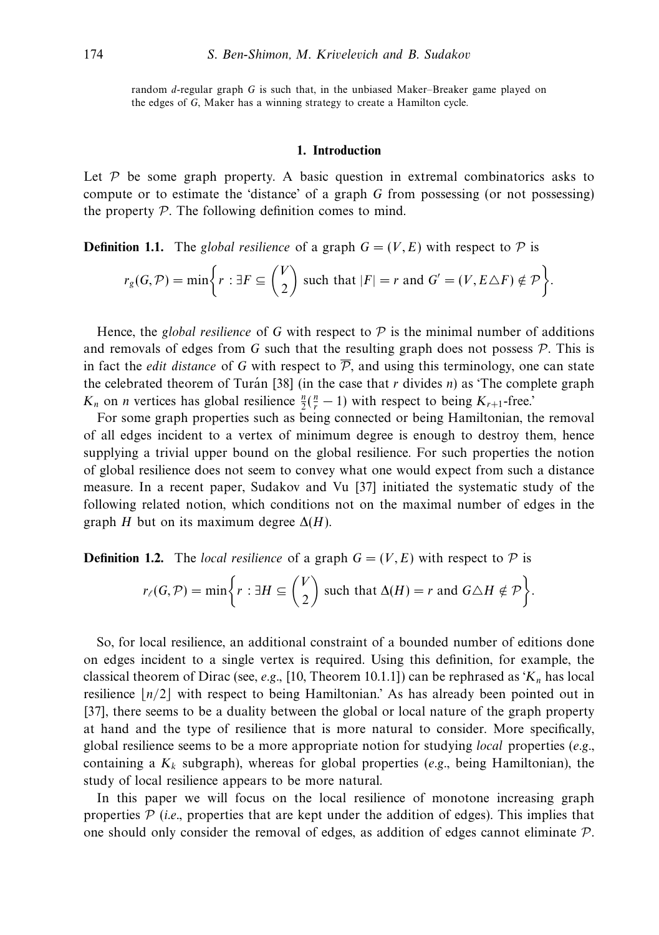random *d*-regular graph *G* is such that, in the unbiased Maker–Breaker game played on the edges of *G*, Maker has a winning strategy to create a Hamilton cycle.

# **1. Introduction**

Let  $P$  be some graph property. A basic question in extremal combinatorics asks to compute or to estimate the 'distance' of a graph *G* from possessing (or not possessing) the property  $P$ . The following definition comes to mind.

**Definition 1.1.** The global resilience of a graph  $G = (V, E)$  with respect to P is

$$
r_g(G,\mathcal{P}) = \min\bigg\{r : \exists F \subseteq \binom{V}{2} \text{ such that } |F| = r \text{ and } G' = (V,E \triangle F) \notin \mathcal{P}\bigg\}.
$$

Hence, the *global resilience* of G with respect to  $P$  is the minimal number of additions and removals of edges from *G* such that the resulting graph does not possess  $P$ . This is in fact the *edit distance* of G with respect to  $\overline{P}$ , and using this terminology, one can state the celebrated theorem of Turán [38] (in the case that  $r$  divides  $n$ ) as 'The complete graph *K<sub>n</sub>* on *n* vertices has global resilience  $\frac{n}{2}(\frac{n}{r} - 1)$  with respect to being *K<sub>r+1</sub>*-free.'

For some graph properties such as being connected or being Hamiltonian, the removal of all edges incident to a vertex of minimum degree is enough to destroy them, hence supplying a trivial upper bound on the global resilience. For such properties the notion of global resilience does not seem to convey what one would expect from such a distance measure. In a recent paper, Sudakov and Vu [37] initiated the systematic study of the following related notion, which conditions not on the maximal number of edges in the graph *H* but on its maximum degree  $\Delta(H)$ .

**Definition 1.2.** The local resilience of a graph  $G = (V, E)$  with respect to  $\mathcal{P}$  is

$$
r_{\ell}(G,\mathcal{P}) = \min \bigg\{ r : \exists H \subseteq \binom{V}{2} \text{ such that } \Delta(H) = r \text{ and } G \triangle H \notin \mathcal{P} \bigg\}.
$$

So, for local resilience, an additional constraint of a bounded number of editions done on edges incident to a single vertex is required. Using this definition, for example, the classical theorem of Dirac (see, e.g., [10, Theorem 10.1.1]) can be rephrased as '*Kn* has local resilience  $n/2$  with respect to being Hamiltonian.' As has already been pointed out in [37], there seems to be a duality between the global or local nature of the graph property at hand and the type of resilience that is more natural to consider. More specifically, global resilience seems to be a more appropriate notion for studying *local* properties  $(e.g.,)$ containing a  $K_k$  subgraph), whereas for global properties (e.g., being Hamiltonian), the study of local resilience appears to be more natural.

In this paper we will focus on the local resilience of monotone increasing graph properties  $P$  (i.e., properties that are kept under the addition of edges). This implies that one should only consider the removal of edges, as addition of edges cannot eliminate P.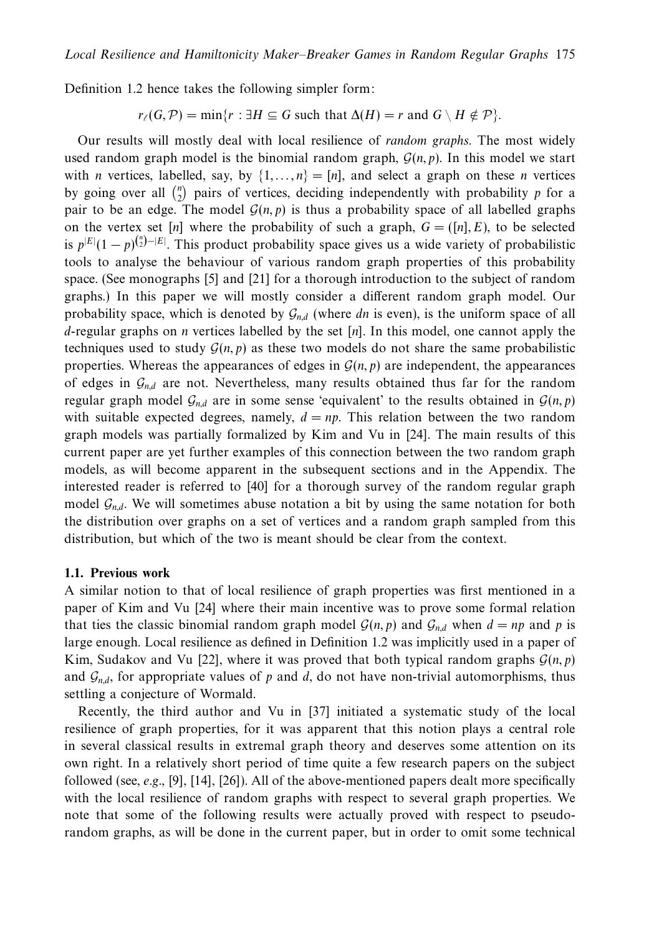Definition 1.2 hence takes the following simpler form:

 $r(G, \mathcal{P}) = \min\{r : \exists H \subseteq G \text{ such that } \Delta(H) = r \text{ and } G \setminus H \notin \mathcal{P}\}.$ 

Our results will mostly deal with local resilience of random graphs. The most widely used random graph model is the binomial random graph,  $\mathcal{G}(n, p)$ . In this model we start with *n* vertices, labelled, say, by  $\{1, \ldots, n\} = [n]$ , and select a graph on these *n* vertices by going over all  $\binom{n}{2}$  pairs of vertices, deciding independently with probability *p* for a pair to be an edge. The model  $\mathcal{G}(n, p)$  is thus a probability space of all labelled graphs on the vertex set [*n*] where the probability of such a graph,  $G = ([n], E)$ , to be selected is  $p^{|E|}(1-p)^{{n \choose 2}-|E|}$ . This product probability space gives us a wide variety of probabilistic tools to analyse the behaviour of various random graph properties of this probability space. (See monographs [5] and [21] for a thorough introduction to the subject of random graphs.) In this paper we will mostly consider a different random graph model. Our probability space, which is denoted by G*n,d* (where *dn* is even), is the uniform space of all *d*-regular graphs on *n* vertices labelled by the set [*n*]. In this model, one cannot apply the techniques used to study  $\mathcal{G}(n, p)$  as these two models do not share the same probabilistic properties. Whereas the appearances of edges in  $\mathcal{G}(n, p)$  are independent, the appearances of edges in  $\mathcal{G}_{nd}$  are not. Nevertheless, many results obtained thus far for the random regular graph model  $G_{n,d}$  are in some sense 'equivalent' to the results obtained in  $G(n, p)$ with suitable expected degrees, namely,  $d = np$ . This relation between the two random graph models was partially formalized by Kim and Vu in [24]. The main results of this current paper are yet further examples of this connection between the two random graph models, as will become apparent in the subsequent sections and in the Appendix. The interested reader is referred to [40] for a thorough survey of the random regular graph model  $\mathcal{G}_{n,d}$ . We will sometimes abuse notation a bit by using the same notation for both the distribution over graphs on a set of vertices and a random graph sampled from this distribution, but which of the two is meant should be clear from the context.

#### **1.1. Previous work**

A similar notion to that of local resilience of graph properties was first mentioned in a paper of Kim and Vu [24] where their main incentive was to prove some formal relation that ties the classic binomial random graph model  $G(n, p)$  and  $G_{n,d}$  when  $d = np$  and p is large enough. Local resilience as defined in Definition 1.2 was implicitly used in a paper of Kim, Sudakov and Vu [22], where it was proved that both typical random graphs  $G(n, p)$ and  $\mathcal{G}_{n,d}$ , for appropriate values of p and d, do not have non-trivial automorphisms, thus settling a conjecture of Wormald.

Recently, the third author and Vu in [37] initiated a systematic study of the local resilience of graph properties, for it was apparent that this notion plays a central role in several classical results in extremal graph theory and deserves some attention on its own right. In a relatively short period of time quite a few research papers on the subject followed (see, e.g., [9], [14], [26]). All of the above-mentioned papers dealt more specifically with the local resilience of random graphs with respect to several graph properties. We note that some of the following results were actually proved with respect to pseudorandom graphs, as will be done in the current paper, but in order to omit some technical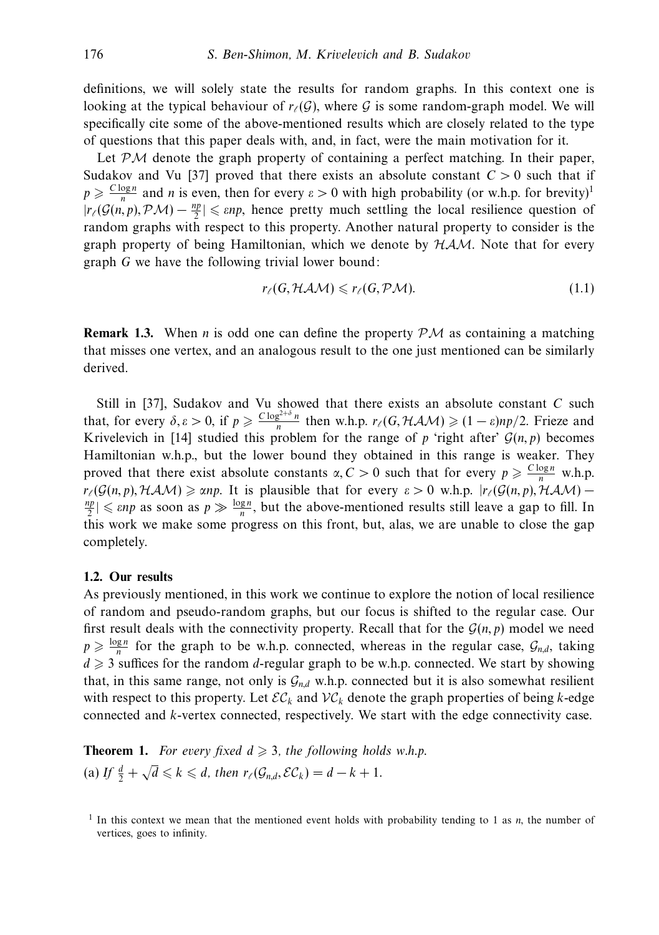definitions, we will solely state the results for random graphs. In this context one is looking at the typical behaviour of  $r_{\ell}(\mathcal{G})$ , where  $\mathcal G$  is some random-graph model. We will specifically cite some of the above-mentioned results which are closely related to the type of questions that this paper deals with, and, in fact, were the main motivation for it.

Let  $\mathcal{PM}$  denote the graph property of containing a perfect matching. In their paper, Sudakov and Vu [37] proved that there exists an absolute constant  $C > 0$  such that if  $p \ge \frac{C \log n}{n}$  and *n* is even, then for every  $\varepsilon > 0$  with high probability (or w.h.p. for brevity)<sup>1</sup>  $|r_{\ell}(\mathcal{G}(n, p), \mathcal{PM}) - \frac{np}{2}| \leq \varepsilon np$ , hence pretty much settling the local resilience question of random graphs with respect to this property. Another natural property to consider is the graph property of being Hamiltonian, which we denote by  $HAM$ . Note that for every graph *G* we have the following trivial lower bound:

$$
r_{\ell}(G, HAM) \leqslant r_{\ell}(G, \mathcal{PM}). \tag{1.1}
$$

**Remark 1.3.** When *n* is odd one can define the property  $PM$  as containing a matching that misses one vertex, and an analogous result to the one just mentioned can be similarly derived.

Still in [37], Sudakov and Vu showed that there exists an absolute constant *C* such that, for every  $\delta, \varepsilon > 0$ , if  $p \ge \frac{C \log^{2+\delta} n}{n}$  then w.h.p.  $r_{\ell}(G, \mathcal{HAM}) \ge (1 - \varepsilon) np/2$ . Frieze and Krivelevich in [14] studied this problem for the range of  $p$  'right after'  $G(n, p)$  becomes Hamiltonian w.h.p., but the lower bound they obtained in this range is weaker. They proved that there exist absolute constants  $\alpha$ ,  $C > 0$  such that for every  $p \geq \frac{C \log n}{n}$  w.h.p. *r*<sub>(</sub> $G(n, p)$ ,  $HAM$ )  $\geq$  *αnp*. It is plausible that for every  $\varepsilon > 0$  w.h.p.  $|r_l(G(n, p), HAM) -$ <br><sup>*np*</sup> $|<$  cup as soon as  $n \geq \log n$  but the above-mentioned results still leave a gan to fill In  $\frac{dp}{2} \leq \varepsilon np$  as soon as  $p \gg \frac{\log n}{n}$ , but the above-mentioned results still leave a gap to fill. In this work we make some progress on this front, but, alas, we are unable to close the gap completely.

#### **1.2. Our results**

As previously mentioned, in this work we continue to explore the notion of local resilience of random and pseudo-random graphs, but our focus is shifted to the regular case. Our first result deals with the connectivity property. Recall that for the  $G(n, p)$  model we need  $p \geq \frac{\log n}{n}$  for the graph to be w.h.p. connected, whereas in the regular case,  $\mathcal{G}_{n,d}$ , taking  $d \geq 3$  suffices for the random *d*-regular graph to be w.h.p. connected. We start by showing that, in this same range, not only is  $G_{n,d}$  w.h.p. connected but it is also somewhat resilient with respect to this property. Let  $\mathcal{EC}_k$  and  $\mathcal{VC}_k$  denote the graph properties of being *k*-edge connected and *k*-vertex connected, respectively. We start with the edge connectivity case.

**Theorem 1.** For every fixed  $d \geq 3$ , the following holds w.h.p. (a) If  $\frac{d}{2} + \sqrt{d} \le k \le d$ , then  $r_{\ell}(\mathcal{G}_{n,d}, \mathcal{EC}_k) = d - k + 1$ .

<sup>1</sup> In this context we mean that the mentioned event holds with probability tending to 1 as *n*, the number of vertices, goes to infinity.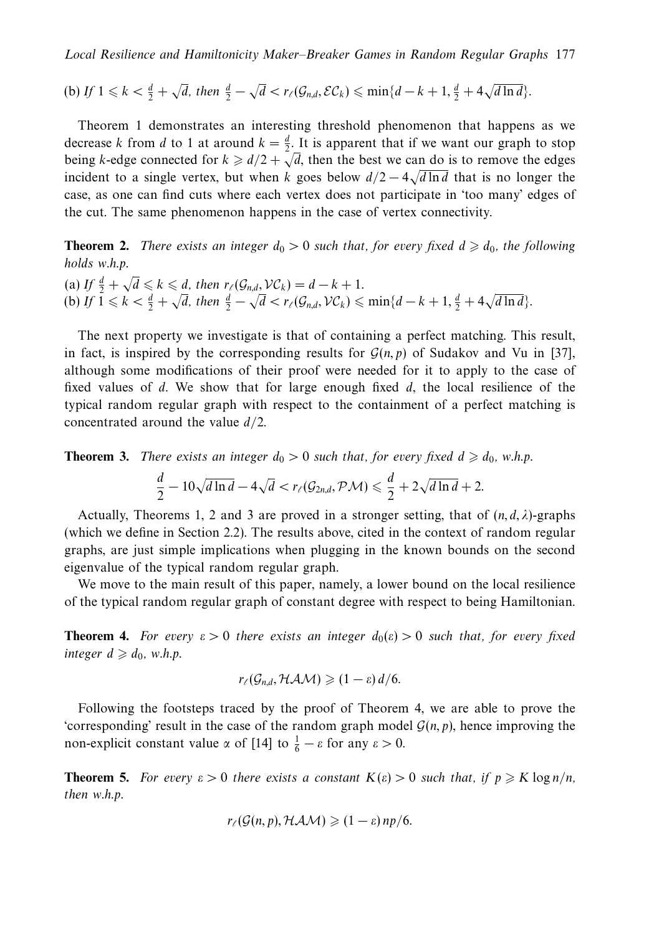(b) If  $1 \leq k < \frac{d}{2} + \sqrt{d}$ , then  $\frac{d}{2} - \sqrt{d} < r_{\ell}(\mathcal{G}_{n,d}, \mathcal{EC}_k) \leq \min\{d - k + 1, \frac{d}{2} + 4\sqrt{d \ln d}\}.$ 

Theorem 1 demonstrates an interesting threshold phenomenon that happens as we decrease *k* from *d* to 1 at around  $k = \frac{d}{2}$ . It is apparent that if we want our graph to stop being *k*-edge connected for  $k \ge d/2 + \sqrt{d}$ , then the best we can do is to remove the edges incident to a single vertex, but when *k* goes below  $d/2 - 4\sqrt{d} \ln d$  that is no longer the case, as one can find cuts where each vertex does not participate in 'too many' edges of the cut. The same phenomenon happens in the case of vertex connectivity.

**Theorem 2.** There exists an integer  $d_0 > 0$  such that, for every fixed  $d \geq d_0$ , the following holds w.h.p.

(a) If  $\frac{d}{2} + \sqrt{d} \le k \le d$ , then  $r_{\ell}(\mathcal{G}_{n,d}, \mathcal{VC}_k) = d - k + 1$ . (a)  $1f \frac{1}{2} + \sqrt{a} \le k \le a$ , then  $r_{\ell}(g_{n,d}, Vc_k) = a - k + 1$ .<br>
(b) If  $1 \le k < \frac{d}{2} + \sqrt{d}$ , then  $\frac{d}{2} - \sqrt{d} < r_{\ell}(g_{n,d}, Vc_k) \le \min\{d - k + 1, \frac{d}{2} + 4\sqrt{d \ln d}\}$ .

The next property we investigate is that of containing a perfect matching. This result, in fact, is inspired by the corresponding results for  $\mathcal{G}(n, p)$  of Sudakov and Vu in [37], although some modifications of their proof were needed for it to apply to the case of fixed values of *d*. We show that for large enough fixed *d*, the local resilience of the typical random regular graph with respect to the containment of a perfect matching is concentrated around the value *d/*2.

**Theorem 3.** There exists an integer  $d_0 > 0$  such that, for every fixed  $d \geq d_0$ , w.h.p.

$$
\frac{d}{2} - 10\sqrt{d \ln d} - 4\sqrt{d} < r_{\ell}(\mathcal{G}_{2n,d}, \mathcal{PM}) \leq \frac{d}{2} + 2\sqrt{d \ln d} + 2.
$$

Actually, Theorems 1, 2 and 3 are proved in a stronger setting, that of  $(n, d, \lambda)$ -graphs (which we define in Section 2.2). The results above, cited in the context of random regular graphs, are just simple implications when plugging in the known bounds on the second eigenvalue of the typical random regular graph.

We move to the main result of this paper, namely, a lower bound on the local resilience of the typical random regular graph of constant degree with respect to being Hamiltonian.

**Theorem 4.** For every  $\varepsilon > 0$  there exists an integer  $d_0(\varepsilon) > 0$  such that, for every fixed  $integer \, d \geqslant d_0$ , w.h.p.

$$
r_{\ell}(\mathcal{G}_{n,d}, \mathcal{HAM}) \geqslant (1-\varepsilon) d/6.
$$

Following the footsteps traced by the proof of Theorem 4, we are able to prove the 'corresponding' result in the case of the random graph model  $\mathcal{G}(n, p)$ , hence improving the non-explicit constant value  $\alpha$  of [14] to  $\frac{1}{6} - \varepsilon$  for any  $\varepsilon > 0$ .

**Theorem 5.** For every  $\varepsilon > 0$  there exists a constant  $K(\varepsilon) > 0$  such that, if  $p \geq K \log n/n$ , then w.h.p.

$$
r_{\ell}(\mathcal{G}(n,p),\mathcal{HAM})\geqslant(1-\varepsilon) \, np/6.
$$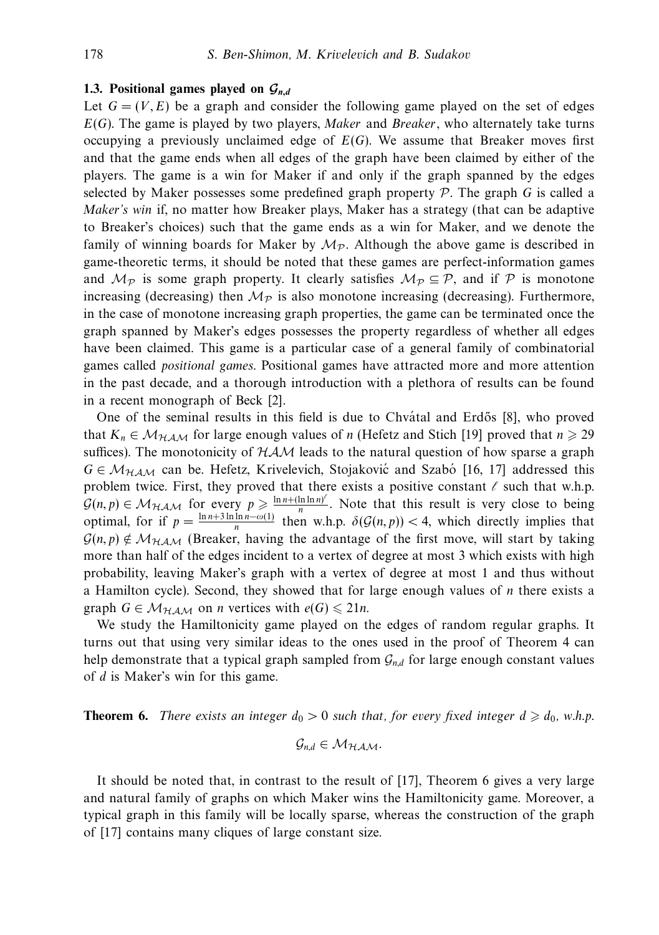#### **1.3. Positional games played on** *Gn,d*

Let  $G = (V, E)$  be a graph and consider the following game played on the set of edges *E*(*G*). The game is played by two players, Maker and Breaker, who alternately take turns occupying a previously unclaimed edge of *E*(*G*). We assume that Breaker moves first and that the game ends when all edges of the graph have been claimed by either of the players. The game is a win for Maker if and only if the graph spanned by the edges selected by Maker possesses some predefined graph property  $P$ . The graph  $G$  is called a Maker's win if, no matter how Breaker plays, Maker has a strategy (that can be adaptive to Breaker's choices) such that the game ends as a win for Maker, and we denote the family of winning boards for Maker by  $\mathcal{M}_{\mathcal{P}}$ . Although the above game is described in game-theoretic terms, it should be noted that these games are perfect-information games and  $\mathcal{M}_{\mathcal{P}}$  is some graph property. It clearly satisfies  $\mathcal{M}_{\mathcal{P}} \subseteq \mathcal{P}$ , and if  $\mathcal{P}$  is monotone increasing (decreasing) then  $\mathcal{M}_{\mathcal{P}}$  is also monotone increasing (decreasing). Furthermore, in the case of monotone increasing graph properties, the game can be terminated once the graph spanned by Maker's edges possesses the property regardless of whether all edges have been claimed. This game is a particular case of a general family of combinatorial games called positional games. Positional games have attracted more and more attention in the past decade, and a thorough introduction with a plethora of results can be found in a recent monograph of Beck [2].

One of the seminal results in this field is due to Chvatal and Erdős [8], who proved that  $K_n \in \mathcal{M}_{HAM}$  for large enough values of *n* (Hefetz and Stich [19] proved that  $n \geq 29$ suffices). The monotonicity of  $HAM$  leads to the natural question of how sparse a graph  $G \in \mathcal{M}_{HAM}$  can be. Hefetz, Krivelevich, Stojaković and Szabó [16, 17] addressed this problem twice. First, they proved that there exists a positive constant  $\ell$  such that w.h.p.  $\mathcal{G}(n, p) \in \mathcal{M}_{\mathcal{HAM}}$  for every  $p \geqslant \frac{\ln n + (\ln \ln n)^2}{n}$ . Note that this result is very close to being optimal, for if  $p = \frac{\ln n + 3 \ln \ln n - \omega(1)}{n}$  then w.h.p.  $\delta(G(n, p)) < 4$ , which directly implies that  $\mathcal{G}(n, p) \notin \mathcal{M}_{H,AM}$  (Breaker, having the advantage of the first move, will start by taking more than half of the edges incident to a vertex of degree at most 3 which exists with high probability, leaving Maker's graph with a vertex of degree at most 1 and thus without a Hamilton cycle). Second, they showed that for large enough values of *n* there exists a graph  $G \in \mathcal{M}_{HAM}$  on *n* vertices with  $e(G) \leq 21n$ .

We study the Hamiltonicity game played on the edges of random regular graphs. It turns out that using very similar ideas to the ones used in the proof of Theorem 4 can help demonstrate that a typical graph sampled from  $\mathcal{G}_{n,d}$  for large enough constant values of *d* is Maker's win for this game.

**Theorem 6.** There exists an integer  $d_0 > 0$  such that, for every fixed integer  $d \geq d_0$ , w.h.p.

$$
\mathcal{G}_{n,d} \in \mathcal{M}_{\mathcal{HAM}}.
$$

It should be noted that, in contrast to the result of [17], Theorem 6 gives a very large and natural family of graphs on which Maker wins the Hamiltonicity game. Moreover, a typical graph in this family will be locally sparse, whereas the construction of the graph of [17] contains many cliques of large constant size.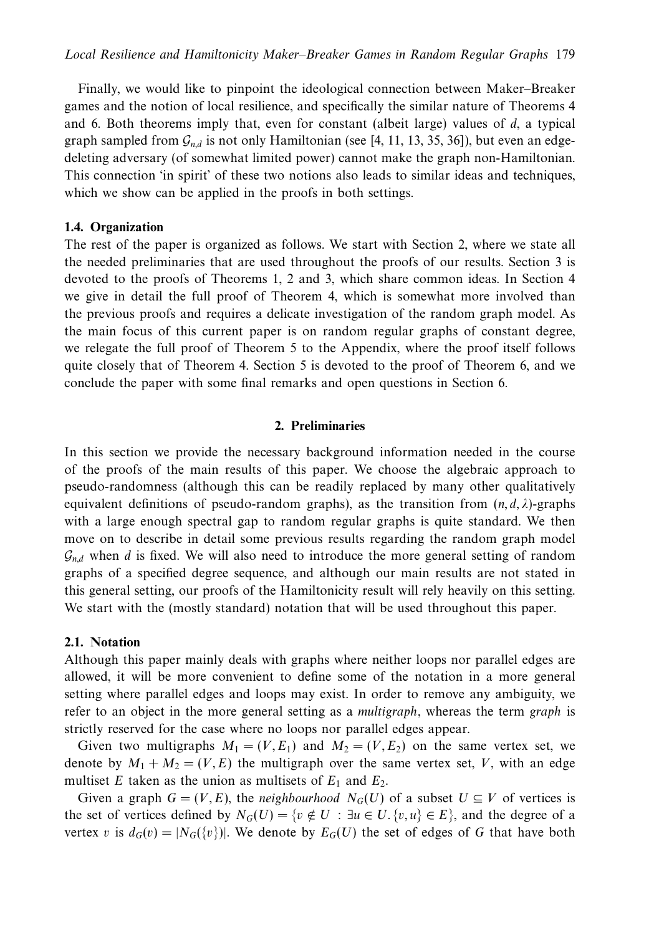Finally, we would like to pinpoint the ideological connection between Maker–Breaker games and the notion of local resilience, and specifically the similar nature of Theorems 4 and 6. Both theorems imply that, even for constant (albeit large) values of *d*, a typical graph sampled from  $\mathcal{G}_{n,d}$  is not only Hamiltonian (see [4, 11, 13, 35, 36]), but even an edgedeleting adversary (of somewhat limited power) cannot make the graph non-Hamiltonian. This connection 'in spirit' of these two notions also leads to similar ideas and techniques, which we show can be applied in the proofs in both settings.

# **1.4. Organization**

The rest of the paper is organized as follows. We start with Section 2, where we state all the needed preliminaries that are used throughout the proofs of our results. Section 3 is devoted to the proofs of Theorems 1, 2 and 3, which share common ideas. In Section 4 we give in detail the full proof of Theorem 4, which is somewhat more involved than the previous proofs and requires a delicate investigation of the random graph model. As the main focus of this current paper is on random regular graphs of constant degree, we relegate the full proof of Theorem 5 to the Appendix, where the proof itself follows quite closely that of Theorem 4. Section 5 is devoted to the proof of Theorem 6, and we conclude the paper with some final remarks and open questions in Section 6.

## **2. Preliminaries**

In this section we provide the necessary background information needed in the course of the proofs of the main results of this paper. We choose the algebraic approach to pseudo-randomness (although this can be readily replaced by many other qualitatively equivalent definitions of pseudo-random graphs), as the transition from  $(n, d, \lambda)$ -graphs with a large enough spectral gap to random regular graphs is quite standard. We then move on to describe in detail some previous results regarding the random graph model  $\mathcal{G}_{nd}$  when *d* is fixed. We will also need to introduce the more general setting of random graphs of a specified degree sequence, and although our main results are not stated in this general setting, our proofs of the Hamiltonicity result will rely heavily on this setting. We start with the (mostly standard) notation that will be used throughout this paper.

## **2.1. Notation**

Although this paper mainly deals with graphs where neither loops nor parallel edges are allowed, it will be more convenient to define some of the notation in a more general setting where parallel edges and loops may exist. In order to remove any ambiguity, we refer to an object in the more general setting as a *multigraph*, whereas the term *graph* is strictly reserved for the case where no loops nor parallel edges appear.

Given two multigraphs  $M_1 = (V, E_1)$  and  $M_2 = (V, E_2)$  on the same vertex set, we denote by  $M_1 + M_2 = (V, E)$  the multigraph over the same vertex set, V, with an edge multiset *E* taken as the union as multisets of  $E_1$  and  $E_2$ .

Given a graph  $G = (V, E)$ , the *neighbourhood*  $N_G(U)$  of a subset  $U \subseteq V$  of vertices is the set of vertices defined by  $N_G(U) = \{v \notin U : \exists u \in U, \{v, u\} \in E\}$ , and the degree of a vertex *v* is  $d_G(v) = |N_G(\{v\})|$ . We denote by  $E_G(U)$  the set of edges of G that have both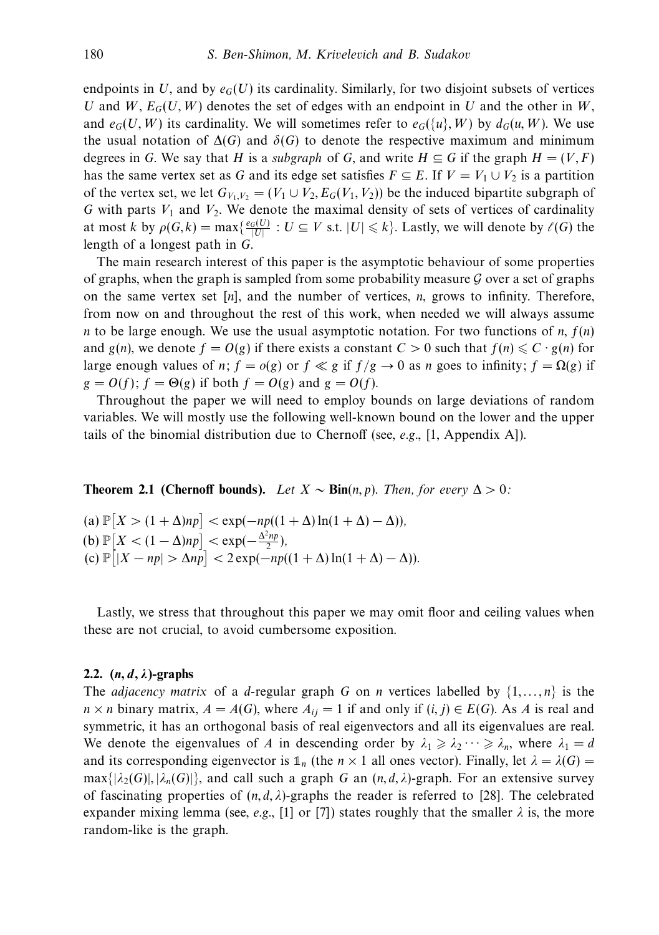endpoints in *U*, and by  $e_G(U)$  its cardinality. Similarly, for two disjoint subsets of vertices *U* and *W*,  $E_G(U, W)$  denotes the set of edges with an endpoint in *U* and the other in *W*, and  $e_G(U, W)$  its cardinality. We will sometimes refer to  $e_G({u}, W)$  by  $d_G(u, W)$ . We use the usual notation of  $\Delta(G)$  and  $\delta(G)$  to denote the respective maximum and minimum degrees in *G*. We say that *H* is a *subgraph* of *G*, and write  $H \subseteq G$  if the graph  $H = (V, F)$ has the same vertex set as *G* and its edge set satisfies  $F \subseteq E$ . If  $V = V_1 \cup V_2$  is a partition of the vertex set, we let  $G_{V_1,V_2} = (V_1 \cup V_2, E_G(V_1, V_2))$  be the induced bipartite subgraph of  $G$  with parts  $V_1$  and  $V_2$ . We denote the maximal density of sets of vertices of cardinality at most *k* by  $\rho(G, k) = \max\{\frac{e_G(U)}{|U|} : U \subseteq V \text{ s.t. } |U| \leq k\}$ . Lastly, we will denote by  $\ell(G)$  the length of a longest path in *G*.

The main research interest of this paper is the asymptotic behaviour of some properties of graphs, when the graph is sampled from some probability measure  $G$  over a set of graphs on the same vertex set [*n*], and the number of vertices, *n*, grows to infinity. Therefore, from now on and throughout the rest of this work, when needed we will always assume *n* to be large enough. We use the usual asymptotic notation. For two functions of *n*, *f*(*n*) and *g*(*n*), we denote  $f = O(g)$  if there exists a constant  $C > 0$  such that  $f(n) \leq C \cdot g(n)$  for large enough values of *n*;  $f = o(g)$  or  $f \ll g$  if  $f/g \to 0$  as *n* goes to infinity;  $f = \Omega(g)$  if  $g = O(f)$ ;  $f = \Theta(g)$  if both  $f = O(g)$  and  $g = O(f)$ .

Throughout the paper we will need to employ bounds on large deviations of random variables. We will mostly use the following well-known bound on the lower and the upper tails of the binomial distribution due to Chernoff (see, e.g., [1, Appendix A]).

**Theorem 2.1 (Chernoff bounds).** Let  $X \sim Bin(n, p)$ . Then, for every  $\Delta > 0$ :

 $\left| \text{Im}(\mathbf{X}) \mathbb{P}\left[ \mathbf{X} > (1 + \Delta)np \right] < \exp(-np((1 + \Delta) \ln(1 + \Delta) - \Delta)),$ (**b**)  $\mathbb{P}\left[ X \leq (1 - \Delta)np \right]$  < exp( $-\frac{\Delta^2 np}{2}$ ),  $\left| \cosh \left( \frac{p}{|X - np|} \right) \right| < 2 \exp(-np((1 + \Delta) \ln(1 + \Delta) - \Delta)).$ 

Lastly, we stress that throughout this paper we may omit floor and ceiling values when these are not crucial, to avoid cumbersome exposition.

#### **2.2. (***n, d, λ***)-graphs**

The *adjacency matrix* of a *d*-regular graph *G* on *n* vertices labelled by  $\{1, \ldots, n\}$  is the *n* × *n* binary matrix,  $A = A(G)$ , where  $A_{ij} = 1$  if and only if  $(i, j) \in E(G)$ . As *A* is real and symmetric, it has an orthogonal basis of real eigenvectors and all its eigenvalues are real. We denote the eigenvalues of *A* in descending order by  $\lambda_1 \geq \lambda_2 \cdots \geq \lambda_n$ , where  $\lambda_1 = d$ and its corresponding eigenvector is  $\mathbb{1}_n$  (the  $n \times 1$  all ones vector). Finally, let  $\lambda = \lambda(G)$  =  $\max\{|\lambda_2(G)|, |\lambda_n(G)|\}$ , and call such a graph *G* an  $(n, d, \lambda)$ -graph. For an extensive survey of fascinating properties of  $(n, d, \lambda)$ -graphs the reader is referred to [28]. The celebrated expander mixing lemma (see, *e.g.*, [1] or [7]) states roughly that the smaller  $\lambda$  is, the more random-like is the graph.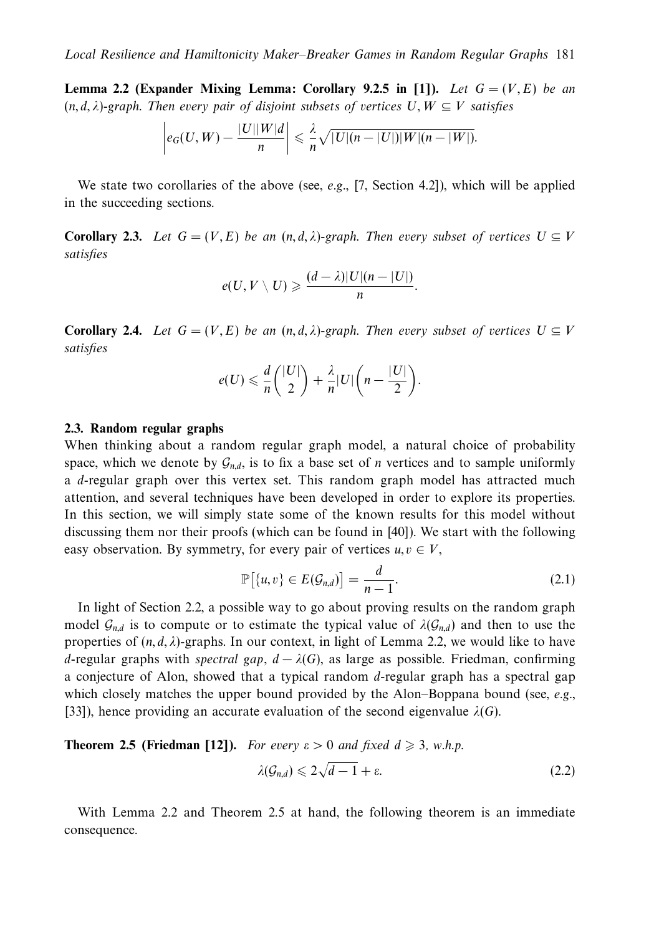**Lemma 2.2 (Expander Mixing Lemma: Corollary 9.2.5 in [1]).** Let  $G = (V, E)$  be an  $(n, d, \lambda)$ -graph. Then every pair of disjoint subsets of vertices  $U, W \subseteq V$  satisfies

$$
\left|e_G(U,W)-\frac{|U||W|d}{n}\right|\leqslant \frac{\lambda}{n}\sqrt{|U|(n-|U|)|W|(n-|W|)}.
$$

We state two corollaries of the above (see,  $e.g., [7, Section 4.2]$ ), which will be applied in the succeeding sections.

**Corollary 2.3.** Let  $G = (V, E)$  be an  $(n, d, \lambda)$ -graph. Then every subset of vertices  $U \subseteq V$ satisfies

$$
e(U, V \setminus U) \geqslant \frac{(d - \lambda)|U|(n - |U|)}{n}.
$$

**Corollary 2.4.** Let  $G = (V, E)$  be an  $(n, d, \lambda)$ -graph. Then every subset of vertices  $U \subseteq V$ satisfies

$$
e(U) \leqslant \frac{d}{n} \binom{|U|}{2} + \frac{\lambda}{n} |U| \bigg(n - \frac{|U|}{2}\bigg).
$$

## **2.3. Random regular graphs**

When thinking about a random regular graph model, a natural choice of probability space, which we denote by  $\mathcal{G}_{n,d}$ , is to fix a base set of *n* vertices and to sample uniformly a *d*-regular graph over this vertex set. This random graph model has attracted much attention, and several techniques have been developed in order to explore its properties. In this section, we will simply state some of the known results for this model without discussing them nor their proofs (which can be found in [40]). We start with the following easy observation. By symmetry, for every pair of vertices  $u, v \in V$ ,

$$
\mathbb{P}[\{u,v\} \in E(\mathcal{G}_{n,d})] = \frac{d}{n-1}.\tag{2.1}
$$

In light of Section 2.2, a possible way to go about proving results on the random graph model  $\mathcal{G}_{n,d}$  is to compute or to estimate the typical value of  $\lambda(\mathcal{G}_{n,d})$  and then to use the properties of  $(n, d, \lambda)$ -graphs. In our context, in light of Lemma 2.2, we would like to have *d*-regular graphs with spectral gap,  $d - \lambda(G)$ , as large as possible. Friedman, confirming a conjecture of Alon, showed that a typical random *d*-regular graph has a spectral gap which closely matches the upper bound provided by the Alon–Boppana bound (see, *e.g.*, [33]), hence providing an accurate evaluation of the second eigenvalue  $\lambda(G)$ .

**Theorem 2.5 (Friedman [12]).** For every 
$$
\varepsilon > 0
$$
 and fixed  $d \ge 3$ , w.h.p.  

$$
\lambda(\mathcal{G}_{n,d}) \leq 2\sqrt{d-1} + \varepsilon.
$$
 (2.2)

With Lemma 2.2 and Theorem 2.5 at hand, the following theorem is an immediate consequence.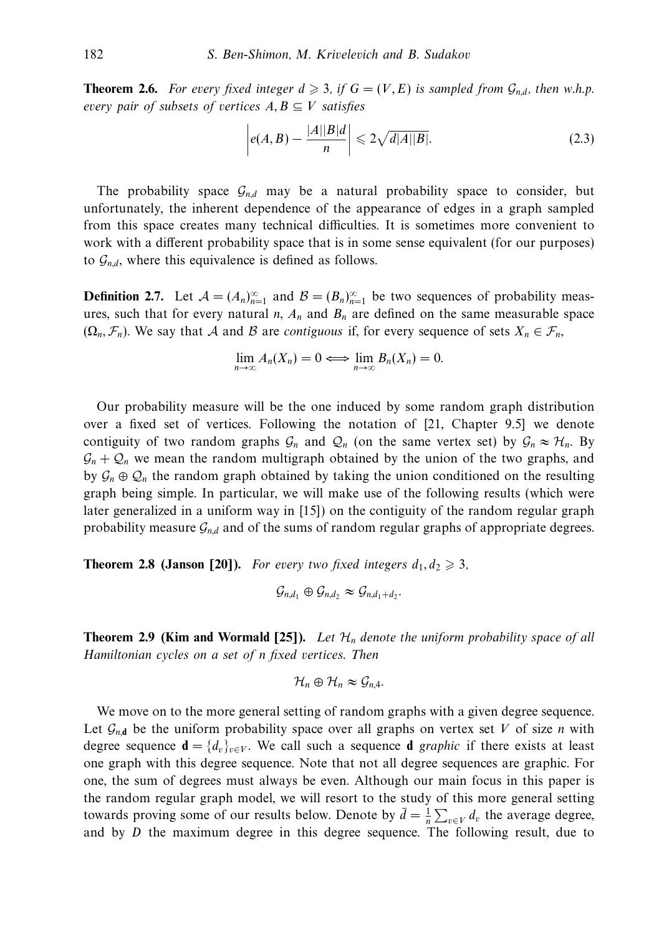**Theorem 2.6.** For every fixed integer  $d \geq 3$ , if  $G = (V, E)$  is sampled from  $\mathcal{G}_{n,d}$ , then w.h.p. every pair of subsets of vertices  $A, B \subseteq V$  satisfies

$$
\left| e(A,B) - \frac{|A||B|d}{n} \right| \leqslant 2\sqrt{d|A||B|}.\tag{2.3}
$$

The probability space  $\mathcal{G}_{nd}$  may be a natural probability space to consider, but unfortunately, the inherent dependence of the appearance of edges in a graph sampled from this space creates many technical difficulties. It is sometimes more convenient to work with a different probability space that is in some sense equivalent (for our purposes) to  $\mathcal{G}_{n,d}$ , where this equivalence is defined as follows.

**Definition 2.7.** Let  $A = (A_n)_{n=1}^{\infty}$  and  $B = (B_n)_{n=1}^{\infty}$  be two sequences of probability measures, such that for every natural *n*,  $A_n$  and  $B_n$  are defined on the same measurable space  $(\Omega_n, \mathcal{F}_n)$ . We say that A and B are *contiguous* if, for every sequence of sets  $X_n \in \mathcal{F}_n$ ,

$$
\lim_{n\to\infty}A_n(X_n)=0\Longleftrightarrow \lim_{n\to\infty}B_n(X_n)=0.
$$

Our probability measure will be the one induced by some random graph distribution over a fixed set of vertices. Following the notation of [21, Chapter 9.5] we denote contiguity of two random graphs  $\mathcal{G}_n$  and  $\mathcal{Q}_n$  (on the same vertex set) by  $\mathcal{G}_n \approx \mathcal{H}_n$ . By  $\mathcal{G}_n + \mathcal{Q}_n$  we mean the random multigraph obtained by the union of the two graphs, and by  $\mathcal{G}_n \oplus \mathcal{Q}_n$  the random graph obtained by taking the union conditioned on the resulting graph being simple. In particular, we will make use of the following results (which were later generalized in a uniform way in [15]) on the contiguity of the random regular graph probability measure  $\mathcal{G}_{n,d}$  and of the sums of random regular graphs of appropriate degrees.

**Theorem 2.8 (Janson [20]).** For every two fixed integers  $d_1, d_2 \geq 3$ ,

$$
\mathcal{G}_{n,d_1}\oplus\mathcal{G}_{n,d_2}\approx\mathcal{G}_{n,d_1+d_2}.
$$

**Theorem 2.9 (Kim and Wormald [25]).** Let  $\mathcal{H}_n$  denote the uniform probability space of all Hamiltonian cycles on a set of *n* fixed vertices. Then

$$
\mathcal{H}_n\oplus\mathcal{H}_n\approx\mathcal{G}_{n,4}.
$$

We move on to the more general setting of random graphs with a given degree sequence. Let  $\mathcal{G}_{n,d}$  be the uniform probability space over all graphs on vertex set *V* of size *n* with degree sequence  $\mathbf{d} = \{d_v\}_{v \in V}$ . We call such a sequence **d** graphic if there exists at least one graph with this degree sequence. Note that not all degree sequences are graphic. For one, the sum of degrees must always be even. Although our main focus in this paper is the random regular graph model, we will resort to the study of this more general setting towards proving some of our results below. Denote by  $\bar{d} = \frac{1}{n} \sum_{v \in V} d_v$  the average degree, and by *D* the maximum degree in this degree sequence. The following result, due to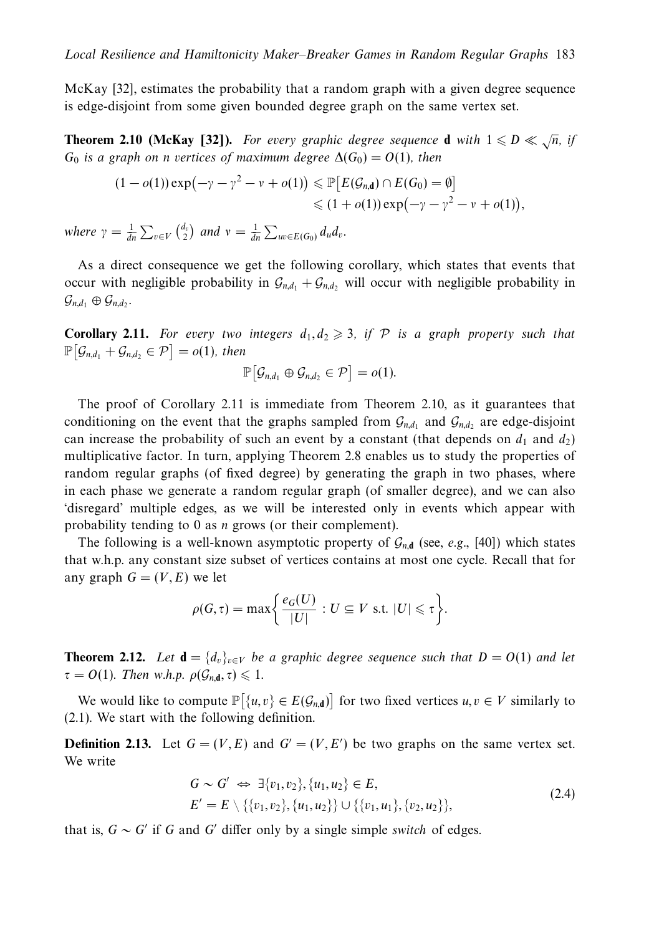McKay [32], estimates the probability that a random graph with a given degree sequence is edge-disjoint from some given bounded degree graph on the same vertex set.

**Theorem 2.10 (McKay [32]).** For every graphic degree sequence **d** with  $1 \leq D \leq \sqrt{n}$ , if *G*<sub>0</sub> is a graph on *n* vertices of maximum degree  $\Delta(G_0) = O(1)$ , then

$$
(1-o(1))\exp(-\gamma-\gamma^2-\nu+o(1)) \leq \mathbb{P}\big[E(\mathcal{G}_{n,\mathbf{d}})\cap E(G_0)=\emptyset\big] \leq (1+o(1))\exp(-\gamma-\gamma^2-\nu+o(1)),
$$

where  $\gamma = \frac{1}{dn} \sum_{v \in V} {d_v \choose 2}$  and  $v = \frac{1}{dn} \sum_{uv \in E(G_0)} d_u d_v$ .

As a direct consequence we get the following corollary, which states that events that occur with negligible probability in  $\mathcal{G}_{n,d_1} + \mathcal{G}_{n,d_2}$  will occur with negligible probability in  $\mathcal{G}_{n,d_1} \oplus \mathcal{G}_{n,d_2}$ .

**Corollary 2.11.** For every two integers  $d_1, d_2 \geq 3$ , if  $P$  is a graph property such that  $\mathbb{P}\big[\mathcal{G}_{n,d_1} + \mathcal{G}_{n,d_2} \in \mathcal{P}\big] = o(1)$ , then

$$
\mathbb{P}\big[\mathcal{G}_{n,d_1}\oplus\mathcal{G}_{n,d_2}\in\mathcal{P}\big]=o(1).
$$

The proof of Corollary 2.11 is immediate from Theorem 2.10, as it guarantees that conditioning on the event that the graphs sampled from  $\mathcal{G}_{n,d_1}$  and  $\mathcal{G}_{n,d_2}$  are edge-disjoint can increase the probability of such an event by a constant (that depends on  $d_1$  and  $d_2$ ) multiplicative factor. In turn, applying Theorem 2.8 enables us to study the properties of random regular graphs (of fixed degree) by generating the graph in two phases, where in each phase we generate a random regular graph (of smaller degree), and we can also 'disregard' multiple edges, as we will be interested only in events which appear with probability tending to 0 as *n* grows (or their complement).

The following is a well-known asymptotic property of  $\mathcal{G}_{n,d}$  (see, e.g., [40]) which states that w.h.p. any constant size subset of vertices contains at most one cycle. Recall that for any graph  $G = (V, E)$  we let

$$
\rho(G,\tau)=\max\bigg\{\frac{e_G(U)}{|U|}: U\subseteq V \text{ s.t. } |U|\leq \tau\bigg\}.
$$

**Theorem 2.12.** Let  $\mathbf{d} = \{d_v\}_{v \in V}$  be a graphic degree sequence such that  $D = O(1)$  and let  $\tau = O(1)$ . Then w.h.p.  $\rho(\mathcal{G}_{n,d}, \tau) \leq 1$ .

We would like to compute  $\mathbb{P}[\{u, v\} \in E(\mathcal{G}_{n,d})]$  for two fixed vertices  $u, v \in V$  similarly to (2.1). We start with the following definition.

**Definition 2.13.** Let  $G = (V, E)$  and  $G' = (V, E')$  be two graphs on the same vertex set. We write

$$
G \sim G' \Leftrightarrow \exists \{v_1, v_2\}, \{u_1, u_2\} \in E, E' = E \setminus \{\{v_1, v_2\}, \{u_1, u_2\}\} \cup \{\{v_1, u_1\}, \{v_2, u_2\}\},
$$
(2.4)

that is,  $G \sim G'$  if G and G' differ only by a single simple switch of edges.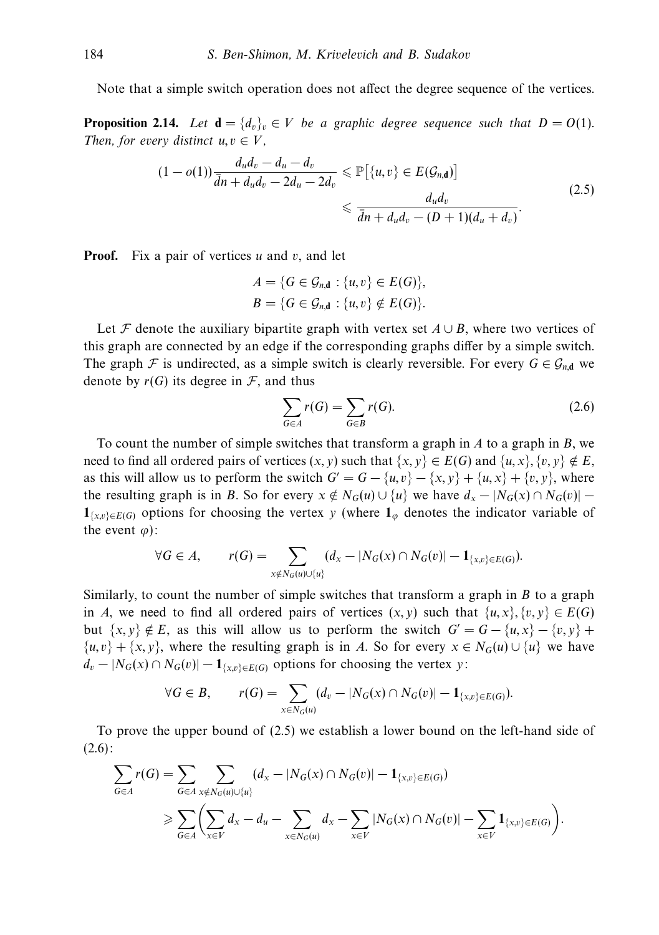Note that a simple switch operation does not affect the degree sequence of the vertices.

**Proposition 2.14.** Let  $\mathbf{d} = \{d_v\}_v \in V$  be a graphic degree sequence such that  $D = O(1)$ . Then, for every distinct  $u, v \in V$ ,

$$
(1 - o(1)) \frac{d_u d_v - d_u - d_v}{\overline{d}n + d_u d_v - 2d_u - 2d_v} \leqslant \mathbb{P}\big[\{u, v\} \in E(\mathcal{G}_{n,d})\big] \leqslant \frac{d_u d_v}{\overline{d}n + d_u d_v - (D+1)(d_u + d_v)}.
$$
\n
$$
(2.5)
$$

**Proof.** Fix a pair of vertices *u* and *v*, and let

$$
A = \{G \in \mathcal{G}_{n,\mathbf{d}} : \{u,v\} \in E(G)\},
$$
  

$$
B = \{G \in \mathcal{G}_{n,\mathbf{d}} : \{u,v\} \notin E(G)\}.
$$

Let F denote the auxiliary bipartite graph with vertex set  $A \cup B$ , where two vertices of this graph are connected by an edge if the corresponding graphs differ by a simple switch. The graph F is undirected, as a simple switch is clearly reversible. For every  $G \in \mathcal{G}_{n,d}$  we denote by  $r(G)$  its degree in  $\mathcal F$ , and thus

$$
\sum_{G \in A} r(G) = \sum_{G \in B} r(G). \tag{2.6}
$$

To count the number of simple switches that transform a graph in *A* to a graph in *B*, we need to find all ordered pairs of vertices  $(x, y)$  such that  $\{x, y\} \in E(G)$  and  $\{u, x\}, \{v, y\} \notin E$ , as this will allow us to perform the switch  $G' = G - \{u, v\} - \{x, y\} + \{u, x\} + \{v, y\}$ , where the resulting graph is in *B*. So for every  $x \notin N_G(u) \cup \{u\}$  we have  $d_x - |N_G(x) \cap N_G(v)|$  – **1**{ $x,v$  ∈*E*(*G*) options for choosing the vertex *y* (where **1**<sub>*ϕ*</sub> denotes the indicator variable of the event  $\varphi$ ):

$$
\forall G \in A, \qquad r(G) = \sum_{x \notin N_G(u) \cup \{u\}} (d_x - |N_G(x) \cap N_G(v)| - 1_{\{x,v\} \in E(G)}).
$$

Similarly, to count the number of simple switches that transform a graph in *B* to a graph in *A*, we need to find all ordered pairs of vertices  $(x, y)$  such that  $\{u, x\}, \{v, v\} \in E(G)$ but  $\{x, y\} \notin E$ , as this will allow us to perform the switch  $G' = G - \{u, x\} - \{v, y\} +$  $\{u, v\} + \{x, y\}$ , where the resulting graph is in *A*. So for every  $x \in N_G(u) \cup \{u\}$  we have  $d_v - |N_G(x) \cap N_G(v)| - 1_{\{x,v\} \in E(G)}$  options for choosing the vertex *y*:

$$
\forall G \in B, \qquad r(G) = \sum_{x \in N_G(u)} (d_v - |N_G(x) \cap N_G(v)| - 1_{\{x, v\} \in E(G)}).
$$

To prove the upper bound of (2.5) we establish a lower bound on the left-hand side of  $(2.6)$ :

$$
\sum_{G \in A} r(G) = \sum_{G \in A} \sum_{x \notin N_G(u) \cup \{u\}} (d_x - |N_G(x) \cap N_G(v)| - 1_{\{x, v\} \in E(G)})
$$
\n
$$
\geq \sum_{G \in A} \left( \sum_{x \in V} d_x - d_u - \sum_{x \in N_G(u)} d_x - \sum_{x \in V} |N_G(x) \cap N_G(v)| - \sum_{x \in V} 1_{\{x, v\} \in E(G)} \right).
$$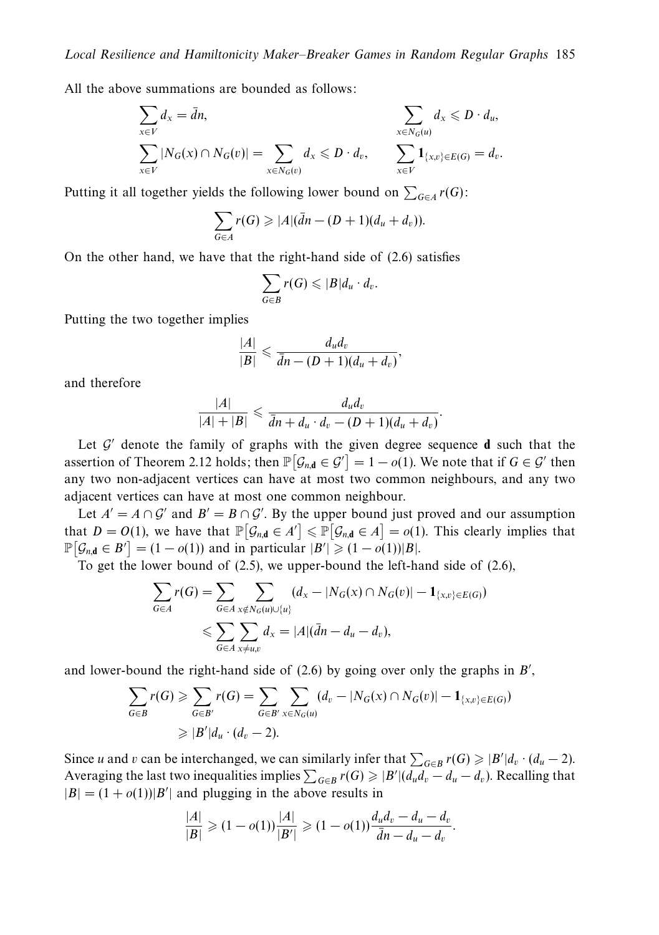All the above summations are bounded as follows:

$$
\sum_{x \in V} d_x = \bar{d}n, \qquad \qquad \sum_{x \in N_G(u)} d_x \le D \cdot d_u, \sum_{x \in N_G(v)} |N_G(x) \cap N_G(v)| = \sum_{x \in N_G(v)} d_x \le D \cdot d_v, \qquad \sum_{x \in V} \mathbf{1}_{\{x, v\} \in E(G)} = d_v.
$$

Putting it all together yields the following lower bound on  $\sum_{G \in A} r(G)$ :

$$
\sum_{G\in A} r(G) \geqslant |A|(\bar{d}n-(D+1)(d_u+d_v)).
$$

On the other hand, we have that the right-hand side of (2.6) satisfies

$$
\sum_{G\in B}r(G)\leqslant |B|d_u\cdot d_v.
$$

Putting the two together implies

$$
\frac{|A|}{|B|} \leqslant \frac{d_u d_v}{\bar{d}n - (D+1)(d_u + d_v)},
$$

and therefore

$$
\frac{|A|}{|A|+|B|} \leq \frac{d_u d_v}{\bar{d}n + d_u \cdot d_v - (D+1)(d_u + d_v)}.
$$

Let  $\mathcal{G}'$  denote the family of graphs with the given degree sequence **d** such that the assertion of Theorem 2.12 holds; then  $\mathbb{P}[\mathcal{G}_{n,\mathbf{d}} \in \mathcal{G}'] = 1 - o(1)$ . We note that if  $G \in \mathcal{G}'$  then any two non-adjacent vertices can have at most two common neighbours, and any two adjacent vertices can have at most one common neighbour.

Let  $A' = A \cap G'$  and  $B' = B \cap G'$ . By the upper bound just proved and our assumption that  $D = O(1)$ , we have that  $\mathbb{P}[\mathcal{G}_{n,d} \in A'] \leq \mathbb{P}[\mathcal{G}_{n,d} \in A] = o(1)$ . This clearly implies that  $\mathbb{P}\big[\mathcal{G}_{n,\mathbf{d}} \in B'\big] = (1 - o(1))$  and in particular  $|B'| \geq (1 - o(1))|B|$ .

To get the lower bound of (2.5), we upper-bound the left-hand side of (2.6),

$$
\sum_{G \in A} r(G) = \sum_{G \in A} \sum_{x \notin N_G(u) \cup \{u\}} (d_x - |N_G(x) \cap N_G(v)| - 1_{\{x, v\} \in E(G)})
$$
  

$$
\leq \sum_{G \in A} \sum_{x \neq u, v} d_x = |A| (\bar{d}n - d_u - d_v),
$$

and lower-bound the right-hand side of (2.6) by going over only the graphs in *B* ,

$$
\sum_{G \in B} r(G) \geqslant \sum_{G \in B'} r(G) = \sum_{G \in B'} \sum_{x \in N_G(u)} (d_v - |N_G(x) \cap N_G(v)| - 1_{\{x, v\} \in E(G)})
$$
  
 
$$
\geqslant |B'|d_u \cdot (d_v - 2).
$$

Since *u* and *v* can be interchanged, we can similarly infer that  $\sum_{G \in B} r(G) \geq |B'| d_v \cdot (d_u - 2)$ . Averaging the last two inequalities implies  $\sum_{G \in B} r(G) \geqslant |B'| (d_u d_v - d_u - d_v)$ . Recalling that  $|B| = (1 + o(1))|B'|$  and plugging in the above results in

$$
\frac{|A|}{|B|} \geq (1 - o(1)) \frac{|A|}{|B'|} \geq (1 - o(1)) \frac{d_u d_v - d_u - d_v}{\bar{d}n - d_u - d_v}.
$$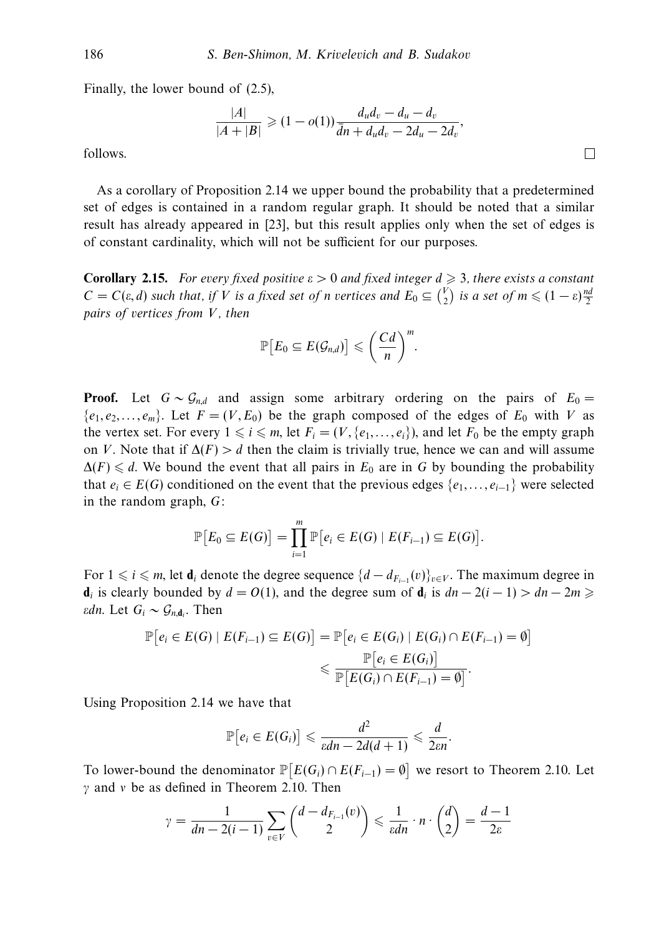Finally, the lower bound of (2.5),

$$
\frac{|A|}{|A+|B|} \ge (1 - o(1)) \frac{d_u d_v - d_u - d_v}{\bar{d}n + d_u d_v - 2d_u - 2d_v},
$$

follows.

As a corollary of Proposition 2.14 we upper bound the probability that a predetermined set of edges is contained in a random regular graph. It should be noted that a similar result has already appeared in [23], but this result applies only when the set of edges is of constant cardinality, which will not be sufficient for our purposes.

**Corollary 2.15.** For every fixed positive  $\varepsilon > 0$  and fixed integer  $d \geq 3$ , there exists a constant  $C = C(\varepsilon, d)$  such that, if *V* is a fixed set of *n* vertices and  $E_0 \subseteq {V \choose 2}$  is a set of  $m \leq (1 - \varepsilon) \frac{nd}{2}$ pairs of vertices from *V*, then

$$
\mathbb{P}\big[E_0\subseteq E(\mathcal{G}_{n,d})\big]\leqslant\bigg(\frac{Cd}{n}\bigg)^m.
$$

**Proof.** Let  $G \sim \mathcal{G}_{nd}$  and assign some arbitrary ordering on the pairs of  $E_0 =$  ${e_1, e_2, \ldots, e_m}$ . Let  $F = (V, E_0)$  be the graph composed of the edges of  $E_0$  with *V* as the vertex set. For every  $1 \leq i \leq m$ , let  $F_i = (V, \{e_1, \ldots, e_i\})$ , and let  $F_0$  be the empty graph on *V*. Note that if  $\Delta(F) > d$  then the claim is trivially true, hence we can and will assume  $\Delta(F) \leq d$ . We bound the event that all pairs in  $E_0$  are in G by bounding the probability that  $e_i \in E(G)$  conditioned on the event that the previous edges  $\{e_1, \ldots, e_{i-1}\}$  were selected in the random graph, *G*:

$$
\mathbb{P}\big[E_0 \subseteq E(G)\big] = \prod_{i=1}^m \mathbb{P}\big[e_i \in E(G) \mid E(F_{i-1}) \subseteq E(G)\big].
$$

For  $1 \le i \le m$ , let **d**<sub>*i*</sub> denote the degree sequence  $\{d - d_{F_{i-1}}(v)\}_{v \in V}$ . The maximum degree in **d**<sub>*i*</sub> is clearly bounded by  $d = O(1)$ , and the degree sum of **d**<sub>*i*</sub> is  $dn - 2(i - 1) > dn - 2m$  ≥ *εdn*. Let  $G_i \sim G_{n,\mathbf{d}_i}$ . Then

$$
\mathbb{P}\big[e_i \in E(G) \mid E(F_{i-1}) \subseteq E(G)\big] = \mathbb{P}\big[e_i \in E(G_i) \mid E(G_i) \cap E(F_{i-1}) = \emptyset\big] \le \frac{\mathbb{P}\big[e_i \in E(G_i)\big]}{\mathbb{P}\big[E(G_i) \cap E(F_{i-1}) = \emptyset\big]}.
$$

Using Proposition 2.14 we have that

$$
\mathbb{P}\big[e_i \in E(G_i)\big] \leqslant \frac{d^2}{\varepsilon dn - 2d(d+1)} \leqslant \frac{d}{2\varepsilon n}.
$$

To lower-bound the denominator  $\mathbb{P}\left[E(G_i) \cap E(F_{i-1}) = \emptyset\right]$  we resort to Theorem 2.10. Let *γ* and *ν* be as defined in Theorem 2.10. Then

$$
\gamma = \frac{1}{dn - 2(i-1)} \sum_{v \in V} \binom{d - d_{F_{i-1}}(v)}{2} \leq \frac{1}{\varepsilon dn} \cdot n \cdot \binom{d}{2} = \frac{d-1}{2\varepsilon}
$$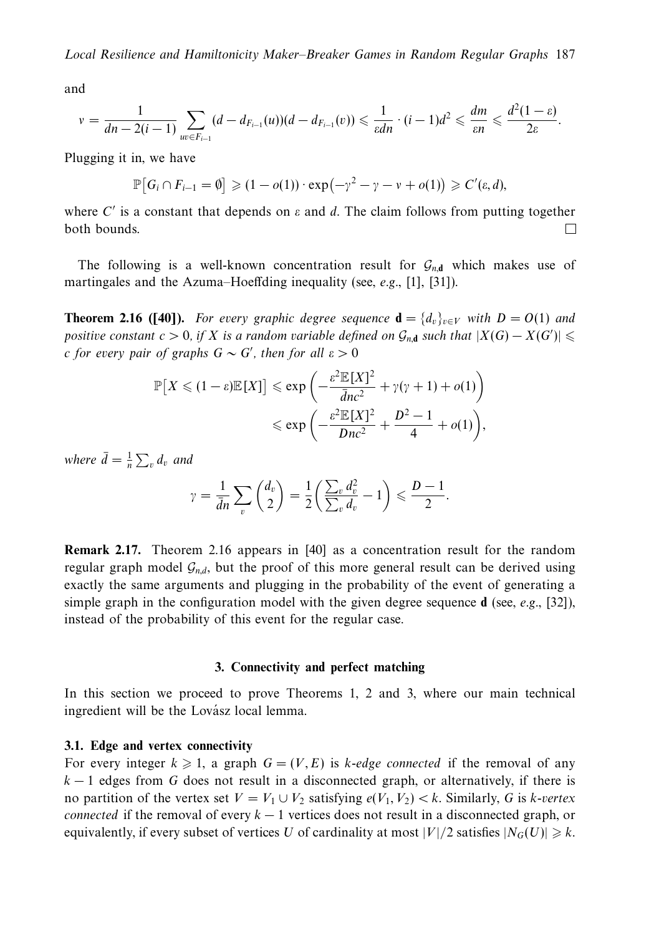and

$$
v = \frac{1}{dn - 2(i-1)} \sum_{uv \in F_{i-1}} (d - d_{F_{i-1}}(u))(d - d_{F_{i-1}}(v)) \leq \frac{1}{\varepsilon dn} \cdot (i-1)d^2 \leq \frac{dm}{\varepsilon n} \leq \frac{d^2(1-\varepsilon)}{2\varepsilon}.
$$

Plugging it in, we have

$$
\mathbb{P}\big[G_i \cap F_{i-1} = \emptyset\big] \geqslant (1 - o(1)) \cdot \exp\big(-\gamma^2 - \gamma - \nu + o(1)\big) \geqslant C'(\varepsilon, d),
$$

where  $C'$  is a constant that depends on  $\varepsilon$  and  $d$ . The claim follows from putting together both bounds. П

The following is a well-known concentration result for  $G_{n,d}$  which makes use of martingales and the Azuma–Hoeffding inequality (see, e.g., [1], [31]).

**Theorem 2.16 ([40]).** For every graphic degree sequence  $\mathbf{d} = \{d_v\}_{v \in V}$  with  $D = O(1)$  and positive constant  $c > 0$ , if *X* is a random variable defined on  $\mathcal{G}_{n,\mathbf{d}}$  such that  $|X(G) - X(G')| \leq$ *c* for every pair of graphs  $G \sim G'$ , then for all  $\varepsilon > 0$ 

$$
\mathbb{P}\left[X \leq (1-\varepsilon)\mathbb{E}[X]\right] \leq \exp\left(-\frac{\varepsilon^2 \mathbb{E}[X]^2}{\bar{d}nc^2} + \gamma(\gamma+1) + o(1)\right)
$$
  

$$
\leq \exp\left(-\frac{\varepsilon^2 \mathbb{E}[X]^2}{Dnc^2} + \frac{D^2 - 1}{4} + o(1)\right),
$$

where  $\bar{d} = \frac{1}{n} \sum_{v} d_{v}$  and

$$
\gamma = \frac{1}{\bar{d}n} \sum_{v} \binom{d_v}{2} = \frac{1}{2} \left( \frac{\sum_{v} d_v^2}{\sum_{v} d_v} - 1 \right) \leqslant \frac{D-1}{2}.
$$

**Remark 2.17.** Theorem 2.16 appears in [40] as a concentration result for the random regular graph model  $G_{n,d}$ , but the proof of this more general result can be derived using exactly the same arguments and plugging in the probability of the event of generating a simple graph in the configuration model with the given degree sequence **d** (see, e.g., [32]), instead of the probability of this event for the regular case.

# **3. Connectivity and perfect matching**

In this section we proceed to prove Theorems 1, 2 and 3, where our main technical ingredient will be the Lovász local lemma.

# **3.1. Edge and vertex connectivity**

For every integer  $k \geq 1$ , a graph  $G = (V, E)$  is *k*-edge connected if the removal of any *k* − 1 edges from *G* does not result in a disconnected graph, or alternatively, if there is no partition of the vertex set  $V = V_1 \cup V_2$  satisfying  $e(V_1, V_2) < k$ . Similarly, *G* is *k*-vertex connected if the removal of every *k* − 1 vertices does not result in a disconnected graph, or equivalently, if every subset of vertices  $U$  of cardinality at most  $|V|/2$  satisfies  $|N_G(U)| \geqslant k.$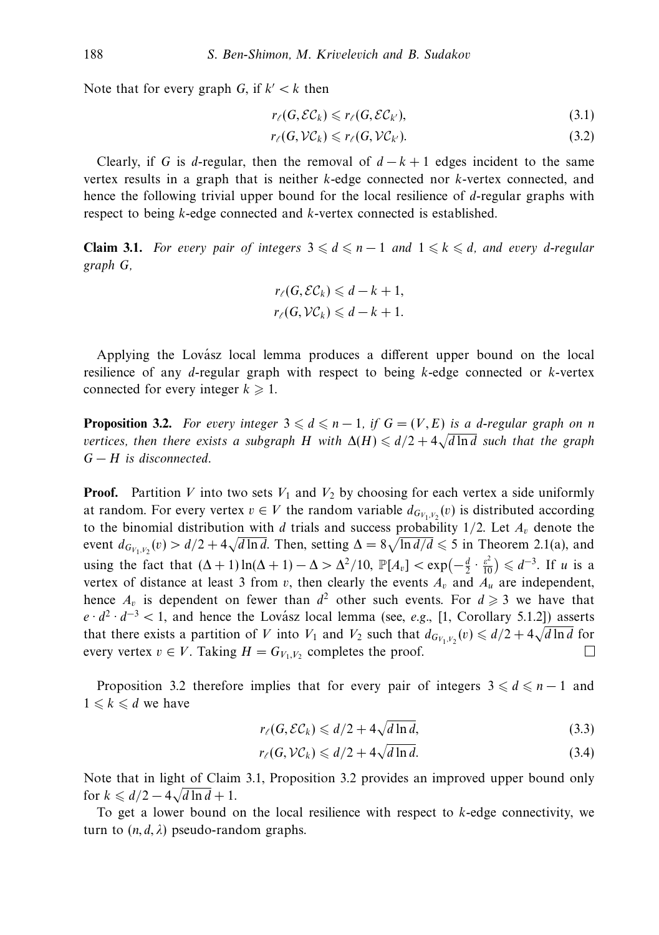Note that for every graph *G*, if  $k' < k$  then

$$
r_{\ell}(G, \mathcal{EC}_k) \leqslant r_{\ell}(G, \mathcal{EC}_{k'}),\tag{3.1}
$$

$$
r_{\ell}(G,\mathcal{VC}_k) \leqslant r_{\ell}(G,\mathcal{VC}_{k'}).
$$
\n(3.2)

Clearly, if *G* is *d*-regular, then the removal of  $d - k + 1$  edges incident to the same vertex results in a graph that is neither *k*-edge connected nor *k*-vertex connected, and hence the following trivial upper bound for the local resilience of *d*-regular graphs with respect to being *k*-edge connected and *k*-vertex connected is established.

**Claim 3.1.** For every pair of integers  $3 \leq d \leq n-1$  and  $1 \leq k \leq d$ , and every *d*-regular graph *G*,

$$
r_{\ell}(G, \mathcal{EC}_k) \leq d - k + 1,
$$
  

$$
r_{\ell}(G, \mathcal{VC}_k) \leq d - k + 1.
$$

Applying the Lovász local lemma produces a different upper bound on the local resilience of any *d*-regular graph with respect to being *k*-edge connected or *k*-vertex connected for every integer  $k \geq 1$ .

**Proposition 3.2.** For every integer  $3 \leq d \leq n-1$ , if  $G = (V, E)$  is a *d*-regular graph on *n* **i i** deposition 5.2. For every integer  $\overline{s} \leq a \leq n-1$ , if  $\overline{a} = (r, E)$  is a a-regatar graph on *n* vertices, then there exists a subgraph *H* with  $\Delta(H) \leq d/2 + 4\sqrt{d \ln d}$  such that the graph *G* − *H* is disconnected.

**Proof.** Partition *V* into two sets  $V_1$  and  $V_2$  by choosing for each vertex a side uniformly at random. For every vertex  $v \in V$  the random variable  $d_{G_{V_1, V_2}}(v)$  is distributed according to the binomial distribution with *d* trials and success probability  $1/2$ . Let  $A<sub>v</sub>$  denote the event  $d_{G_{V_1, V_2}}(v) > d/2 + 4\sqrt{d \ln d}$ . Then, setting  $\Delta = 8\sqrt{\ln d/d} \le 5$  in Theorem 2.1(a), and using the fact that  $(\Delta + 1) \ln(\Delta + 1) - \Delta > \Delta^2/10$ ,  $\mathbb{P}[A_v] < \exp(-\frac{d}{2} \cdot \frac{\varepsilon^2}{10}) \leq d^{-3}$ . If *u* is a vertex of distance at least 3 from  $v$ , then clearly the events  $A_v$  and  $A_u$  are independent, hence  $A_v$  is dependent on fewer than  $d^2$  other such events. For  $d \ge 3$  we have that  $e \cdot d^2 \cdot d^{-3} < 1$ , and hence the Lovász local lemma (see, *e.g.*, [1, Corollary 5.1.2]) asserts that there exists a partition of *V* into  $V_1$  and  $V_2$  such that  $d_{G_{V_1,V_2}}(v) \le d/2 + 4\sqrt{d \ln d}$  for every vertex  $v \in V$ . Taking  $H = G_{V_1, V_2}$  completes the proof.  $\Box$ 

Proposition 3.2 therefore implies that for every pair of integers  $3 \leq d \leq n-1$  and  $1 \leq k \leq d$  we have

$$
r_{\ell}(G, \mathcal{EC}_k) \leq d/2 + 4\sqrt{d \ln d},\tag{3.3}
$$

$$
r_{\ell}(G, \mathcal{VC}_k) \leq d/2 + 4\sqrt{d \ln d}.\tag{3.4}
$$

Note that in light of Claim 3.1, Proposition 3.2 provides an improved upper bound only for  $k \leq d/2 - 4\sqrt{d \ln d + 1}$ .

To get a lower bound on the local resilience with respect to *k*-edge connectivity, we turn to  $(n, d, \lambda)$  pseudo-random graphs.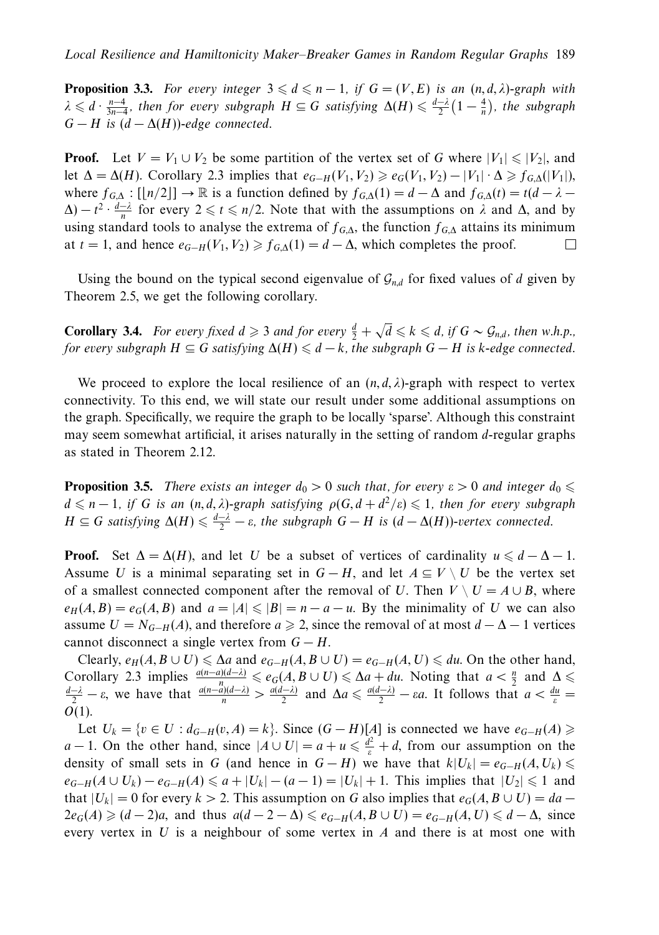**Proposition 3.3.** For every integer  $3 \leq d \leq n-1$ , if  $G = (V, E)$  is an  $(n, d, \lambda)$ -graph with  $\lambda \leq d \cdot \frac{n-4}{3n-4}$ , then for every subgraph  $H \subseteq G$  satisfying  $\Delta(H) \leq \frac{d-\lambda}{2}(1-\frac{4}{n})$ , the subgraph  $G - H$  is  $(d - \Delta(H))$ -edge connected.

**Proof.** Let  $V = V_1 \cup V_2$  be some partition of the vertex set of *G* where  $|V_1| \leq |V_2|$ , and let  $\Delta = \Delta(H)$ . Corollary 2.3 implies that  $e_{G-H}(V_1, V_2) \geq e_G(V_1, V_2) - |V_1| \cdot \Delta \geq f_{G,\Delta}(|V_1|)$ , where  $f_{G,\Delta} : [[n/2]] \to \mathbb{R}$  is a function defined by  $f_{G,\Delta}(1) = d - \Delta$  and  $f_{G,\Delta}(t) = t(d - \lambda \Delta$ ) –  $t^2 \cdot \frac{d-\lambda}{n}$  for every  $2 \le t \le n/2$ . Note that with the assumptions on  $\lambda$  and  $\Delta$ , and by using standard tools to analyse the extrema of  $f_{G,\Delta}$ , the function  $f_{G,\Delta}$  attains its minimum at  $t = 1$ , and hence  $e_{G-H}(V_1, V_2) \ge f_{G,\Delta}(1) = d - \Delta$ , which completes the proof.  $\Box$ 

Using the bound on the typical second eigenvalue of  $\mathcal{G}_{n,d}$  for fixed values of *d* given by Theorem 2.5, we get the following corollary.

**Corollary 3.4.** For every fixed  $d \ge 3$  and for every  $\frac{d}{2} + \sqrt{d} \le k \le d$ , if  $G \sim \mathcal{G}_{n,d}$ , then w.h.p., for every subgraph  $H \subseteq G$  satisfying  $\Delta(H) \leq d - k$ , the subgraph  $G - H$  is *k*-edge connected.

We proceed to explore the local resilience of an  $(n, d, \lambda)$ -graph with respect to vertex connectivity. To this end, we will state our result under some additional assumptions on the graph. Specifically, we require the graph to be locally 'sparse'. Although this constraint may seem somewhat artificial, it arises naturally in the setting of random *d*-regular graphs as stated in Theorem 2.12.

**Proposition 3.5.** There exists an integer  $d_0 > 0$  such that, for every  $\varepsilon > 0$  and integer  $d_0 \leq$  $d \leq n-1$ , if *G* is an  $(n, d, \lambda)$ -graph satisfying  $\rho(G, d + d^2/\varepsilon) \leq 1$ , then for every subgraph  $H \subseteq G$  satisfying  $\Delta(H) \leq \frac{d-\lambda}{2} - \varepsilon$ , the subgraph  $G - H$  is  $(d - \Delta(H))$ -vertex connected.

**Proof.** Set  $\Delta = \Delta(H)$ , and let *U* be a subset of vertices of cardinality  $u \leq d - \Delta - 1$ . Assume *U* is a minimal separating set in  $G - H$ , and let  $A \subseteq V \setminus U$  be the vertex set of a smallest connected component after the removal of *U*. Then  $V \setminus U = A \cup B$ , where  $e_H(A, B) = e_G(A, B)$  and  $a = |A| \leq |B| = n - a - u$ . By the minimality of *U* we can also assume  $U = N_{G-H}(A)$ , and therefore  $a \ge 2$ , since the removal of at most  $d - \Delta - 1$  vertices cannot disconnect a single vertex from  $G - H$ .

Clearly,  $e_H(A, B \cup U) \le \Delta a$  and  $e_{G-H}(A, B \cup U) = e_{G-H}(A, U) \le du$ . On the other hand, Corollary 2.3 implies  $\frac{a(n-a)(d-\lambda)}{n} \le e_G(A, B \cup U) \le \Delta a + du$ . Noting that  $a < \frac{n}{2}$  and  $\Delta \le \frac{d-\lambda}{2} - \varepsilon$ , we have that  $\frac{a(n-a)(d-\lambda)}{n} > \frac{a(d-\lambda)}{2}$  and  $\Delta a \le \frac{a(d-\lambda)}{2} - \varepsilon a$ . It follows that  $a < \frac{du}{\varepsilon} =$ *O*(1).

Let  $U_k = \{v \in U : d_{G-H}(v, A) = k\}$ . Since  $(G - H)[A]$  is connected we have  $e_{G-H}(A)$  ≥ *a* − 1. On the other hand, since  $|A \cup U| = a + u \leq \frac{d^2}{\varepsilon} + d$ , from our assumption on the density of small sets in *G* (and hence in  $G - H$ ) we have that  $k|U_k| = e_{G-H}(A, U_k)$  $e_{G-H}(A \cup U_k) - e_{G-H}(A) \leq a + |U_k| - (a-1) = |U_k| + 1$ . This implies that  $|U_2| \leq 1$  and that  $|U_k| = 0$  for every  $k > 2$ . This assumption on *G* also implies that  $e_G(A, B \cup U) = da 2e_G(A) \geq (d-2)a$ , and thus  $a(d-2-\Delta) \leqslant e_{G-H}(A, B \cup U) = e_{G-H}(A, U) \leqslant d-\Delta$ , since every vertex in *U* is a neighbour of some vertex in *A* and there is at most one with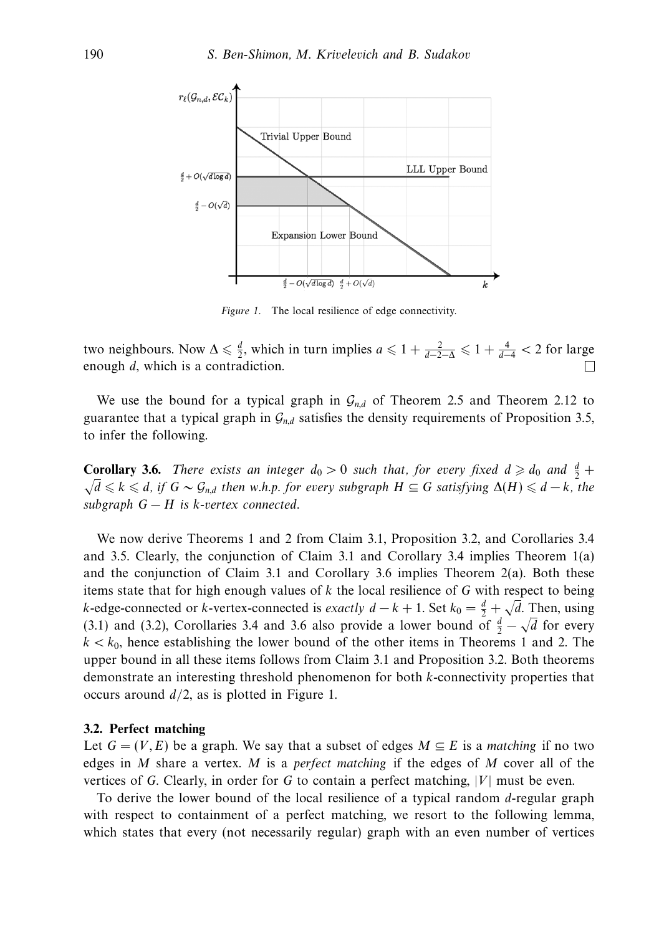

Figure 1. The local resilience of edge connectivity.

two neighbours. Now  $\Delta \leq \frac{d}{2}$ , which in turn implies  $a \leq 1 + \frac{2}{d-2-\Delta} \leq 1 + \frac{4}{d-4} < 2$  for large enough *d*, which is a contradiction.

We use the bound for a typical graph in  $\mathcal{G}_{n,d}$  of Theorem 2.5 and Theorem 2.12 to guarantee that a typical graph in  $\mathcal{G}_{nd}$  satisfies the density requirements of Proposition 3.5, to infer the following.

**Corollary 3.6.** There exists an integer  $d_0 > 0$  such that, for every fixed  $d \geq d_0$  and  $\frac{d}{2} + \frac{d}{2}$  $\sqrt{d}$   $\le$   $k$   $\le$   $d$ , if  $G \sim \mathcal{G}_{n,d}$  then w.h.p. for every subgraph  $H \subseteq G$  satisfying  $\Delta(H) \le d - k$ , the subgraph  $G - H$  is *k*-vertex connected.

We now derive Theorems 1 and 2 from Claim 3.1, Proposition 3.2, and Corollaries 3.4 and 3.5. Clearly, the conjunction of Claim 3.1 and Corollary 3.4 implies Theorem 1(a) and the conjunction of Claim 3.1 and Corollary 3.6 implies Theorem 2(a). Both these items state that for high enough values of *k* the local resilience of *G* with respect to being *k*-edge-connected or *k*-vertex-connected is exactly  $d - k + 1$ . Set  $k_0 = \frac{d}{2} + \sqrt{d}$ . Then, using (3.1) and (3.2), Corollaries 3.4 and 3.6 also provide a lower bound of  $\frac{d}{2} - \sqrt{d}$  for every  $k < k_0$ , hence establishing the lower bound of the other items in Theorems 1 and 2. The upper bound in all these items follows from Claim 3.1 and Proposition 3.2. Both theorems demonstrate an interesting threshold phenomenon for both *k*-connectivity properties that occurs around *d/*2, as is plotted in Figure 1.

#### **3.2. Perfect matching**

Let  $G = (V, E)$  be a graph. We say that a subset of edges  $M \subseteq E$  is a matching if no two edges in *M* share a vertex. *M* is a perfect matching if the edges of *M* cover all of the vertices of *G*. Clearly, in order for *G* to contain a perfect matching, |*V*| must be even.

To derive the lower bound of the local resilience of a typical random *d*-regular graph with respect to containment of a perfect matching, we resort to the following lemma, which states that every (not necessarily regular) graph with an even number of vertices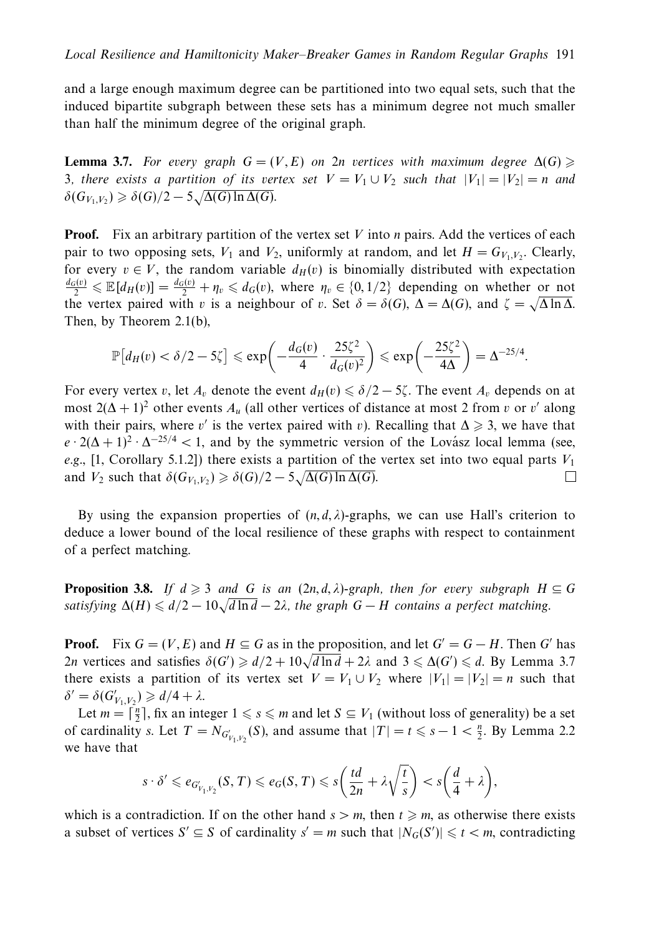and a large enough maximum degree can be partitioned into two equal sets, such that the induced bipartite subgraph between these sets has a minimum degree not much smaller than half the minimum degree of the original graph.

**Lemma 3.7.** For every graph  $G = (V, E)$  on 2n vertices with maximum degree  $\Delta(G) \geq$ 3, there exists a partition of its vertex set  $V = V_1 \cup V_2$  such that  $|V_1| = |V_2| = n$  and  $\delta(G_{V_1, V_2}) \geq \delta(G)/2 - 5\sqrt{\Delta(G) \ln \Delta(G)}}$ .

**Proof.** Fix an arbitrary partition of the vertex set *V* into *n* pairs. Add the vertices of each pair to two opposing sets,  $V_1$  and  $V_2$ , uniformly at random, and let  $H = G_{V_1,V_2}$ . Clearly, for every  $v \in V$ , the random variable  $d_H(v)$  is binomially distributed with expectation  $\frac{d_G(v)}{2} \leq \mathbb{E}[d_H(v)] = \frac{d_G(v)}{2} + \eta_v \leq d_G(v)$ , where  $\eta_v \in \{0, 1/2\}$  depending on whether or not  $\frac{1}{2}$   $\leq$   $\ln \ln(v)$   $\frac{1}{2}$   $\to \eta$   $\leq$   $u_G(v)$ , where  $\eta$ <sup>v</sup>  $\in \{0, 1/2\}$  depending on whether of hot the vertex paired with *v* is a neighbour of *v*. Set  $\delta = \delta(G)$ ,  $\Delta = \Delta(G)$ , and  $\zeta = \sqrt{\Delta \ln \Delta}$ . Then, by Theorem 2.1(b),

$$
\mathbb{P}\big[d_H(v) < \delta/2 - 5\zeta\big] \leqslant \exp\bigg(-\frac{d_G(v)}{4} \cdot \frac{25\zeta^2}{d_G(v)^2}\bigg) \leqslant \exp\bigg(-\frac{25\zeta^2}{4\Delta}\bigg) = \Delta^{-25/4}.
$$

For every vertex *v*, let  $A_v$  denote the event  $d_H(v) \le \delta/2 - 5\zeta$ . The event  $A_v$  depends on at most  $2(\Delta + 1)^2$  other events  $A_u$  (all other vertices of distance at most 2 from *v* or *v'* along with their pairs, where *v'* is the vertex paired with *v*). Recalling that  $\Delta \geq 3$ , we have that  $e \cdot 2(\Delta + 1)^2 \cdot \Delta^{-25/4}$  < 1, and by the symmetric version of the Lovasz local lemma (see, e.g., [1, Corollary 5.1.2]) there exists a partition of the vertex set into two equal parts  $V_1$ and *V*<sub>2</sub> such that  $\delta(G_{V_1,V_2}) \geq \delta(G)/2 - 5\sqrt{\Delta(G) \ln \Delta(G)}$ .  $\Box$ 

By using the expansion properties of  $(n, d, \lambda)$ -graphs, we can use Hall's criterion to deduce a lower bound of the local resilience of these graphs with respect to containment of a perfect matching.

**Proposition 3.8.** If  $d \geq 3$  and G is an  $(2n, d, \lambda)$ -graph, then for every subgraph  $H \subseteq G$ **Example 3.6.**  $\int u \ge 3$  and  $\int u \le 3$  and  $\int u \le 2a$ , the graph  $G - H$  contains a perfect matching.

**Proof.** Fix  $G = (V, E)$  and  $H \subseteq G$  as in the proposition, and let  $G' = G - H$ . Then G' has 2*n* vertices and satisfies  $\delta(G') \ge d/2 + 10\sqrt{d \ln d} + 2\lambda$  and  $3 \le \Delta(G') \le d$ . By Lemma 3.7 there exists a partition of its vertex set  $V = V_1 \cup V_2$  where  $|V_1| = |V_2| = n$  such that  $\delta' = \delta(G'_{V_1, V_2}) \ge d/4 + \lambda.$ 

Let  $m = \lceil \frac{n}{2} \rceil$ , fix an integer  $1 \le s \le m$  and let  $S \subseteq V_1$  (without loss of generality) be a set of cardinality *s*. Let  $T = N_{G'_{V_1, V_2}}(S)$ , and assume that  $|T| = t \le s - 1 < \frac{n}{2}$ . By Lemma 2.2 we have that

$$
s \cdot \delta' \leqslant e_{G'_{V_1, V_2}}(S, T) \leqslant e_G(S, T) \leqslant s\bigg(\frac{td}{2n} + \lambda\sqrt{\frac{t}{s}}\bigg) < s\bigg(\frac{d}{4} + \lambda\bigg),
$$

which is a contradiction. If on the other hand  $s > m$ , then  $t \ge m$ , as otherwise there exists a subset of vertices  $S' \subseteq S$  of cardinality  $s' = m$  such that  $|N_G(S')| \le t < m$ , contradicting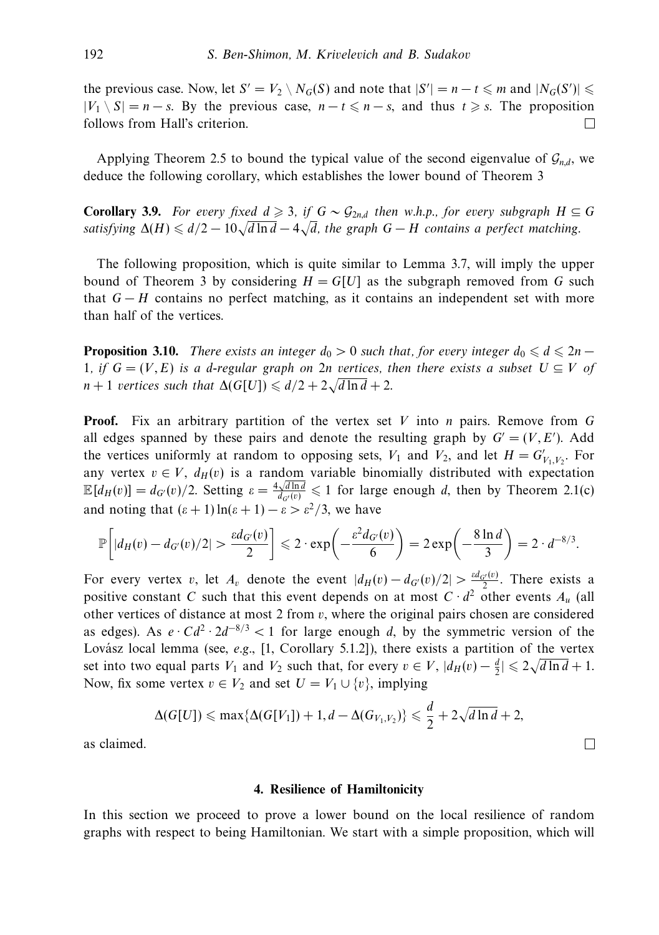the previous case. Now, let  $S' = V_2 \setminus N_G(S)$  and note that  $|S'| = n - t \leq m$  and  $|N_G(S')| \leq$  $|V_1 \setminus S| = n - s$ . By the previous case,  $n - t \leq n - s$ , and thus  $t \geq s$ . The proposition follows from Hall's criterion.  $\Box$ 

Applying Theorem 2.5 to bound the typical value of the second eigenvalue of  $G_{n,d}$ , we deduce the following corollary, which establishes the lower bound of Theorem 3

**Corollary 3.9.** For every fixed  $d \geq 3$ , if  $G \sim \mathcal{G}_{2n,d}$  then w.h.p., for every subgraph  $H \subseteq G$ **Coronary** 3.3. For every fixed  $u \ge 3$ , if  $u \le 2m$ , then w.n.p., for every subgraph  $H \le$  satisfying  $\Delta(H) \le d/2 - 10\sqrt{d \ln d} - 4\sqrt{d}$ , the graph  $G - H$  contains a perfect matching.

The following proposition, which is quite similar to Lemma 3.7, will imply the upper bound of Theorem 3 by considering  $H = G[U]$  as the subgraph removed from G such that *G* − *H* contains no perfect matching, as it contains an independent set with more than half of the vertices.

**Proposition 3.10.** There exists an integer  $d_0 > 0$  such that, for every integer  $d_0 \le d \le 2n - 1$ 1, if  $G = (V, E)$  is a *d*-regular graph on 2*n* vertices, then there exists a subset  $U \subseteq V$  of *n* + 1 vertices such that  $\Delta(G[U]) \le d/2 + 2\sqrt{d \ln d} + 2$ .

**Proof.** Fix an arbitrary partition of the vertex set *V* into *n* pairs. Remove from *G* all edges spanned by these pairs and denote the resulting graph by  $G' = (V, E')$ . Add the vertices uniformly at random to opposing sets,  $V_1$  and  $V_2$ , and let  $H = G'_{V_1, V_2}$ . For any vertex  $v \in V$ ,  $d_H(v)$  is a random variable binomially distributed with expectation  $\mathbb{E}[d_H(v)] = d_G(v)/2$ . Setting  $\varepsilon = \frac{4\sqrt{d \ln d}}{d_G(v)} \leq 1$  for large enough *d*, then by Theorem 2.1(c) and noting that  $(\epsilon + 1) \ln(\epsilon + 1) - \epsilon > \epsilon^2/3$ , we have

$$
\mathbb{P}\bigg[|d_H(v)-d_{G'}(v)/2|>\frac{\varepsilon d_{G'}(v)}{2}\bigg] \leqslant 2\cdot \exp\bigg(-\frac{\varepsilon^2 d_{G'}(v)}{6}\bigg)=2\exp\bigg(-\frac{8\ln d}{3}\bigg)=2\cdot d^{-8/3}.
$$

For every vertex *v*, let  $A_v$  denote the event  $|d_H(v) - d_G(v)/2| > \frac{sd_{G'}(v)}{2}$ . There exists a positive constant *C* such that this event depends on at most  $C \cdot d^2$  other events  $A_u$  (all other vertices of distance at most 2 from *v*, where the original pairs chosen are considered as edges). As  $e \cdot Cd^2 \cdot 2d^{-8/3} < 1$  for large enough *d*, by the symmetric version of the Lovász local lemma (see, e.g., [1, Corollary 5.1.2]), there exists a partition of the vertex set into two equal parts  $V_1$  and  $V_2$  such that, for every  $v \in V$ ,  $|d_H(v) - \frac{d}{2}| \leq 2\sqrt{d \ln d} + 1$ . Now, fix some vertex  $v \in V_2$  and set  $U = V_1 \cup \{v\}$ , implying

$$
\Delta(G[U]) \leqslant \max\{\Delta(G[V_1])+1,d-\Delta(G_{V_1,V_2})\} \leqslant \frac{d}{2}+2\sqrt{d\ln d}+2,
$$

 $\Box$ 

as claimed.

#### **4. Resilience of Hamiltonicity**

In this section we proceed to prove a lower bound on the local resilience of random graphs with respect to being Hamiltonian. We start with a simple proposition, which will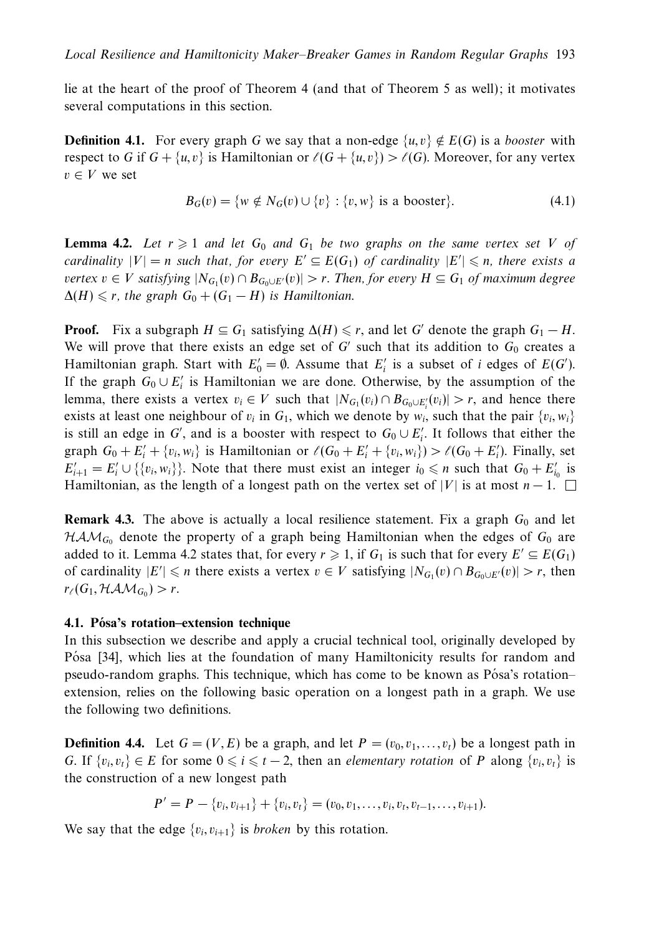lie at the heart of the proof of Theorem 4 (and that of Theorem 5 as well); it motivates several computations in this section.

**Definition 4.1.** For every graph *G* we say that a non-edge  $\{u, v\} \notin E(G)$  is a booster with respect to *G* if  $G + \{u, v\}$  is Hamiltonian or  $\ell(G + \{u, v\}) > \ell(G)$ . Moreover, for any vertex  $v \in V$  we set

$$
B_G(v) = \{ w \notin N_G(v) \cup \{v\} : \{v, w\} \text{ is a booster} \}. \tag{4.1}
$$

**Lemma 4.2.** Let  $r \geq 1$  and let  $G_0$  and  $G_1$  be two graphs on the same vertex set *V* of cardinality  $|V| = n$  such that, for every  $E' \subseteq E(G_1)$  of cardinality  $|E'| \leq n$ , there exists a vertex  $v \in V$  satisfying  $|N_{G_1}(v) \cap B_{G_0 \cup E'}(v)| > r$ . Then, for every  $H \subseteq G_1$  of maximum degree  $\Delta(H) \leq r$ , the graph  $G_0 + (G_1 - H)$  is Hamiltonian.

**Proof.** Fix a subgraph  $H \subseteq G_1$  satisfying  $\Delta(H) \leq r$ , and let *G'* denote the graph  $G_1 - H$ . We will prove that there exists an edge set of  $G'$  such that its addition to  $G_0$  creates a Hamiltonian graph. Start with  $E'_0 = \emptyset$ . Assume that  $E'_i$  is a subset of *i* edges of  $E(G')$ . If the graph  $G_0 \cup E'_i$  is Hamiltonian we are done. Otherwise, by the assumption of the lemma, there exists a vertex  $v_i \in V$  such that  $|N_{G_1}(v_i) \cap B_{G_0 \cup E'_i}(v_i)| > r$ , and hence there exists at least one neighbour of  $v_i$  in  $G_1$ , which we denote by  $w_i$ , such that the pair  $\{v_i, w_i\}$ is still an edge in *G*', and is a booster with respect to  $G_0 \cup E'_i$ . It follows that either the graph  $G_0 + E'_i + \{v_i, w_i\}$  is Hamiltonian or  $\ell(G_0 + E'_i + \{v_i, w_i\}) > \ell(G_0 + E'_i)$ . Finally, set  $E'_{i+1} = E'_{i} \cup \{\{v_i, w_i\}\}\.$  Note that there must exist an integer  $i_0 \le n$  such that  $G_0 + E'_{i_0}$  is Hamiltonian, as the length of a longest path on the vertex set of |*V*| is at most  $n-1$ .  $\Box$ 

**Remark 4.3.** The above is actually a local resilience statement. Fix a graph  $G_0$  and let  $HAM_{G_0}$  denote the property of a graph being Hamiltonian when the edges of  $G_0$  are added to it. Lemma 4.2 states that, for every  $r \geq 1$ , if  $G_1$  is such that for every  $E' \subseteq E(G_1)$ of cardinality  $|E'| \le n$  there exists a vertex  $v \in V$  satisfying  $|N_{G_1}(v) \cap B_{G_0 \cup E'}(v)| > r$ , then  $r_{\ell}(G_1, \mathcal{HAM}_{G_0}) > r.$ 

# **4.1. Posa's rotation–extension technique ´**

In this subsection we describe and apply a crucial technical tool, originally developed by Pósa [34], which lies at the foundation of many Hamiltonicity results for random and pseudo-random graphs. This technique, which has come to be known as Pósa's rotation– extension, relies on the following basic operation on a longest path in a graph. We use the following two definitions.

**Definition 4.4.** Let  $G = (V, E)$  be a graph, and let  $P = (v_0, v_1, \ldots, v_t)$  be a longest path in *G*. If  $\{v_i, v_j\}$  ∈ *E* for some  $0 \le i \le t - 2$ , then an *elementary rotation* of *P* along  $\{v_i, v_j\}$  is the construction of a new longest path

$$
P' = P - \{v_i, v_{i+1}\} + \{v_i, v_t\} = (v_0, v_1, \dots, v_i, v_t, v_{t-1}, \dots, v_{i+1}).
$$

We say that the edge  $\{v_i, v_{i+1}\}$  is *broken* by this rotation.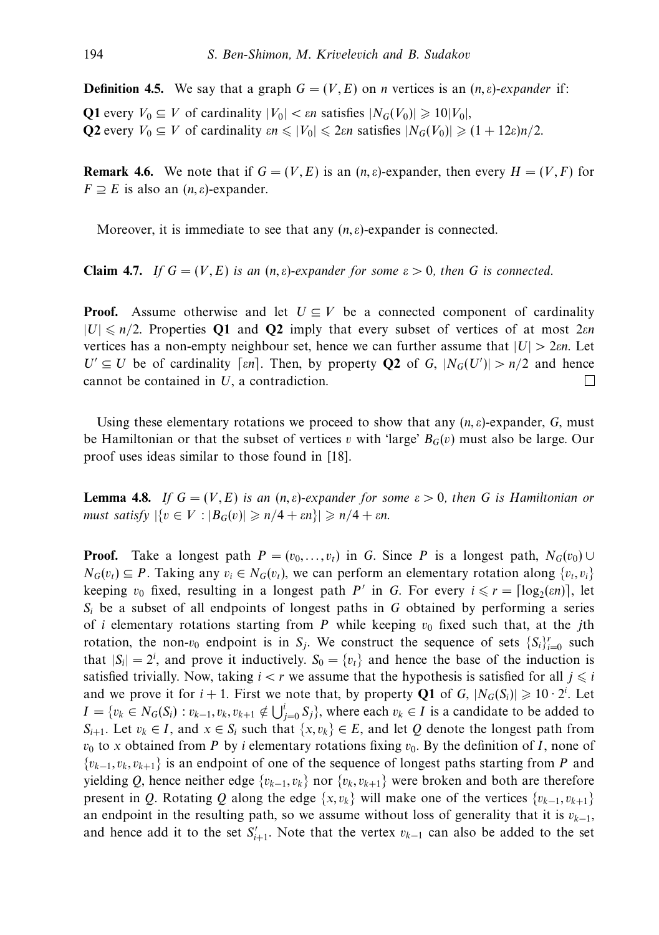**Definition 4.5.** We say that a graph  $G = (V, E)$  on *n* vertices is an  $(n, \varepsilon)$ -expander if:

**Q1** every  $V_0 \subseteq V$  of cardinality  $|V_0| < \varepsilon n$  satisfies  $|N_G(V_0)| \geq 10|V_0|$ , **Q2** every  $V_0 \subseteq V$  of cardinality  $\varepsilon n \le |V_0| \le 2\varepsilon n$  satisfies  $|N_G(V_0)| \ge (1 + 12\varepsilon)n/2$ .

**Remark 4.6.** We note that if  $G = (V, E)$  is an  $(n, \varepsilon)$ -expander, then every  $H = (V, F)$  for  $F \supseteq E$  is also an  $(n, \varepsilon)$ -expander.

Moreover, it is immediate to see that any (*n, ε*)-expander is connected.

**Claim 4.7.** If  $G = (V, E)$  is an  $(n, \varepsilon)$ -expander for some  $\varepsilon > 0$ , then G is connected.

**Proof.** Assume otherwise and let  $U \subseteq V$  be a connected component of cardinality |*U*| *n/*2. Properties **Q1** and **Q2** imply that every subset of vertices of at most 2*εn* vertices has a non-empty neighbour set, hence we can further assume that  $|U| > 2 \varepsilon n$ . Let  $U' \subseteq U$  be of cardinality [ $\epsilon n$ ]. Then, by property **Q2** of *G*,  $|N_G(U')| > n/2$  and hence cannot be contained in *U*, a contradiction.  $\Box$ 

Using these elementary rotations we proceed to show that any  $(n, \varepsilon)$ -expander,  $G$ , must be Hamiltonian or that the subset of vertices *v* with 'large'  $B_G(v)$  must also be large. Our proof uses ideas similar to those found in [18].

**Lemma 4.8.** If  $G = (V, E)$  is an  $(n, \varepsilon)$ -expander for some  $\varepsilon > 0$ , then G is Hamiltonian or  $\textit{must satisfy } |\{v \in V : |B_G(v)| \geqslant n/4 + \varepsilon n\}| \geqslant n/4 + \varepsilon n.$ 

**Proof.** Take a longest path  $P = (v_0, \ldots, v_t)$  in *G*. Since *P* is a longest path,  $N_G(v_0) \cup$ *N<sub>G</sub>*( $v_t$ ) ⊆ *P*. Taking any  $v_i$  ∈ *N<sub>G</sub>*( $v_t$ ), we can perform an elementary rotation along { $v_t$ ,  $v_i$ } keeping  $v_0$  fixed, resulting in a longest path *P'* in *G*. For every  $i \le r = \lceil \log_2(\epsilon n) \rceil$ , let *Si* be a subset of all endpoints of longest paths in *G* obtained by performing a series of *i* elementary rotations starting from  $P$  while keeping  $v_0$  fixed such that, at the *j*th rotation, the non- $v_0$  endpoint is in  $S_j$ . We construct the sequence of sets  $\{S_i\}_{i=0}^r$  such that  $|S_i| = 2^i$ , and prove it inductively.  $S_0 = \{v_t\}$  and hence the base of the induction is satisfied trivially. Now, taking  $i < r$  we assume that the hypothesis is satisfied for all  $j \leq i$ and we prove it for  $i + 1$ . First we note that, by property **Q1** of *G*,  $|N_G(S_i)| \geq 10 \cdot 2^i$ . Let *I* = { $v_k$  ∈  $N_G(S_i)$  :  $v_{k-1}, v_k, v_{k+1} \notin \bigcup_{j=0}^{i} S_j$ }, where each  $v_k$  ∈ *I* is a candidate to be added to *S<sub>i+1</sub>*. Let *v<sub>k</sub>* ∈ *I*, and *x* ∈ *S<sub>i</sub>* such that {*x, v<sub>k</sub>}* ∈ *E*, and let *Q* denote the longest path from  $v_0$  to *x* obtained from *P* by *i* elementary rotations fixing  $v_0$ . By the definition of *I*, none of {*vk*−<sup>1</sup>*, vk, vk*+1} is an endpoint of one of the sequence of longest paths starting from *P* and yielding *Q*, hence neither edge {*vk*−<sup>1</sup>*, vk*} nor {*vk, vk*+1} were broken and both are therefore present in *Q*. Rotating *Q* along the edge  $\{x, v_k\}$  will make one of the vertices  $\{v_{k-1}, v_{k+1}\}$ an endpoint in the resulting path, so we assume without loss of generality that it is  $v_{k-1}$ , and hence add it to the set  $S'_{i+1}$ . Note that the vertex  $v_{k-1}$  can also be added to the set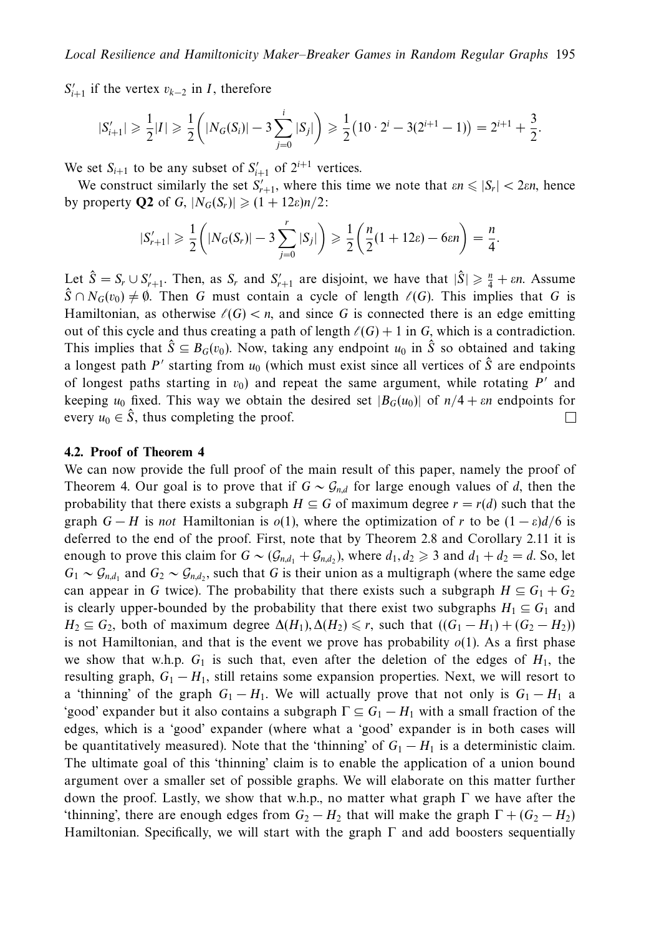$S'_{i+1}$  if the vertex  $v_{k-2}$  in *I*, therefore

$$
|S'_{i+1}| \geq \frac{1}{2}|I| \geq \frac{1}{2} \left( |N_G(S_i)| - 3 \sum_{j=0}^i |S_j| \right) \geq \frac{1}{2} \left( 10 \cdot 2^i - 3(2^{i+1} - 1) \right) = 2^{i+1} + \frac{3}{2}.
$$

We set  $S_{i+1}$  to be any subset of  $S'_{i+1}$  of  $2^{i+1}$  vertices.

We construct similarly the set  $S'_{r+1}$ , where this time we note that  $\epsilon n \leq |S_r| < 2\epsilon n$ , hence by property **Q2** of *G*,  $|N_G(S_r)| \geq (1 + 12\varepsilon)n/2$ :

$$
|S'_{r+1}| \geq \frac{1}{2} \left( |N_G(S_r)| - 3 \sum_{j=0}^r |S_j| \right) \geq \frac{1}{2} \left( \frac{n}{2} (1 + 12\varepsilon) - 6\varepsilon n \right) = \frac{n}{4}.
$$

Let  $\hat{S} = S_r \cup S'_{r+1}$ . Then, as  $S_r$  and  $S'_{r+1}$  are disjoint, we have that  $|\hat{S}| \geq \frac{n}{4} + \varepsilon n$ . Assume  $\hat{S} \cap N_G(v_0) \neq \emptyset$ . Then *G* must contain a cycle of length  $\ell(G)$ . This implies that *G* is Hamiltonian, as otherwise  $\ell(G) < n$ , and since G is connected there is an edge emitting out of this cycle and thus creating a path of length  $\ell(G) + 1$  in *G*, which is a contradiction. This implies that  $\hat{S} \subseteq B_G(v_0)$ . Now, taking any endpoint  $u_0$  in  $\hat{S}$  so obtained and taking a longest path  $P'$  starting from  $u_0$  (which must exist since all vertices of  $\hat{S}$  are endpoints of longest paths starting in  $v_0$ ) and repeat the same argument, while rotating  $P'$  and keeping  $u_0$  fixed. This way we obtain the desired set  $|B_G(u_0)|$  of  $n/4 + \varepsilon n$  endpoints for every  $u_0 \in \hat{S}$ , thus completing the proof.  $\Box$ 

## **4.2. Proof of Theorem 4**

We can now provide the full proof of the main result of this paper, namely the proof of Theorem 4. Our goal is to prove that if  $G \sim \mathcal{G}_{n,d}$  for large enough values of *d*, then the probability that there exists a subgraph  $H \subseteq G$  of maximum degree  $r = r(d)$  such that the graph  $G - H$  is not Hamiltonian is  $o(1)$ , where the optimization of *r* to be  $(1 - \varepsilon)d/6$  is deferred to the end of the proof. First, note that by Theorem 2.8 and Corollary 2*.*11 it is enough to prove this claim for  $G \sim (G_{n,d_1} + G_{n,d_2})$ , where  $d_1, d_2 \ge 3$  and  $d_1 + d_2 = d$ . So, let  $G_1 \sim \mathcal{G}_{nd}$  and  $G_2 \sim \mathcal{G}_{nd}$ , such that *G* is their union as a multigraph (where the same edge can appear in *G* twice). The probability that there exists such a subgraph  $H \subseteq G_1 + G_2$ is clearly upper-bounded by the probability that there exist two subgraphs  $H_1 \subseteq G_1$  and  $H_2 \subseteq G_2$ , both of maximum degree  $\Delta(H_1), \Delta(H_2) \leq r$ , such that  $((G_1 - H_1) + (G_2 - H_2))$ is not Hamiltonian, and that is the event we prove has probability  $o(1)$ . As a first phase we show that w.h.p.  $G_1$  is such that, even after the deletion of the edges of  $H_1$ , the resulting graph,  $G_1 - H_1$ , still retains some expansion properties. Next, we will resort to a 'thinning' of the graph  $G_1 - H_1$ . We will actually prove that not only is  $G_1 - H_1$  a 'good' expander but it also contains a subgraph  $\Gamma \subseteq G_1 - H_1$  with a small fraction of the edges, which is a 'good' expander (where what a 'good' expander is in both cases will be quantitatively measured). Note that the 'thinning' of  $G_1 - H_1$  is a deterministic claim. The ultimate goal of this 'thinning' claim is to enable the application of a union bound argument over a smaller set of possible graphs. We will elaborate on this matter further down the proof. Lastly, we show that w.h.p., no matter what graph Γ we have after the 'thinning', there are enough edges from  $G_2 - H_2$  that will make the graph  $\Gamma + (G_2 - H_2)$ Hamiltonian. Specifically, we will start with the graph  $\Gamma$  and add boosters sequentially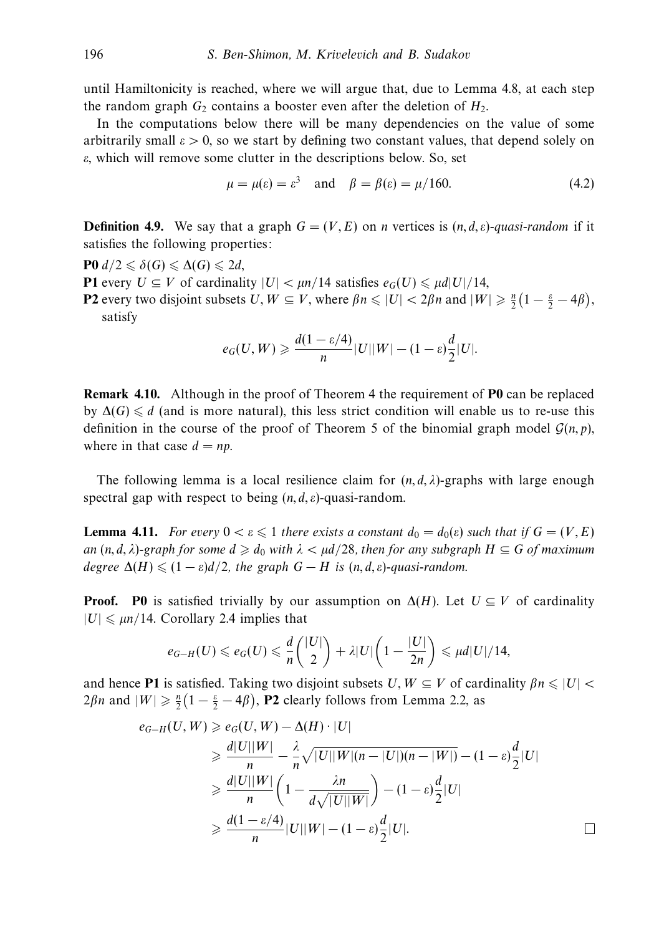until Hamiltonicity is reached, where we will argue that, due to Lemma 4.8, at each step the random graph  $G_2$  contains a booster even after the deletion of  $H_2$ .

In the computations below there will be many dependencies on the value of some arbitrarily small  $\varepsilon > 0$ , so we start by defining two constant values, that depend solely on *ε*, which will remove some clutter in the descriptions below. So, set

$$
\mu = \mu(\varepsilon) = \varepsilon^3 \quad \text{and} \quad \beta = \beta(\varepsilon) = \mu/160. \tag{4.2}
$$

**Definition 4.9.** We say that a graph  $G = (V, E)$  on *n* vertices is  $(n, d, \varepsilon)$ -quasi-random if it satisfies the following properties:

 $P0 d/2 \leq \delta(G) \leq \Delta(G) \leq 2d$ ,

**P1** every  $U \subseteq V$  of cardinality  $|U| < \mu n/14$  satisfies  $e_G(U) \leq \mu d |U|/14$ , **P2** every two disjoint subsets  $U, W \subseteq V$ , where  $\beta n \leq |U| < 2\beta n$  and  $|W| \geq \frac{n}{2}(1 - \frac{\epsilon}{2} - 4\beta)$ , satisfy

$$
e_G(U, W) \geqslant \frac{d(1-\varepsilon/4)}{n} |U||W| - (1-\varepsilon)\frac{d}{2}|U|.
$$

**Remark 4.10.** Although in the proof of Theorem 4 the requirement of **P0** can be replaced by  $\Delta(G) \le d$  (and is more natural), this less strict condition will enable us to re-use this definition in the course of the proof of Theorem 5 of the binomial graph model  $\mathcal{G}(n, p)$ , where in that case  $d = np$ .

The following lemma is a local resilience claim for  $(n, d, \lambda)$ -graphs with large enough spectral gap with respect to being (*n, d, ε*)-quasi-random.

**Lemma 4.11.** For every  $0 < \varepsilon \leq 1$  there exists a constant  $d_0 = d_0(\varepsilon)$  such that if  $G = (V, E)$ an  $(n, d, \lambda)$ -graph for some  $d \geqslant d_0$  with  $\lambda < \mu d/28$ , then for any subgraph  $H \subseteq G$  of maximum degree  $\Delta(H) \leq (1 - \varepsilon)d/2$ , the graph  $G - H$  is  $(n, d, \varepsilon)$ -quasi-random.

**Proof.** PO is satisfied trivially by our assumption on  $\Delta(H)$ . Let  $U \subseteq V$  of cardinality  $|U| \le \mu n/14$ . Corollary 2.4 implies that

$$
e_{G-H}(U) \le e_G(U) \le \frac{d}{n} \binom{|U|}{2} + \lambda |U| \left(1 - \frac{|U|}{2n}\right) \le \mu d |U| / 14,
$$

and hence **P1** is satisfied. Taking two disjoint subsets  $U, W \subseteq V$  of cardinality  $\beta n \leq |U|$  $2\beta n$  and  $|W| \ge \frac{n}{2}(1 - \frac{\epsilon}{2} - 4\beta)$ , **P2** clearly follows from Lemma 2.2, as

$$
e_{G-H}(U, W) \ge e_G(U, W) - \Delta(H) \cdot |U|
$$
  
\n
$$
\ge \frac{d|U||W|}{n} - \frac{\lambda}{n} \sqrt{|U||W|(n - |U|)(n - |W|)} - (1 - \varepsilon)\frac{d}{2}|U|
$$
  
\n
$$
\ge \frac{d|U||W|}{n} \left(1 - \frac{\lambda n}{d\sqrt{|U||W|}}\right) - (1 - \varepsilon)\frac{d}{2}|U|
$$
  
\n
$$
\ge \frac{d(1 - \varepsilon/4)}{n}|U||W| - (1 - \varepsilon)\frac{d}{2}|U|.
$$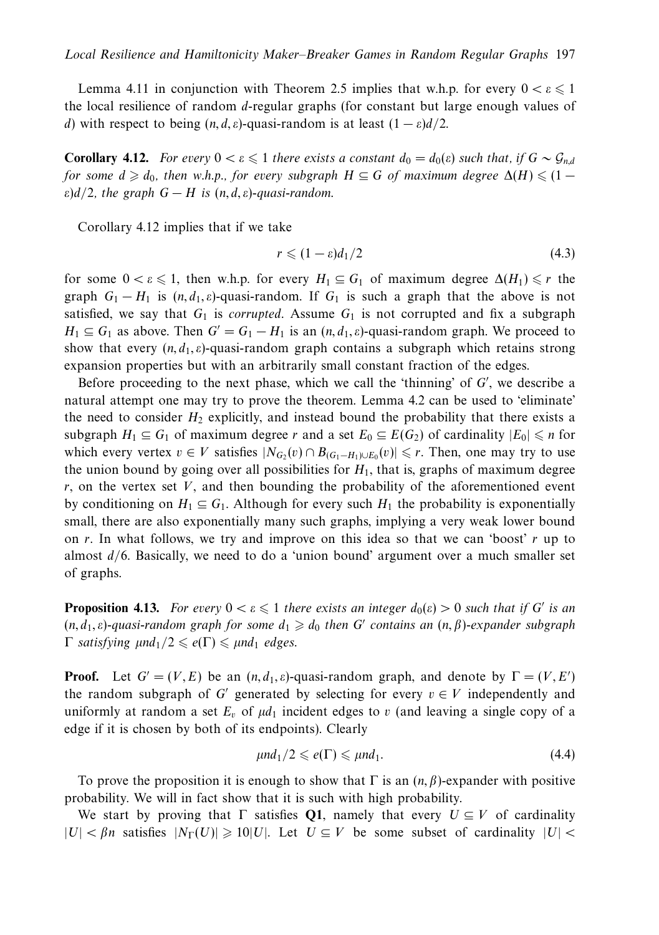Lemma 4.11 in conjunction with Theorem 2.5 implies that w.h.p. for every  $0 < \varepsilon \le 1$ the local resilience of random *d*-regular graphs (for constant but large enough values of *d*) with respect to being  $(n, d, \varepsilon)$ -quasi-random is at least  $(1 - \varepsilon)d/2$ .

**Corollary 4.12.** For every  $0 < \varepsilon \leq 1$  there exists a constant  $d_0 = d_0(\varepsilon)$  such that, if  $G \sim \mathcal{G}_{n,d}$ for some  $d \geqslant d_0$ , then w.h.p., for every subgraph  $H \subseteq G$  of maximum degree  $\Delta(H) \leqslant (1 - 1)$  $\varepsilon$ )*d*/2, the graph *G* − *H* is  $(n, d, \varepsilon)$ -quasi-random.

Corollary 4.12 implies that if we take

$$
r \leqslant (1 - \varepsilon)d_1/2\tag{4.3}
$$

for some  $0 < \varepsilon \leq 1$ , then w.h.p. for every  $H_1 \subseteq G_1$  of maximum degree  $\Delta(H_1) \leq r$  the graph  $G_1 - H_1$  is  $(n, d_1, \varepsilon)$ -quasi-random. If  $G_1$  is such a graph that the above is not satisfied, we say that  $G_1$  is *corrupted*. Assume  $G_1$  is not corrupted and fix a subgraph  $H_1 \subseteq G_1$  as above. Then  $G' = G_1 - H_1$  is an  $(n, d_1, \varepsilon)$ -quasi-random graph. We proceed to show that every  $(n, d_1, \varepsilon)$ -quasi-random graph contains a subgraph which retains strong expansion properties but with an arbitrarily small constant fraction of the edges.

Before proceeding to the next phase, which we call the 'thinning' of *G* , we describe a natural attempt one may try to prove the theorem. Lemma 4.2 can be used to 'eliminate' the need to consider  $H_2$  explicitly, and instead bound the probability that there exists a subgraph  $H_1 \subseteq G_1$  of maximum degree *r* and a set  $E_0 \subseteq E(G_2)$  of cardinality  $|E_0| \le n$  for which every vertex  $v \in V$  satisfies  $|N_{G_2}(v) \cap B_{(G_1 - H_1) \cup E_0}(v)| \le r$ . Then, one may try to use the union bound by going over all possibilities for  $H_1$ , that is, graphs of maximum degree *r*, on the vertex set *V*, and then bounding the probability of the aforementioned event by conditioning on  $H_1 \subseteq G_1$ . Although for every such  $H_1$  the probability is exponentially small, there are also exponentially many such graphs, implying a very weak lower bound on *r*. In what follows, we try and improve on this idea so that we can 'boost' *r* up to almost *d/*6. Basically, we need to do a 'union bound' argument over a much smaller set of graphs.

**Proposition 4.13.** For every  $0 < \varepsilon \leq 1$  there exists an integer  $d_0(\varepsilon) > 0$  such that if *G'* is an  $(n, d_1, \varepsilon)$ -quasi-random graph for some  $d_1 \geqslant d_0$  then *G'* contains an  $(n, \beta)$ -expander subgraph  $Γ$  *satisfying*  $μn d_1/2 ≤ ε(Γ) ≤ μn d_1$  *edges.* 

**Proof.** Let  $G' = (V, E)$  be an  $(n, d_1, \varepsilon)$ -quasi-random graph, and denote by  $\Gamma = (V, E')$ the random subgraph of *G'* generated by selecting for every  $v \in V$  independently and uniformly at random a set  $E_v$  of  $\mu d_1$  incident edges to *v* (and leaving a single copy of a edge if it is chosen by both of its endpoints). Clearly

$$
\mu nd_1/2 \leqslant e(\Gamma) \leqslant \mu nd_1. \tag{4.4}
$$

To prove the proposition it is enough to show that  $\Gamma$  is an  $(n, \beta)$ -expander with positive probability. We will in fact show that it is such with high probability.

We start by proving that  $\Gamma$  satisfies **Q1**, namely that every  $U \subseteq V$  of cardinality  $|U| < \beta n$  satisfies  $|N_{\Gamma}(U)| \ge 10|U|$ . Let  $U \subseteq V$  be some subset of cardinality  $|U| <$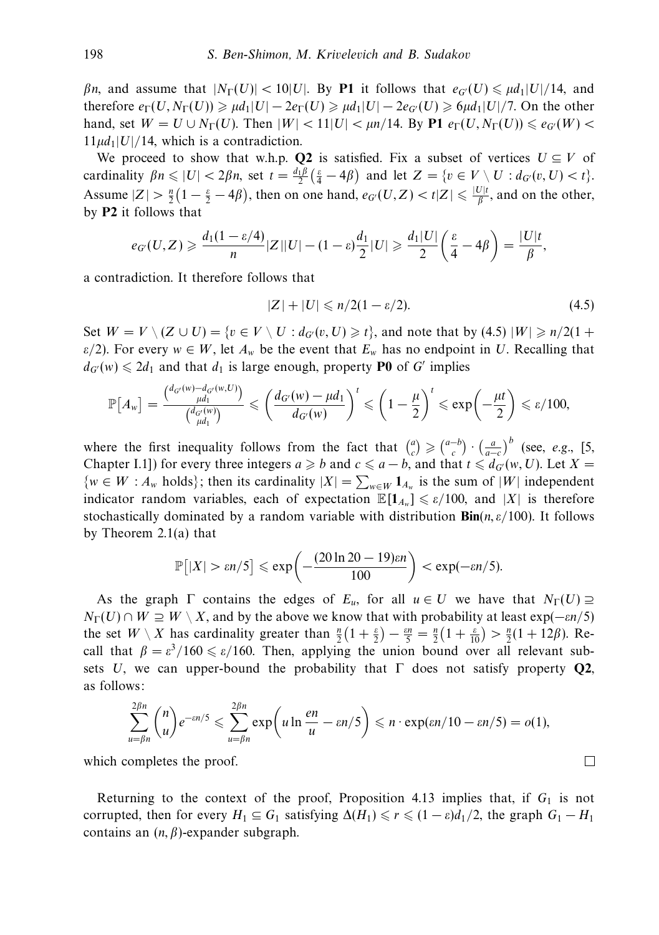*βn*, and assume that  $|N_{\Gamma}(U)| < 10|U|$ . By P1 it follows that  $e_{G}(U) \leq \mu d_1 |U|/14$ , and therefore  $e_{\Gamma}(U, N_{\Gamma}(U)) \ge \mu d_1 |U| - 2e_{\Gamma}(U) \ge \mu d_1 |U| - 2e_G(U) \ge 6\mu d_1 |U|/7$ . On the other hand, set  $W = U \cup N_{\Gamma}(U)$ . Then  $|W| < 11|U| < \mu n/14$ . By **P1**  $e_{\Gamma}(U, N_{\Gamma}(U)) \leq e_{G}(W)$  $11\mu d_1|U|/14$ , which is a contradiction.

We proceed to show that w.h.p. **Q2** is satisfied. Fix a subset of vertices  $U \subseteq V$  of cardinality  $\beta n \leq |U| < 2\beta n$ , set  $t = \frac{d_1 \beta}{2} \left( \frac{\varepsilon}{4} - 4\beta \right)$  and let  $Z = \{v \in V \setminus U : d_{G'}(v, U) < t\}.$ Assume  $|Z| > \frac{n}{2} \left(1 - \frac{\varepsilon}{2} - 4\beta\right)$ , then on one hand,  $e_G(U, Z) < t|Z| \leq \frac{|U|t}{\beta}$ , and on the other, by **P2** it follows that

$$
e_{G'}(U,Z) \geqslant \frac{d_1(1-\varepsilon/4)}{n}|Z||U|-(1-\varepsilon)\frac{d_1}{2}|U| \geqslant \frac{d_1|U|}{2}\bigg(\frac{\varepsilon}{4}-4\beta\bigg)=\frac{|U|t}{\beta},
$$

a contradiction. It therefore follows that

$$
|Z| + |U| \leqslant n/2(1 - \varepsilon/2). \tag{4.5}
$$

Set  $W = V \setminus (Z \cup U) = \{v \in V \setminus U : d_{G}(v, U) \ge t\}$ , and note that by (4.5)  $|W| \ge n/2(1 +$ *ε/*2). For every  $w \in W$ , let  $A_w$  be the event that  $E_w$  has no endpoint in *U*. Recalling that  $d_{G}(w) \leq 2d_1$  and that  $d_1$  is large enough, property **P0** of *G'* implies

$$
\mathbb{P}\left[A_w\right] = \frac{\binom{d_{G'}(w) - d_{G'}(w,U)}{\mu d_1}}{\binom{d_{G'}(w)}{\mu d_1}} \leqslant \left(\frac{d_{G'}(w) - \mu d_1}{d_{G'}(w)}\right)^t \leqslant \left(1 - \frac{\mu}{2}\right)^t \leqslant \exp\left(-\frac{\mu t}{2}\right) \leqslant \varepsilon/100,
$$

where the first inequality follows from the fact that  $\binom{a}{c} \geqslant \binom{a-b}{c} \cdot \left(\frac{a}{a-c}\right)^b$  (see, *e.g.*, [5, Chapter I.1]) for every three integers  $a \ge b$  and  $c \le a - b$ , and that  $t \le d_{G'}(w, U)$ . Let  $X =$  $\{w \in W : A_w \text{ holds}\};\$  then its cardinality  $|X| = \sum_{w \in W} 1_{A_w}$  is the sum of  $|W|$  independent indicator random variables, each of expectation  $\mathbb{E}[\mathbf{1}_{A_w}] \leq \varepsilon/100$ , and |X| is therefore stochastically dominated by a random variable with distribution **Bin**(*n, ε/*100). It follows by Theorem 2.1(a) that

$$
\mathbb{P}\big[|X| > \varepsilon n/5\big] \leqslant \exp\bigg(-\frac{(20\ln 20 - 19)\varepsilon n}{100}\bigg) < \exp(-\varepsilon n/5).
$$

As the graph  $\Gamma$  contains the edges of  $E_u$ , for all  $u \in U$  we have that  $N_{\Gamma}(U) \supseteq$  $N_{\Gamma}(U) \cap W \supseteq W \setminus X$ , and by the above we know that with probability at least exp(−*εn/5*) the set  $W \setminus X$  has cardinality greater than  $\frac{n}{2}(1 + \frac{\varepsilon}{2}) - \frac{\varepsilon n}{5} = \frac{n}{2}(1 + \frac{\varepsilon}{10}) > \frac{n}{2}(1 + 12\beta)$ . Recall that  $\beta = \varepsilon^3/160 \le \varepsilon/160$ . Then, applying the union bound over all relevant subsets *U*, we can upper-bound the probability that  $\Gamma$  does not satisfy property **Q2**, as follows:

$$
\sum_{u=\beta n}^{2\beta n} \binom{n}{u} e^{-\varepsilon n/5} \leqslant \sum_{u=\beta n}^{2\beta n} \exp\left(u\ln\frac{en}{u} - \varepsilon n/5\right) \leqslant n \cdot \exp(\varepsilon n/10 - \varepsilon n/5) = o(1),
$$

 $\Box$ 

which completes the proof.

Returning to the context of the proof, Proposition 4.13 implies that, if  $G_1$  is not corrupted, then for every  $H_1 \subseteq G_1$  satisfying  $\Delta(H_1) \le r \le (1 - \varepsilon)d_1/2$ , the graph  $G_1 - H_1$ contains an (*n, β*)-expander subgraph.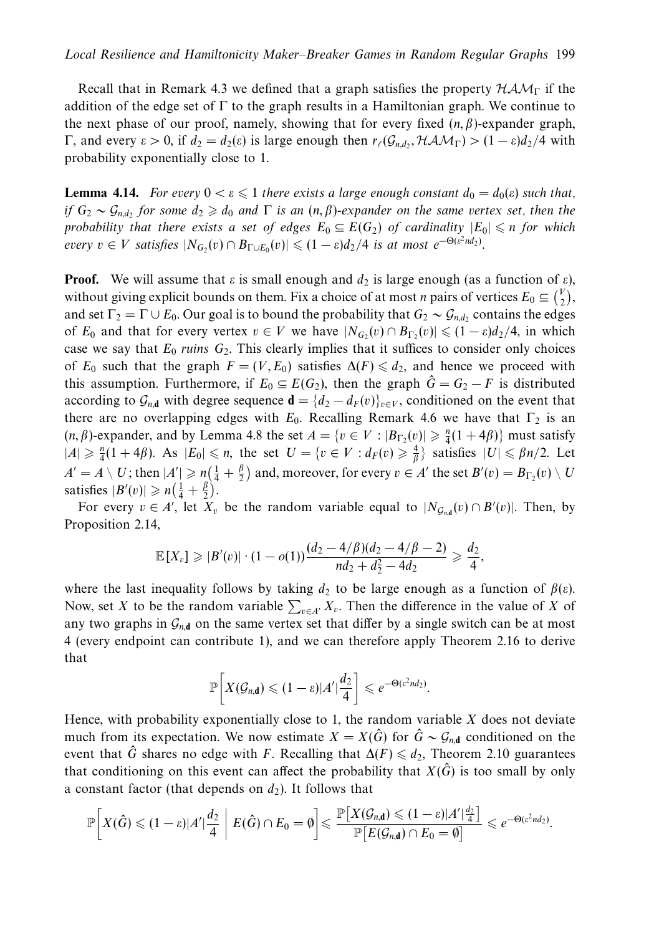Recall that in Remark 4.3 we defined that a graph satisfies the property  $HAM_\Gamma$  if the addition of the edge set of  $\Gamma$  to the graph results in a Hamiltonian graph. We continue to the next phase of our proof, namely, showing that for every fixed (*n, β*)-expander graph, Γ, and every  $ε > 0$ , if  $d_2 = d_2(ε)$  is large enough then  $r_\ell(\mathcal{G}_{n,d_2}, \mathcal{HAM}_\Gamma) > (1 - ε)d_2/4$  with probability exponentially close to 1.

**Lemma 4.14.** For every  $0 < \varepsilon \leq 1$  there exists a large enough constant  $d_0 = d_0(\varepsilon)$  such that, if  $G_2 \sim \mathcal{G}_{n,d_2}$  for some  $d_2 \geq d_0$  and  $\Gamma$  is an  $(n,\beta)$ -expander on the same vertex set, then the probability that there exists a set of edges  $E_0 \subseteq E(G_2)$  of cardinality  $|E_0| \le n$  for which  $every \ v \in V \ satisfies \ |N_{G_2}(v) \cap B_{\Gamma \cup E_0}(v)| \leqslant (1 - \varepsilon)d_2/4 \ is \ at \ most \ e^{-\Theta(\varepsilon^2nd_2)}.$ 

**Proof.** We will assume that  $\varepsilon$  is small enough and  $d_2$  is large enough (as a function of  $\varepsilon$ ), without giving explicit bounds on them. Fix a choice of at most *n* pairs of vertices  $E_0 \subseteq {V \choose 2}$ , and set  $\Gamma_2 = \Gamma \cup E_0$ . Our goal is to bound the probability that  $G_2 \sim \mathcal{G}_{n,d_2}$  contains the edges of  $E_0$  and that for every vertex  $v \in V$  we have  $|N_{G_2}(v) \cap B_{\Gamma_2}(v)| \leq (1 - \varepsilon)d_2/4$ , in which case we say that  $E_0$  ruins  $G_2$ . This clearly implies that it suffices to consider only choices of  $E_0$  such that the graph  $F = (V, E_0)$  satisfies  $\Delta(F) \leq d_2$ , and hence we proceed with this assumption. Furthermore, if  $E_0 \subseteq E(G_2)$ , then the graph  $\hat{G} = G_2 - F$  is distributed according to  $\mathcal{G}_{n,d}$  with degree sequence  $\mathbf{d} = \{d_2 - d_F(v)\}_{v \in V}$ , conditioned on the event that there are no overlapping edges with  $E_0$ . Recalling Remark 4.6 we have that  $\Gamma_2$  is an  $(n, \beta)$ -expander, and by Lemma 4.8 the set  $A = \{v \in V : |B_{\Gamma_2}(v)| \geq \frac{n}{4}(1 + 4\beta)\}\$  must satisfy  $|A| \geq \frac{n}{4}(1+4\beta)$ . As  $|E_0| \leq n$ , the set  $U = \{v \in V : d_F(v) \geq \frac{4}{\beta}\}$  satisfies  $|U| \leq \beta n/2$ . Let  $A' = A \setminus U$ ; then  $|A'| \ge n(\frac{1}{4} + \frac{\beta}{2})$  and, moreover, for every  $v \in A'$  the set  $B'(v) = B_{\Gamma_2}(v) \setminus U$ satisfies  $|B'(v)| \ge n\left(\frac{1}{4} + \frac{\beta}{2}\right)$ .

For every  $v \in A'$ , let  $X_v$  be the random variable equal to  $|N_{\mathcal{G}_{n,d}}(v) \cap B'(v)|$ . Then, by Proposition 2.14,

$$
\mathbb{E}[X_v] \geqslant |B'(v)| \cdot (1 - o(1)) \frac{(d_2 - 4/\beta)(d_2 - 4/\beta - 2)}{nd_2 + d_2^2 - 4d_2} \geqslant \frac{d_2}{4},
$$

where the last inequality follows by taking  $d_2$  to be large enough as a function of  $\beta(\varepsilon)$ . Now, set *X* to be the random variable  $\sum_{v \in A'} X_v$ . Then the difference in the value of *X* of any two graphs in  $G_{n,d}$  on the same vertex set that differ by a single switch can be at most 4 (every endpoint can contribute 1), and we can therefore apply Theorem 2.16 to derive that

$$
\mathbb{P}\bigg[X(\mathcal{G}_{n,\mathbf{d}})\leqslant (1-\varepsilon)|A'|\frac{d_2}{4}\bigg]\leqslant e^{-\Theta(\varepsilon^2 nd_2)}.
$$

Hence, with probability exponentially close to 1, the random variable *X* does not deviate much from its expectation. We now estimate  $X = X(\hat{G})$  for  $\hat{G} \sim \mathcal{G}_{n,d}$  conditioned on the event that  $\hat{G}$  shares no edge with *F*. Recalling that  $\Delta(F) \leq d_2$ , Theorem 2.10 guarantees that conditioning on this event can affect the probability that  $X(\hat{G})$  is too small by only a constant factor (that depends on  $d_2$ ). It follows that

$$
\mathbb{P}\bigg[X(\hat{G})\leqslant (1-\varepsilon)|A'|\frac{d_2}{4}\;\bigg|\;E(\hat{G})\cap E_0=\emptyset\bigg]\leqslant \frac{\mathbb{P}\big[X(\mathcal{G}_{n,\mathbf{d}})\leqslant (1-\varepsilon)|A'|\frac{d_2}{4}\big]}{\mathbb{P}\big[E(\mathcal{G}_{n,\mathbf{d}})\cap E_0=\emptyset\big]}\leqslant e^{-\Theta(\varepsilon^2 nd_2)}.
$$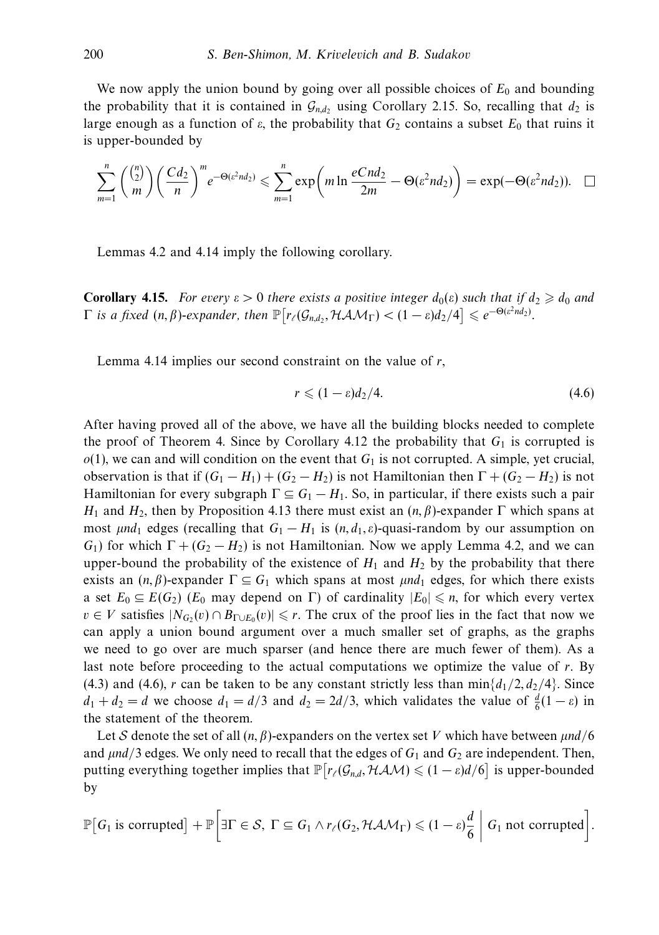We now apply the union bound by going over all possible choices of  $E_0$  and bounding the probability that it is contained in  $\mathcal{G}_{n,d}$ , using Corollary 2.15. So, recalling that  $d_2$  is large enough as a function of  $\varepsilon$ , the probability that  $G_2$  contains a subset  $E_0$  that ruins it is upper-bounded by

$$
\sum_{m=1}^n \binom{\binom{n}{2}}{m} \left(\frac{Cd_2}{n}\right)^m e^{-\Theta(\varepsilon^2 nd_2)} \leq \sum_{m=1}^n \exp\left(m \ln \frac{eCnd_2}{2m} - \Theta(\varepsilon^2 nd_2)\right) = \exp(-\Theta(\varepsilon^2 nd_2)). \quad \Box
$$

Lemmas 4.2 and 4.14 imply the following corollary.

**Corollary 4.15.** For every  $\varepsilon > 0$  there exists a positive integer  $d_0(\varepsilon)$  such that if  $d_2 \geqslant d_0$  and  $\Gamma$  is a fixed  $(n, \beta)$ -expander, then  $\mathbb{P}\big[r_{\ell}(\mathcal{G}_{n,d_2}, \mathcal{HAM}_{\Gamma}) < (1 - \varepsilon)d_2/4\big] \leqslant e^{-\Theta(\varepsilon^2 nd_2)}.$ 

Lemma 4.14 implies our second constraint on the value of *r*,

$$
r \leqslant (1 - \varepsilon)d_2/4. \tag{4.6}
$$

After having proved all of the above, we have all the building blocks needed to complete the proof of Theorem 4. Since by Corollary 4.12 the probability that  $G_1$  is corrupted is  $o(1)$ , we can and will condition on the event that  $G_1$  is not corrupted. A simple, yet crucial, observation is that if  $(G_1 - H_1) + (G_2 - H_2)$  is not Hamiltonian then  $\Gamma + (G_2 - H_2)$  is not Hamiltonian for every subgraph  $\Gamma \subseteq G_1 - H_1$ . So, in particular, if there exists such a pair *H*<sub>1</sub> and *H*<sub>2</sub>, then by Proposition 4.13 there must exist an  $(n, β)$ -expander Γ which spans at most  $\mu nd_1$  edges (recalling that  $G_1 - H_1$  is  $(n, d_1, \varepsilon)$ -quasi-random by our assumption on *G*<sub>1</sub>) for which  $\Gamma + (G_2 - H_2)$  is not Hamiltonian. Now we apply Lemma 4.2, and we can upper-bound the probability of the existence of  $H_1$  and  $H_2$  by the probability that there exists an  $(n, \beta)$ -expander  $\Gamma \subseteq G_1$  which spans at most *μnd*<sub>1</sub> edges, for which there exists a set  $E_0 \subseteq E(G_2)$  ( $E_0$  may depend on  $\Gamma$ ) of cardinality  $|E_0| \leq n$ , for which every vertex *v* ∈ *V* satisfies  $|N_G(v)| \cap B_{\Gamma \cup E_0}(v)| \le r$ . The crux of the proof lies in the fact that now we can apply a union bound argument over a much smaller set of graphs, as the graphs we need to go over are much sparser (and hence there are much fewer of them). As a last note before proceeding to the actual computations we optimize the value of *r*. By (4.3) and (4.6), *r* can be taken to be any constant strictly less than  $\min\{d_1/2, d_2/4\}$ . Since  $d_1 + d_2 = d$  we choose  $d_1 = d/3$  and  $d_2 = 2d/3$ , which validates the value of  $\frac{d}{6}(1 - \varepsilon)$  in the statement of the theorem.

Let S denote the set of all (*n, β*)-expanders on the vertex set *V* which have between *μnd/*6 and  $\mu$ nd/3 edges. We only need to recall that the edges of  $G_1$  and  $G_2$  are independent. Then, putting everything together implies that  $\mathbb{P}\left[r_{\ell}(\mathcal{G}_{n,d}, \mathcal{HAM}) \leq (1 - \varepsilon)d/6\right]$  is upper-bounded by

$$
\mathbb{P}\big[G_1 \text{ is corrupted}\big] + \mathbb{P}\bigg[\exists \Gamma \in S, \ \Gamma \subseteq G_1 \land r_{\ell}(G_2, \mathcal{HAM}_{\Gamma}) \leq (1-\varepsilon)\frac{d}{6} \bigg| G_1 \text{ not corrupted}\bigg].
$$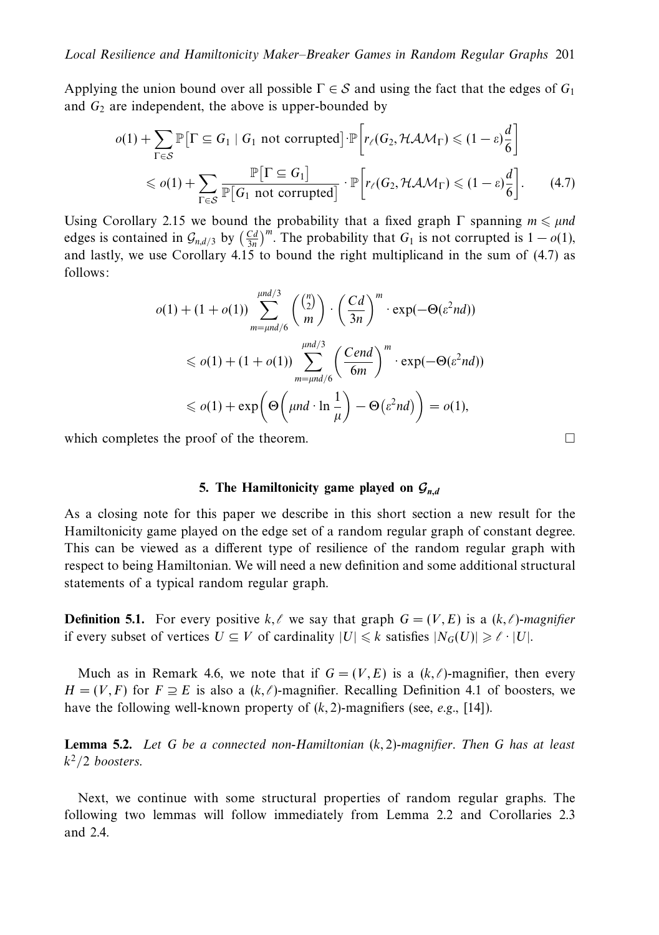Applying the union bound over all possible  $\Gamma \in S$  and using the fact that the edges of  $G_1$ and  $G_2$  are independent, the above is upper-bounded by

$$
o(1) + \sum_{\Gamma \in S} \mathbb{P} \Big[ \Gamma \subseteq G_1 \mid G_1 \text{ not corrupted} \Big] \cdot \mathbb{P} \Big[ r_{\ell}(G_2, \mathcal{HAM}_{\Gamma}) \leq (1 - \varepsilon) \frac{d}{6} \Big] \leq o(1) + \sum_{\Gamma \in S} \frac{\mathbb{P} \Big[ \Gamma \subseteq G_1 \Big]}{\mathbb{P} \Big[ G_1 \text{ not corrupted} \Big]} \cdot \mathbb{P} \Big[ r_{\ell}(G_2, \mathcal{HAM}_{\Gamma}) \leq (1 - \varepsilon) \frac{d}{6} \Big].
$$
 (4.7)

Using Corollary 2.15 we bound the probability that a fixed graph  $\Gamma$  spanning  $m \le \mu nd$ edges is contained in  $\mathcal{G}_{n,d/3}$  by  $\left(\frac{Cd}{3n}\right)^m$ . The probability that  $G_1$  is not corrupted is  $1 - o(1)$ , and lastly, we use Corollary 4.15 to bound the right multiplicand in the sum of (4.7) as follows:

$$
o(1) + (1 + o(1)) \sum_{m=\mu nd/6}^{\mu nd/3} \binom{\binom{n}{2}}{m} \cdot \left(\frac{Cd}{3n}\right)^m \cdot \exp(-\Theta(\varepsilon^2 nd))
$$
  
\$\leqslant o(1) + (1 + o(1)) \sum\_{m=\mu nd/6}^{\mu nd/3} \left(\frac{Cend}{6m}\right)^m \cdot \exp(-\Theta(\varepsilon^2 nd))\$  
\$\leqslant o(1) + \exp\left(\Theta\left(\mu nd \cdot \ln \frac{1}{\mu}\right) - \Theta(\varepsilon^2 nd)\right) = o(1)\$

which completes the proof of the theorem.

# **5.** The Hamiltonicity game played on  $G_{n,d}$

As a closing note for this paper we describe in this short section a new result for the Hamiltonicity game played on the edge set of a random regular graph of constant degree. This can be viewed as a different type of resilience of the random regular graph with respect to being Hamiltonian. We will need a new definition and some additional structural statements of a typical random regular graph.

**Definition 5.1.** For every positive  $k, \ell$  we say that graph  $G = (V, E)$  is a  $(k, \ell)$ -magnifier if every subset of vertices  $U \subseteq V$  of cardinality  $|U| \leq k$  satisfies  $|N_G(U)| \geq \ell \cdot |U|$ .

Much as in Remark 4.6, we note that if  $G = (V, E)$  is a  $(k, \ell)$ -magnifier, then every *H* = (*V*, *F*) for *F* ≥ *E* is also a (*k,*  $\ell$ )-magnifier. Recalling Definition 4.1 of boosters, we have the following well-known property of (*k,* 2)-magnifiers (see, e.g., [14]).

**Lemma 5.2.** Let *G* be a connected non-Hamiltonian (*k,* 2)-magnifier. Then *G* has at least  $k^2/2$  boosters.

Next, we continue with some structural properties of random regular graphs. The following two lemmas will follow immediately from Lemma 2.2 and Corollaries 2.3 and 2.4.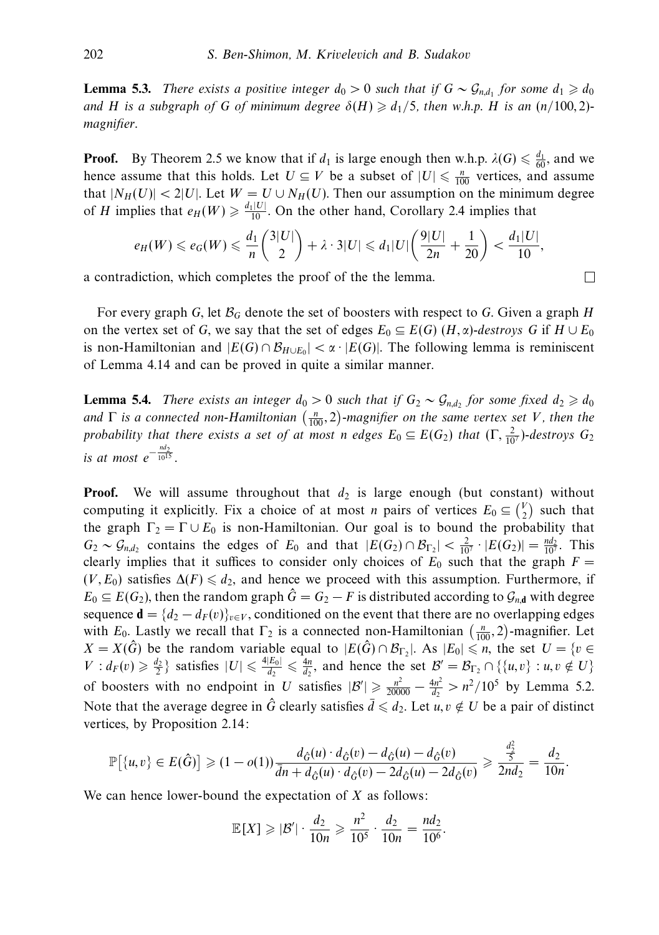**Lemma 5.3.** There exists a positive integer  $d_0 > 0$  such that if  $G \sim \mathcal{G}_{n,d_1}$  for some  $d_1 \geq d_0$ and *H* is a subgraph of *G* of minimum degree  $\delta(H) \geq d_1/5$ , then w.h.p. *H* is an  $(n/100, 2)$ magnifier.

**Proof.** By Theorem 2.5 we know that if  $d_1$  is large enough then w.h.p.  $\lambda(G) \leq \frac{d_1}{60}$ , and we hence assume that this holds. Let  $U \subseteq V$  be a subset of  $|U| \le \frac{n}{100}$  vertices, and assume that  $|N_H(U)| < 2|U|$ . Let  $W = U \cup N_H(U)$ . Then our assumption on the minimum degree of *H* implies that  $e_H(W) \ge \frac{d_1|U|}{10}$ . On the other hand, Corollary 2.4 implies that

$$
e_H(W) \leqslant e_G(W) \leqslant \frac{d_1}{n} \binom{3|U|}{2} + \lambda \cdot 3|U| \leqslant d_1|U| \left( \frac{9|U|}{2n} + \frac{1}{20} \right) < \frac{d_1|U|}{10},
$$

a contradiction, which completes the proof of the the lemma.

For every graph *G*, let B*<sup>G</sup>* denote the set of boosters with respect to *G*. Given a graph *H* on the vertex set of *G*, we say that the set of edges  $E_0 \subseteq E(G)$  (*H*,  $\alpha$ )-destroys *G* if  $H \cup E_0$ is non-Hamiltonian and  $|E(G) \cap B_{H \cup E_0}| < \alpha \cdot |E(G)|$ . The following lemma is reminiscent of Lemma 4.14 and can be proved in quite a similar manner.

**Lemma 5.4.** There exists an integer  $d_0 > 0$  such that if  $G_2 \sim \mathcal{G}_{n,d_2}$  for some fixed  $d_2 \geq d_0$ and  $\Gamma$  is a connected non-Hamiltonian  $\left(\frac{n}{100},2\right)$ -magnifier on the same vertex set *V*, then the probability that there exists a set of at most *n* edges  $E_0 \subseteq E(G_2)$  that  $(\Gamma, \frac{2}{107})$ -destroys  $G_2$ is at most  $e^{-\frac{nd_2}{10^{15}}}$ .

**Proof.** We will assume throughout that  $d_2$  is large enough (but constant) without computing it explicitly. Fix a choice of at most *n* pairs of vertices  $E_0 \n\t\subseteq \n\t\begin{pmatrix} V \\ 2 \end{pmatrix}$  such that the graph  $\Gamma_2 = \Gamma \cup E_0$  is non-Hamiltonian. Our goal is to bound the probability that  $G_2 \sim \mathcal{G}_{n,d_2}$  contains the edges of  $E_0$  and that  $|E(G_2) \cap \mathcal{B}_{\Gamma_2}| < \frac{2}{10^7} \cdot |E(G_2)| = \frac{nd_2}{10^7}$ . This clearly implies that it suffices to consider only choices of  $E_0$  such that the graph  $F =$  $(V, E_0)$  satisfies  $\Delta(F) \leq d_2$ , and hence we proceed with this assumption. Furthermore, if  $E_0 \subseteq E(G_2)$ , then the random graph  $\hat{G} = G_2 - F$  is distributed according to  $\mathcal{G}_{n,d}$  with degree sequence  $\mathbf{d} = \{d_2 - d_F(v)\}_{v \in V}$ , conditioned on the event that there are no overlapping edges with  $E_0$ . Lastly we recall that  $\Gamma_2$  is a connected non-Hamiltonian  $\left(\frac{n}{100}, 2\right)$ -magnifier. Let  $X = X(\hat{G})$  be the random variable equal to  $|E(\hat{G}) \cap \mathcal{B}_{\Gamma_2}|$ . As  $|E_0| \le n$ , the set  $U = \{v \in \mathcal{B} \mid \hat{G}_v \le n\}$  $V: d_F(v) \geq \frac{d_2}{2}$  satisfies  $|U| \leq \frac{4|E_0|}{d_2} \leq \frac{4n}{d_2}$ , and hence the set  $\mathcal{B}' = \mathcal{B}_{\Gamma_2} \cap \{\{u, v\} : u, v \notin U\}$ of boosters with no endpoint in *U* satisfies  $|B'| \ge \frac{n^2}{20000} - \frac{4n^2}{d_2} > n^2/10^5$  by Lemma 5.2. Note that the average degree in  $\hat{G}$  clearly satisfies  $\bar{d} \leq d_2$ . Let  $u, v \notin U$  be a pair of distinct vertices, by Proposition 2.14:

$$
\mathbb{P}[\{u, v\} \in E(\hat{G})] \geq (1 - o(1)) \frac{d_{\hat{G}}(u) \cdot d_{\hat{G}}(v) - d_{\hat{G}}(u) - d_{\hat{G}}(v)}{d\eta + d_{\hat{G}}(u) \cdot d_{\hat{G}}(v) - 2d_{\hat{G}}(u) - 2d_{\hat{G}}(v)} \geq \frac{\frac{a_2}{5}}{2nd_2} = \frac{d_2}{10n}.
$$

*d*2

 $\Box$ 

We can hence lower-bound the expectation of *X* as follows:

$$
\mathbb{E}[X] \geq |\mathcal{B}'| \cdot \frac{d_2}{10n} \geq \frac{n^2}{10^5} \cdot \frac{d_2}{10n} = \frac{nd_2}{10^6}.
$$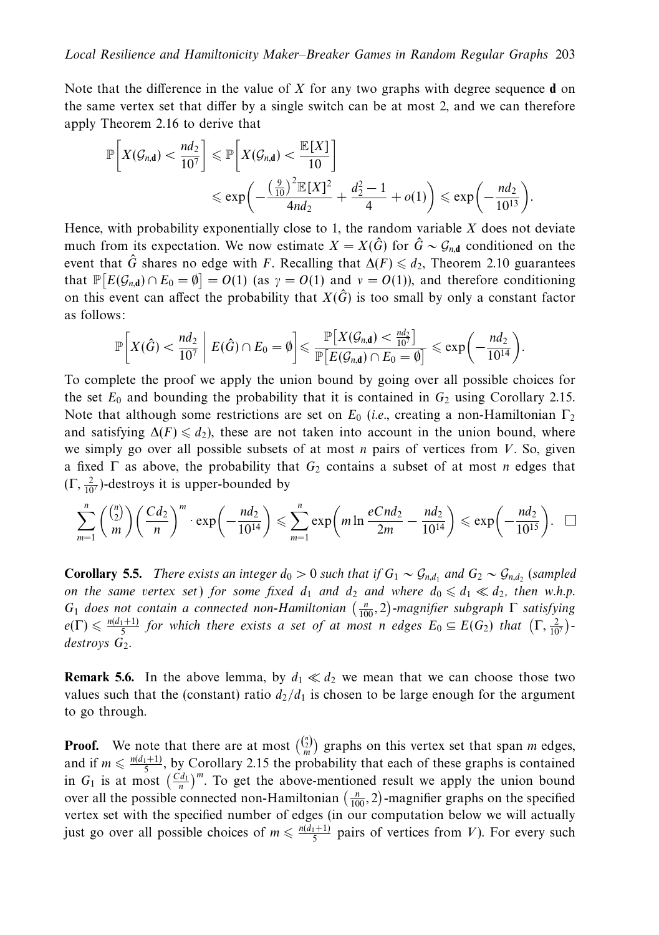Note that the difference in the value of *X* for any two graphs with degree sequence **d** on the same vertex set that differ by a single switch can be at most 2, and we can therefore apply Theorem 2.16 to derive that

$$
\mathbb{P}\bigg[X(\mathcal{G}_{n,d}) < \frac{nd_2}{10^7}\bigg] \leqslant \mathbb{P}\bigg[X(\mathcal{G}_{n,d}) < \frac{\mathbb{E}[X]}{10}\bigg] \\
\leqslant \exp\bigg(-\frac{\left(\frac{9}{10}\right)^2 \mathbb{E}[X]^2}{4nd_2} + \frac{d_2^2 - 1}{4} + o(1)\bigg) \leqslant \exp\bigg(-\frac{nd_2}{10^{13}}\bigg).
$$

Hence, with probability exponentially close to 1, the random variable *X* does not deviate much from its expectation. We now estimate  $X = X(\hat{G})$  for  $\hat{G} \sim \mathcal{G}_{n,d}$  conditioned on the event that  $\hat{G}$  shares no edge with *F*. Recalling that  $\Delta(F) \leq d_2$ , Theorem 2.10 guarantees that  $\mathbb{P}[E(\mathcal{G}_{n,d}) \cap E_0 = \emptyset] = O(1)$  (as  $\gamma = O(1)$  and  $\gamma = O(1)$ ), and therefore conditioning on this event can affect the probability that  $X(\hat{G})$  is too small by only a constant factor as follows:

$$
\mathbb{P}\bigg[X(\hat{G}) < \frac{nd_2}{10^7} \;\bigg|\; E(\hat{G}) \cap E_0 = \emptyset\bigg] \leqslant \frac{\mathbb{P}\big[X(\mathcal{G}_{n,\mathbf{d}}) < \frac{nd_2}{10^7}\big]}{\mathbb{P}\big[E(\mathcal{G}_{n,\mathbf{d}}) \cap E_0 = \emptyset\big]} \leqslant \exp\bigg(-\frac{nd_2}{10^{14}}\bigg).
$$

To complete the proof we apply the union bound by going over all possible choices for the set  $E_0$  and bounding the probability that it is contained in  $G_2$  using Corollary 2.15. Note that although some restrictions are set on  $E_0$  (*i.e.*, creating a non-Hamiltonian  $\Gamma_2$ and satisfying  $\Delta(F) \leq d_2$ , these are not taken into account in the union bound, where we simply go over all possible subsets of at most *n* pairs of vertices from *V*. So, given a fixed Γ as above, the probability that *G*<sup>2</sup> contains a subset of at most *n* edges that  $(\Gamma, \frac{2}{10^7})$ -destroys it is upper-bounded by

$$
\sum_{m=1}^n \binom{\binom{n}{2}}{m} \left(\frac{Cd_2}{n}\right)^m \cdot \exp\left(-\frac{nd_2}{10^{14}}\right) \leqslant \sum_{m=1}^n \exp\left(m \ln \frac{eCnd_2}{2m} - \frac{nd_2}{10^{14}}\right) \leqslant \exp\left(-\frac{nd_2}{10^{15}}\right). \quad \Box
$$

**Corollary 5.5.** There exists an integer  $d_0 > 0$  such that if  $G_1 \sim \mathcal{G}_{n,d_1}$  and  $G_2 \sim \mathcal{G}_{n,d_2}$  (sampled on the same vertex set) for some fixed  $d_1$  and  $d_2$  and where  $d_0 \leq d_1 \ll d_2$ , then w.h.p.  $G_1$  does not contain a connected non-Hamiltonian  $\left(\frac{n}{100},2\right)$ -magnifier subgraph  $\Gamma$  satisfying  $e(\Gamma) \leq \frac{n(d_1+1)}{5}$  for which there exists a set of at most *n* edges  $E_0 \subseteq E(G_2)$  that  $(\Gamma, \frac{2}{10^7})$ destroys  $G_2$ .

**Remark 5.6.** In the above lemma, by  $d_1 \ll d_2$  we mean that we can choose those two values such that the (constant) ratio  $d_2/d_1$  is chosen to be large enough for the argument to go through.

**Proof.** We note that there are at most  $\binom{n}{m}$  graphs on this vertex set that span *m* edges, and if  $m \leq \frac{n(d_1+1)}{5}$ , by Corollary 2.15 the probability that each of these graphs is contained in  $G_1$  is at most  $\left(\frac{Cd_1}{n}\right)^m$ . To get the above-mentioned result we apply the union bound over all the possible connected non-Hamiltonian  $\left(\frac{n}{100}, 2\right)$ -magnifier graphs on the specified vertex set with the specified number of edges (in our computation below we will actually just go over all possible choices of  $m \le \frac{n(d_1+1)}{5}$  pairs of vertices from *V*). For every such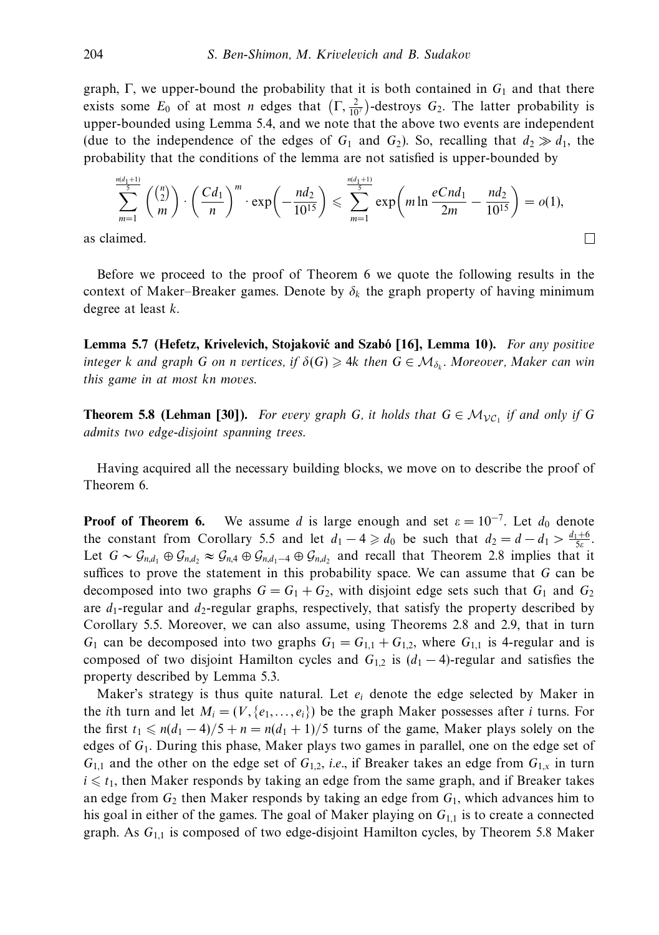graph,  $\Gamma$ , we upper-bound the probability that it is both contained in  $G_1$  and that there exists some  $E_0$  of at most *n* edges that  $(\Gamma, \frac{2}{10^7})$ -destroys  $G_2$ . The latter probability is upper-bounded using Lemma 5.4, and we note that the above two events are independent (due to the independence of the edges of  $G_1$  and  $G_2$ ). So, recalling that  $d_2 \gg d_1$ , the probability that the conditions of the lemma are not satisfied is upper-bounded by

$$
\sum_{m=1}^{\frac{md_1+1}{5}} \binom{\binom{n}{2}}{m} \cdot \left(\frac{Cd_1}{n}\right)^m \cdot \exp\left(-\frac{nd_2}{10^{15}}\right) \leqslant \sum_{m=1}^{\frac{md_1+1}{5}} \exp\left(m \ln \frac{eCnd_1}{2m} - \frac{nd_2}{10^{15}}\right) = o(1),
$$
\nFind.

\n
$$
\Box
$$

as claimed.

Before we proceed to the proof of Theorem 6 we quote the following results in the context of Maker–Breaker games. Denote by  $\delta_k$  the graph property of having minimum degree at least *k*.

**Lemma 5.7 (Hefetz, Krivelevich, Stojaković and Szabó [16], Lemma 10).** For any positive integer *k* and graph *G* on *n* vertices, if  $\delta(G) \geq 4k$  then  $G \in \mathcal{M}_{\delta_k}$ . Moreover, Maker can win this game in at most *kn* moves.

**Theorem 5.8 (Lehman [30]).** For every graph *G*, it holds that  $G \in \mathcal{M}_{\mathcal{VC}_1}$  if and only if *G* admits two edge-disjoint spanning trees.

Having acquired all the necessary building blocks, we move on to describe the proof of Theorem 6.

**Proof of Theorem 6.** We assume *d* is large enough and set  $\varepsilon = 10^{-7}$ . Let  $d_0$  denote the constant from Corollary 5.5 and let  $d_1 - 4 \ge d_0$  be such that  $d_2 = d - d_1 > \frac{d_1 + 6}{5\varepsilon}$ . Let  $G \sim \mathcal{G}_{n,d_1} \oplus \mathcal{G}_{n,d_2} \approx \mathcal{G}_{n,4} \oplus \mathcal{G}_{n,d_1-4} \oplus \mathcal{G}_{n,d_2}$  and recall that Theorem 2.8 implies that it suffices to prove the statement in this probability space. We can assume that *G* can be decomposed into two graphs  $G = G_1 + G_2$ , with disjoint edge sets such that  $G_1$  and  $G_2$ are  $d_1$ -regular and  $d_2$ -regular graphs, respectively, that satisfy the property described by Corollary 5.5. Moreover, we can also assume, using Theorems 2.8 and 2.9, that in turn  $G_1$  can be decomposed into two graphs  $G_1 = G_{1,1} + G_{1,2}$ , where  $G_{1,1}$  is 4-regular and is composed of two disjoint Hamilton cycles and  $G_{1,2}$  is  $(d_1 - 4)$ -regular and satisfies the property described by Lemma 5.3.

Maker's strategy is thus quite natural. Let *ei* denote the edge selected by Maker in the *i*th turn and let  $M_i = (V, \{e_1, \ldots, e_i\})$  be the graph Maker possesses after *i* turns. For the first  $t_1 \le n(d_1 - 4)/5 + n = n(d_1 + 1)/5$  turns of the game, Maker plays solely on the edges of *G*1. During this phase, Maker plays two games in parallel, one on the edge set of  $G_{1,1}$  and the other on the edge set of  $G_{1,2}$ , *i.e.*, if Breaker takes an edge from  $G_{1,x}$  in turn  $i \leq t_1$ , then Maker responds by taking an edge from the same graph, and if Breaker takes an edge from  $G_2$  then Maker responds by taking an edge from  $G_1$ , which advances him to his goal in either of the games. The goal of Maker playing on *G*<sup>1</sup>*,*<sup>1</sup> is to create a connected graph. As *G*<sup>1</sup>*,*<sup>1</sup> is composed of two edge-disjoint Hamilton cycles, by Theorem 5.8 Maker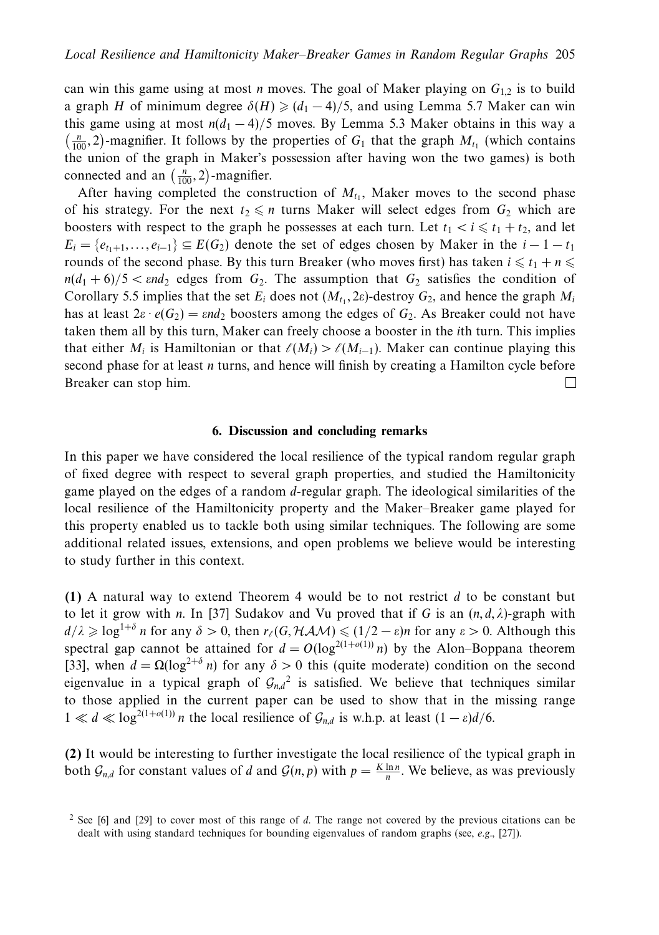can win this game using at most *n* moves. The goal of Maker playing on  $G_{12}$  is to build a graph *H* of minimum degree  $\delta(H) \geq (d_1 - 4)/5$ , and using Lemma 5.7 Maker can win this game using at most  $n(d_1 - 4)/5$  moves. By Lemma 5.3 Maker obtains in this way a  $\left(\frac{n}{100}, 2\right)$ -magnifier. It follows by the properties of *G*<sub>1</sub> that the graph *M*<sub>t<sub>1</sub> (which contains</sub> the union of the graph in Maker's possession after having won the two games) is both connected and an  $\left(\frac{n}{100}, 2\right)$ -magnifier.

After having completed the construction of  $M_{t_1}$ , Maker moves to the second phase of his strategy. For the next  $t_2 \leq n$  turns Maker will select edges from  $G_2$  which are boosters with respect to the graph he possesses at each turn. Let  $t_1 < i \leq t_1 + t_2$ , and let  $E_i = \{e_{t_1+1}, \ldots, e_{i-1}\} \subseteq E(G_2)$  denote the set of edges chosen by Maker in the  $i - 1 - t_1$ rounds of the second phase. By this turn Breaker (who moves first) has taken  $i \leq t_1 + n \leq t_2$  $n(d_1 + 6)/5 < \varepsilon nd_2$  edges from  $G_2$ . The assumption that  $G_2$  satisfies the condition of Corollary 5.5 implies that the set  $E_i$  does not  $(M_{t_1}, 2\varepsilon)$ -destroy  $G_2$ , and hence the graph  $M_i$ has at least  $2\varepsilon \cdot e(G_2) = \varepsilon nd_2$  boosters among the edges of  $G_2$ . As Breaker could not have taken them all by this turn, Maker can freely choose a booster in the *i*th turn. This implies that either  $M_i$  is Hamiltonian or that  $\ell(M_i) > \ell(M_{i-1})$ . Maker can continue playing this second phase for at least *n* turns, and hence will finish by creating a Hamilton cycle before Breaker can stop him.  $\Box$ 

# **6. Discussion and concluding remarks**

In this paper we have considered the local resilience of the typical random regular graph of fixed degree with respect to several graph properties, and studied the Hamiltonicity game played on the edges of a random *d*-regular graph. The ideological similarities of the local resilience of the Hamiltonicity property and the Maker–Breaker game played for this property enabled us to tackle both using similar techniques. The following are some additional related issues, extensions, and open problems we believe would be interesting to study further in this context.

**(1)** A natural way to extend Theorem 4 would be to not restrict *d* to be constant but to let it grow with *n*. In [37] Sudakov and Vu proved that if *G* is an  $(n, d, \lambda)$ -graph with  $d/\lambda \geqslant \log^{1+\delta} n$  for any  $\delta > 0$ , then  $r_{\ell}(G, HAM) \leqslant (1/2 - \varepsilon)n$  for any  $\varepsilon > 0$ . Although this spectral gap cannot be attained for  $d = O(\log^{2(1+o(1))} n)$  by the Alon–Boppana theorem [33], when  $d = \Omega(\log^{2+\delta} n)$  for any  $\delta > 0$  this (quite moderate) condition on the second eigenvalue in a typical graph of  $G_{n,d}^2$  is satisfied. We believe that techniques similar to those applied in the current paper can be used to show that in the missing range  $1 \ll d \ll \log^{2(1+o(1))} n$  the local resilience of  $\mathcal{G}_{n,d}$  is w.h.p. at least  $(1-\varepsilon)d/6$ .

**(2)** It would be interesting to further investigate the local resilience of the typical graph in both  $\mathcal{G}_{n,d}$  for constant values of *d* and  $\mathcal{G}(n, p)$  with  $p = \frac{K \ln n}{n}$ . We believe, as was previously

<sup>2</sup> See [6] and [29] to cover most of this range of *d*. The range not covered by the previous citations can be dealt with using standard techniques for bounding eigenvalues of random graphs (see, e.g., [27]).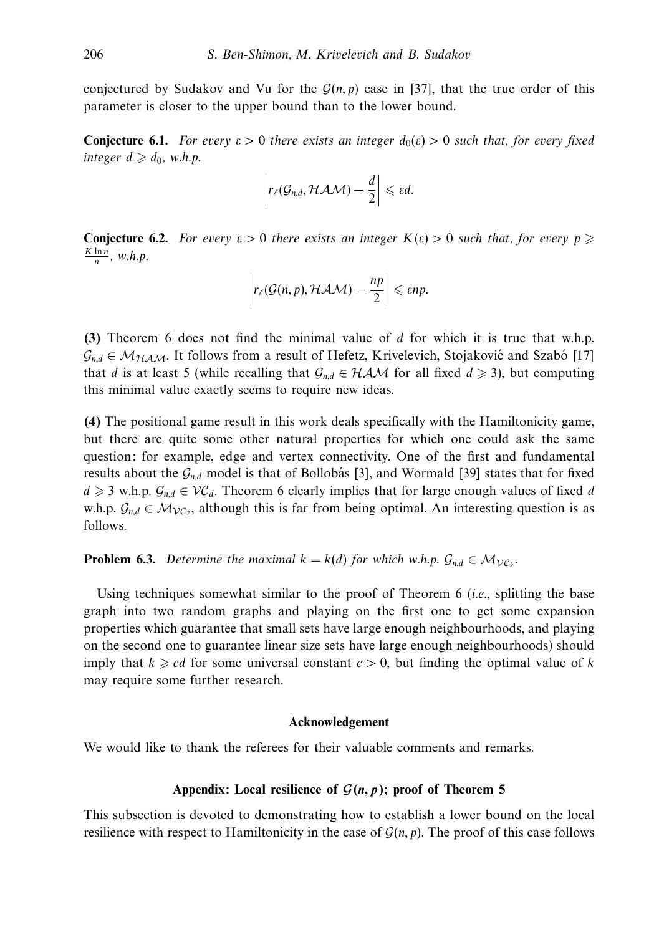conjectured by Sudakov and Vu for the  $G(n, p)$  case in [37], that the true order of this parameter is closer to the upper bound than to the lower bound.

**Conjecture 6.1.** For every  $\epsilon > 0$  there exists an integer  $d_0(\epsilon) > 0$  such that, for every fixed  $integer d \geqslant d_0$ , w.h.p.

$$
\left|r_{\ell}(\mathcal{G}_{n,d},\mathcal{HAM})-\frac{d}{2}\right|\leqslant \varepsilon d.
$$

**Conjecture 6.2.** For every  $\varepsilon > 0$  there exists an integer  $K(\varepsilon) > 0$  such that, for every  $p \geqslant$  $\frac{K \ln n}{n}$ , w.h.p.

$$
\left|r_{\ell}(\mathcal{G}(n,p), \mathcal{HAM}) - \frac{np}{2}\right| \leqslant \varepsilon np.
$$

**(3)** Theorem 6 does not find the minimal value of *d* for which it is true that w.h.p.  $\mathcal{G}_{nd} \in \mathcal{M}_{HAM}$ . It follows from a result of Hefetz, Krivelevich, Stojaković and Szabó [17] that *d* is at least 5 (while recalling that  $G_{n,d} \in HAM$  for all fixed  $d \ge 3$ ), but computing this minimal value exactly seems to require new ideas.

**(4)** The positional game result in this work deals specifically with the Hamiltonicity game, but there are quite some other natural properties for which one could ask the same question: for example, edge and vertex connectivity. One of the first and fundamental results about the  $\mathcal{G}_{nd}$  model is that of Bollobás [3], and Wormald [39] states that for fixed  $d \geq 3$  w.h.p.  $\mathcal{G}_{n,d} \in \mathcal{VC}_d$ . Theorem 6 clearly implies that for large enough values of fixed *d* w.h.p.  $\mathcal{G}_{n,d} \in \mathcal{M}_{\mathcal{VC}}$ , although this is far from being optimal. An interesting question is as follows.

**Problem 6.3.** Determine the maximal  $k = k(d)$  for which w.h.p.  $\mathcal{G}_{nd} \in \mathcal{M}_{\mathcal{VC}_k}$ .

Using techniques somewhat similar to the proof of Theorem 6 (i.e., splitting the base graph into two random graphs and playing on the first one to get some expansion properties which guarantee that small sets have large enough neighbourhoods, and playing on the second one to guarantee linear size sets have large enough neighbourhoods) should imply that  $k \geq c d$  for some universal constant  $c > 0$ , but finding the optimal value of k may require some further research.

# **Acknowledgement**

We would like to thank the referees for their valuable comments and remarks.

# Appendix: Local resilience of  $\mathcal{G}(n, p)$ ; proof of Theorem 5

This subsection is devoted to demonstrating how to establish a lower bound on the local resilience with respect to Hamiltonicity in the case of  $\mathcal{G}(n, p)$ . The proof of this case follows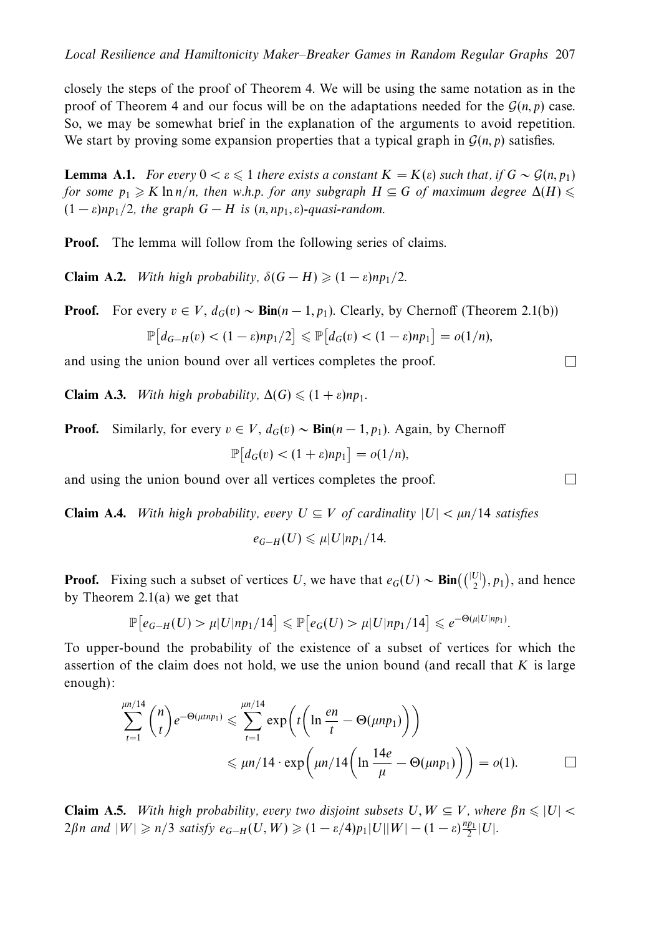closely the steps of the proof of Theorem 4. We will be using the same notation as in the proof of Theorem 4 and our focus will be on the adaptations needed for the  $\mathcal{G}(n, p)$  case. So, we may be somewhat brief in the explanation of the arguments to avoid repetition. We start by proving some expansion properties that a typical graph in  $\mathcal{G}(n, p)$  satisfies.

**Lemma A.1.** For every  $0 < \varepsilon \leq 1$  there exists a constant  $K = K(\varepsilon)$  such that, if  $G \sim \mathcal{G}(n, p_1)$ for some  $p_1 \geqslant K \ln n/n$ , then w.h.p. for any subgraph  $H \subseteq G$  of maximum degree  $\Delta(H) \leqslant$  $(1 - \varepsilon)$ *np*<sub>1</sub>/2, the graph  $G - H$  is  $(n, np_1, \varepsilon)$ -quasi-random.

**Proof.** The lemma will follow from the following series of claims.

**Claim A.2.** With high probability,  $\delta(G - H) \geq (1 - \varepsilon)np_1/2$ .

**Proof.** For every  $v \in V$ ,  $d_G(v) \sim \text{Bin}(n-1, p_1)$ . Clearly, by Chernoff (Theorem 2.1(b))

$$
\mathbb{P}\big[d_{G-H}(v) < (1-\varepsilon)np_1/2\big] \leq \mathbb{P}\big[d_G(v) < (1-\varepsilon)np_1\big] = o(1/n),
$$

and using the union bound over all vertices completes the proof.

**Claim A.3.** With high probability,  $\Delta(G) \leq (1 + \varepsilon)np_1$ .

**Proof.** Similarly, for every  $v \in V$ ,  $d_G(v) \sim \text{Bin}(n-1, p_1)$ . Again, by Chernoff

$$
\mathbb{P}\big[d_G(v) < (1+\varepsilon)np_1\big] = o(1/n),
$$

and using the union bound over all vertices completes the proof.

**Claim A.4.** With high probability, every  $U \subseteq V$  of cardinality  $|U| < \mu n/14$  satisfies

 $e_{G-H}(U) \le \mu |U| np_1/14$ .

**Proof.** Fixing such a subset of vertices *U*, we have that  $e_G(U) \sim Bin(\binom{|U|}{2}, p_1)$ , and hence by Theorem 2.1(a) we get that

$$
\mathbb{P}\big[e_{G-H}(U) > \mu |U| \eta p_1/14\big] \leq \mathbb{P}\big[e_G(U) > \mu |U| \eta p_1/14\big] \leq e^{-\Theta(\mu |U| \eta p_1)}.
$$

To upper-bound the probability of the existence of a subset of vertices for which the assertion of the claim does not hold, we use the union bound (and recall that *K* is large enough):

$$
\sum_{t=1}^{\mu n/14} \binom{n}{t} e^{-\Theta(\mu t n p_1)} \leqslant \sum_{t=1}^{\mu n/14} \exp\left(t \left(\ln \frac{e n}{t} - \Theta(\mu n p_1)\right)\right)
$$
  
 
$$
\leqslant \mu n/14 \cdot \exp\left(\mu n/14 \left(\ln \frac{14e}{\mu} - \Theta(\mu n p_1)\right)\right) = o(1).
$$

**Claim A.5.** With high probability, every two disjoint subsets  $U, W \subseteq V$ , where  $\beta n \leq |U|$  $2\beta n$  and  $|W| \geq n/3$  satisfy  $e_{G-H}(U, W) \geq (1 - \varepsilon/4)p_1|U||W| - (1 - \varepsilon)\frac{np_1}{2}|U|.$ 

 $\Box$ 

 $\Box$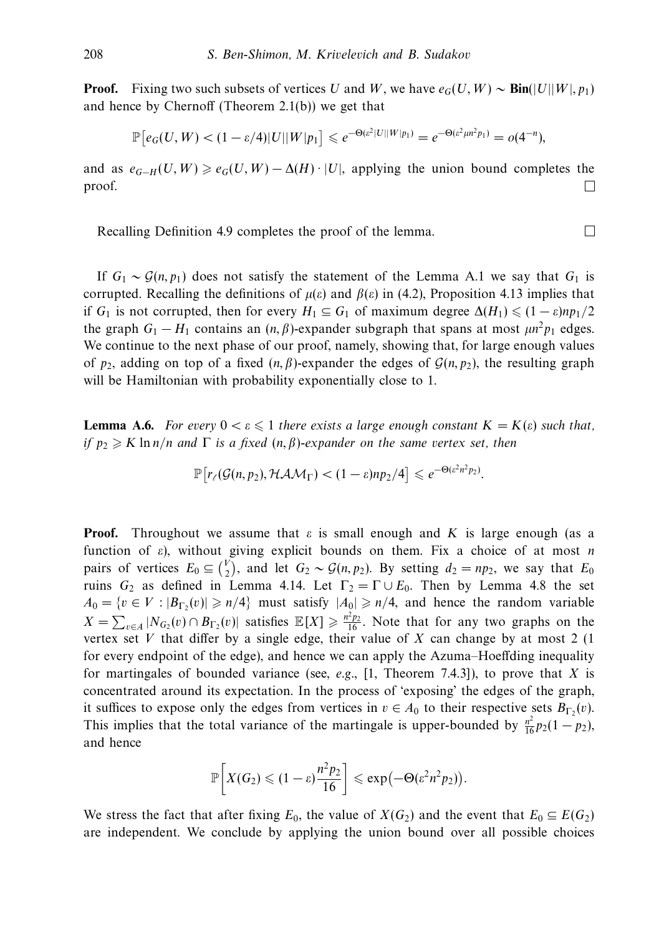**Proof.** Fixing two such subsets of vertices *U* and *W*, we have  $e_G(U, W) \sim Bin(|U||W|, p_1)$ and hence by Chernoff (Theorem 2.1(b)) we get that

$$
\mathbb{P}\big[e_G(U,W) < (1-\varepsilon/4)|U||W|p_1\big] \leqslant e^{-\Theta(\varepsilon^2|U||W|p_1)} = e^{-\Theta(\varepsilon^2\mu n^2 p_1)} = o(4^{-n}),
$$

and as  $e_{G-H}(U, W) \ge e_G(U, W) - \Delta(H) \cdot |U|$ , applying the union bound completes the proof.  $\Box$ 

 $\Box$ 

Recalling Definition 4.9 completes the proof of the lemma.

If  $G_1 \sim \mathcal{G}(n, p_1)$  does not satisfy the statement of the Lemma A.1 we say that  $G_1$  is corrupted. Recalling the definitions of  $\mu(\varepsilon)$  and  $\beta(\varepsilon)$  in (4.2), Proposition 4.13 implies that if  $G_1$  is not corrupted, then for every  $H_1 \subseteq G_1$  of maximum degree  $\Delta(H_1) \leq (1 - \varepsilon)np_1/2$ the graph  $G_1 - H_1$  contains an  $(n, \beta)$ -expander subgraph that spans at most  $\mu n^2 p_1$  edges. We continue to the next phase of our proof, namely, showing that, for large enough values of  $p_2$ , adding on top of a fixed  $(n, \beta)$ -expander the edges of  $\mathcal{G}(n, p_2)$ , the resulting graph will be Hamiltonian with probability exponentially close to 1.

**Lemma A.6.** For every  $0 < \varepsilon \leq 1$  there exists a large enough constant  $K = K(\varepsilon)$  such that, if *p*<sup>2</sup> - *K* ln *n/n* and Γ is a fixed (*n, β*)-expander on the same vertex set, then

$$
\mathbb{P}\big[r_{\ell}(\mathcal{G}(n,p_2),\mathcal{H}\mathcal{A}\mathcal{M}_{\Gamma})<(1-\varepsilon)np_2/4\big]\leqslant e^{-\Theta(\varepsilon^2n^2p_2)}.
$$

**Proof.** Throughout we assume that  $\varepsilon$  is small enough and  $K$  is large enough (as a function of *ε*), without giving explicit bounds on them. Fix a choice of at most *n* pairs of vertices  $E_0 \subseteq {V \choose 2}$ , and let  $G_2 \sim \mathcal{G}(n, p_2)$ . By setting  $d_2 = np_2$ , we say that  $E_0$ ruins  $G_2$  as defined in Lemma 4.14. Let  $\Gamma_2 = \Gamma \cup E_0$ . Then by Lemma 4.8 the set  $A_0 = \{v \in V : |B_{\Gamma_2}(v)| \ge n/4\}$  must satisfy  $|A_0| \ge n/4$ , and hence the random variable  $X = \sum_{v \in A} |N_{G_2}(v) \cap B_{\Gamma_2}(v)|$  satisfies  $\mathbb{E}[X] \ge \frac{n^2 p_2}{16}$ . Note that for any two graphs on the vertex set *V* that differ by a single edge, their value of *X* can change by at most 2 (1) for every endpoint of the edge), and hence we can apply the Azuma–Hoeffding inequality for martingales of bounded variance (see, e.g., [1, Theorem 7.4.3]), to prove that *X* is concentrated around its expectation. In the process of 'exposing' the edges of the graph, it suffices to expose only the edges from vertices in  $v \in A_0$  to their respective sets  $B_{\Gamma_2}(v)$ . This implies that the total variance of the martingale is upper-bounded by  $\frac{n^2}{16}p_2(1-p_2)$ , and hence

$$
\mathbb{P}\bigg[X(G_2)\leqslant (1-\varepsilon)\frac{n^2p_2}{16}\bigg]\leqslant \exp\bigl(-\Theta(\varepsilon^2n^2p_2)\bigr).
$$

We stress the fact that after fixing  $E_0$ , the value of  $X(G_2)$  and the event that  $E_0 \subseteq E(G_2)$ are independent. We conclude by applying the union bound over all possible choices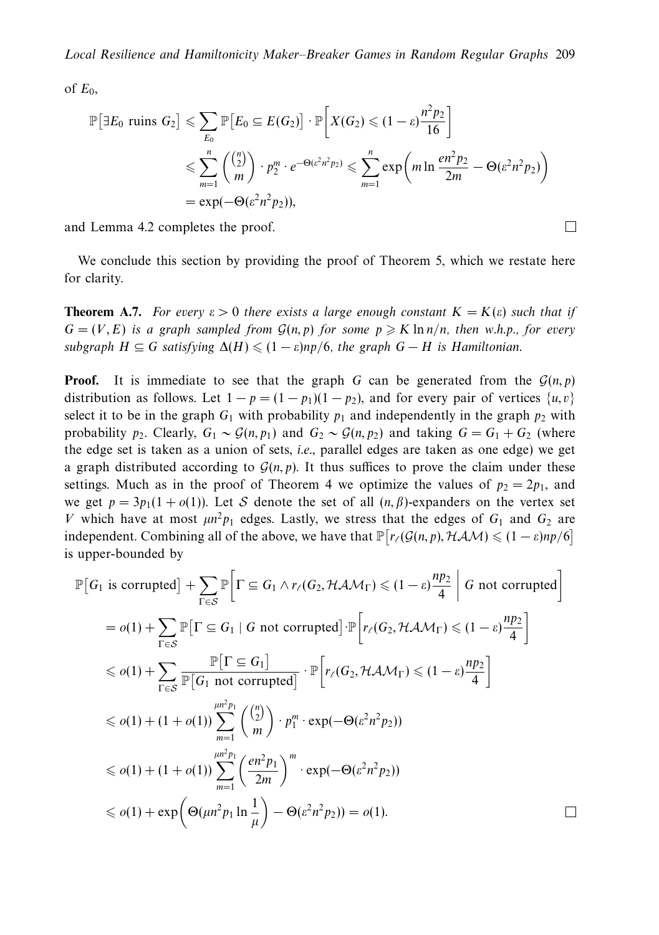of  $E_0$ ,

$$
\mathbb{P}\left[\exists E_0 \text{ runs } G_2\right] \leqslant \sum_{E_0} \mathbb{P}\left[E_0 \subseteq E(G_2)\right] \cdot \mathbb{P}\left[X(G_2) \leqslant (1-\varepsilon)\frac{n^2 p_2}{16}\right]
$$
\n
$$
\leqslant \sum_{m=1}^n \binom{\binom{n}{2}}{m} \cdot p_2^m \cdot e^{-\Theta(\varepsilon^2 n^2 p_2)} \leqslant \sum_{m=1}^n \exp\left(m \ln \frac{en^2 p_2}{2m} - \Theta(\varepsilon^2 n^2 p_2)\right)
$$
\n
$$
= \exp(-\Theta(\varepsilon^2 n^2 p_2)),
$$

 $\Box$ 

and Lemma 4.2 completes the proof.

We conclude this section by providing the proof of Theorem 5, which we restate here for clarity.

**Theorem A.7.** For every  $\varepsilon > 0$  there exists a large enough constant  $K = K(\varepsilon)$  such that if  $G = (V, E)$  is a graph sampled from  $G(n, p)$  for some  $p \geq K \ln n/n$ , then w.h.p., for every subgraph  $H \subseteq G$  satisfying  $\Delta(H) \leq (1 - \varepsilon) np/6$ , the graph  $G - H$  is Hamiltonian.

**Proof.** It is immediate to see that the graph *G* can be generated from the  $\mathcal{G}(n, p)$ distribution as follows. Let  $1 - p = (1 - p_1)(1 - p_2)$ , and for every pair of vertices  $\{u, v\}$ select it to be in the graph  $G_1$  with probability  $p_1$  and independently in the graph  $p_2$  with probability *p*<sub>2</sub>. Clearly,  $G_1 \sim \mathcal{G}(n, p_1)$  and  $G_2 \sim \mathcal{G}(n, p_2)$  and taking  $G = G_1 + G_2$  (where the edge set is taken as a union of sets, i.e., parallel edges are taken as one edge) we get a graph distributed according to  $\mathcal{G}(n, p)$ . It thus suffices to prove the claim under these settings. Much as in the proof of Theorem 4 we optimize the values of  $p_2 = 2p_1$ , and we get  $p = 3p_1(1 + o(1))$ . Let S denote the set of all  $(n, \beta)$ -expanders on the vertex set *V* which have at most  $\mu n^2 p_1$  edges. Lastly, we stress that the edges of  $G_1$  and  $G_2$  are independent. Combining all of the above, we have that  $\mathbb{P}\big[r_{\ell}(\mathcal{G}(n, p), \mathcal{HAM}) \leq (1 - \varepsilon)np/6\big]$ is upper-bounded by

$$
\mathbb{P}\left[G_{1} \text{ is corrupted}\right] + \sum_{\Gamma \in S} \mathbb{P}\left[\Gamma \subseteq G_{1} \land r_{\ell}(G_{2}, \mathcal{HAM}_{\Gamma}) \leq (1 - \varepsilon) \frac{np_{2}}{4} \middle| G \text{ not corrupted}\right]
$$
\n
$$
= o(1) + \sum_{\Gamma \in S} \mathbb{P}\left[\Gamma \subseteq G_{1} \middle| G \text{ not corrupted}\right] \cdot \mathbb{P}\left[r_{\ell}(G_{2}, \mathcal{HAM}_{\Gamma}) \leq (1 - \varepsilon) \frac{np_{2}}{4}\right]
$$
\n
$$
\leq o(1) + \sum_{\Gamma \in S} \frac{\mathbb{P}\left[\Gamma \subseteq G_{1}\right]}{\mathbb{P}\left[G_{1} \text{ not corrupted}\right]} \cdot \mathbb{P}\left[r_{\ell}(G_{2}, \mathcal{HAM}_{\Gamma}) \leq (1 - \varepsilon) \frac{np_{2}}{4}\right]
$$
\n
$$
\leq o(1) + (1 + o(1)) \sum_{m=1}^{\mu n^{2} p_{1}} \binom{\binom{n}{2}}{m} \cdot p_{1}^{m} \cdot \exp(-\Theta(\varepsilon^{2} n^{2} p_{2}))
$$
\n
$$
\leq o(1) + (1 + o(1)) \sum_{m=1}^{\mu n^{2} p_{1}} \left(\frac{en^{2} p_{1}}{2m}\right)^{m} \cdot \exp(-\Theta(\varepsilon^{2} n^{2} p_{2}))
$$
\n
$$
\leq o(1) + \exp\left(\Theta(\mu n^{2} p_{1} \ln \frac{1}{\mu}) - \Theta(\varepsilon^{2} n^{2} p_{2})\right) = o(1).
$$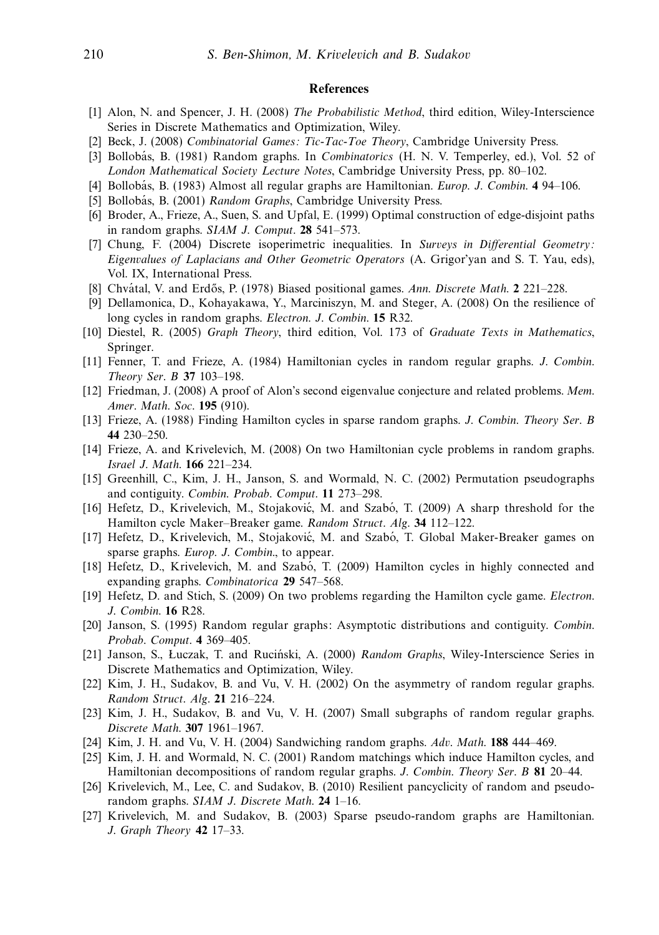#### **References**

- [1] Alon, N. and Spencer, J. H. (2008) The Probabilistic Method, third edition, Wiley-Interscience Series in Discrete Mathematics and Optimization, Wiley.
- [2] Beck, J. (2008) Combinatorial Games: Tic-Tac-Toe Theory, Cambridge University Press.
- [3] Bollobás, B. (1981) Random graphs. In *Combinatorics* (H. N. V. Temperley, ed.), Vol. 52 of London Mathematical Society Lecture Notes, Cambridge University Press, pp. 80–102.
- [4] Bollobás, B. (1983) Almost all regular graphs are Hamiltonian. *Europ. J. Combin.* **4** 94–106.
- [5] Bollobás, B. (2001) Random Graphs, Cambridge University Press.
- [6] Broder, A., Frieze, A., Suen, S. and Upfal, E. (1999) Optimal construction of edge-disjoint paths in random graphs. SIAM J. Comput. **28** 541–573.
- [7] Chung, F. (2004) Discrete isoperimetric inequalities. In Surveys in Differential Geometry: Eigenvalues of Laplacians and Other Geometric Operators (A. Grigor'yan and S. T. Yau, eds), Vol. IX, International Press.
- [8] Chvátal, V. and Erdős, P. (1978) Biased positional games. Ann. Discrete Math. 2 221–228.
- [9] Dellamonica, D., Kohayakawa, Y., Marciniszyn, M. and Steger, A. (2008) On the resilience of long cycles in random graphs. Electron. J. Combin. **15** R32.
- [10] Diestel, R. (2005) Graph Theory, third edition, Vol. 173 of Graduate Texts in Mathematics, Springer.
- [11] Fenner, T. and Frieze, A. (1984) Hamiltonian cycles in random regular graphs. J. Combin. Theory Ser. B **37** 103–198.
- [12] Friedman, J. (2008) A proof of Alon's second eigenvalue conjecture and related problems. Mem. Amer. Math. Soc. **195** (910).
- [13] Frieze, A. (1988) Finding Hamilton cycles in sparse random graphs. J. Combin. Theory Ser. B **44** 230–250.
- [14] Frieze, A. and Krivelevich, M. (2008) On two Hamiltonian cycle problems in random graphs. Israel J. Math. **166** 221–234.
- [15] Greenhill, C., Kim, J. H., Janson, S. and Wormald, N. C. (2002) Permutation pseudographs and contiguity. Combin. Probab. Comput. **11** 273–298.
- [16] Hefetz, D., Krivelevich, M., Stojaković, M. and Szabó, T. (2009) A sharp threshold for the Hamilton cycle Maker–Breaker game. Random Struct. Alg. **34** 112–122.
- [17] Hefetz, D., Krivelevich, M., Stojaković, M. and Szabó, T. Global Maker-Breaker games on sparse graphs. Europ. J. Combin., to appear.
- [18] Hefetz, D., Krivelevich, M. and Szabó, T. (2009) Hamilton cycles in highly connected and expanding graphs. Combinatorica **29** 547–568.
- [19] Hefetz, D. and Stich, S. (2009) On two problems regarding the Hamilton cycle game. Electron. J. Combin. **16** R28.
- [20] Janson, S. (1995) Random regular graphs: Asymptotic distributions and contiguity. Combin. Probab. Comput. **4** 369–405.
- [21] Janson, S., Łuczak, T. and Ruciński, A. (2000) Random Graphs, Wiley-Interscience Series in Discrete Mathematics and Optimization, Wiley.
- [22] Kim, J. H., Sudakov, B. and Vu, V. H. (2002) On the asymmetry of random regular graphs. Random Struct. Alg. **21** 216–224.
- [23] Kim, J. H., Sudakov, B. and Vu, V. H. (2007) Small subgraphs of random regular graphs. Discrete Math. **307** 1961–1967.
- [24] Kim, J. H. and Vu, V. H. (2004) Sandwiching random graphs. Adv. Math. **188** 444–469.
- [25] Kim, J. H. and Wormald, N. C. (2001) Random matchings which induce Hamilton cycles, and Hamiltonian decompositions of random regular graphs. J. Combin. Theory Ser. B **81** 20–44.
- [26] Krivelevich, M., Lee, C. and Sudakov, B. (2010) Resilient pancyclicity of random and pseudorandom graphs. SIAM J. Discrete Math. **24** 1–16.
- [27] Krivelevich, M. and Sudakov, B. (2003) Sparse pseudo-random graphs are Hamiltonian. J. Graph Theory **42** 17–33.